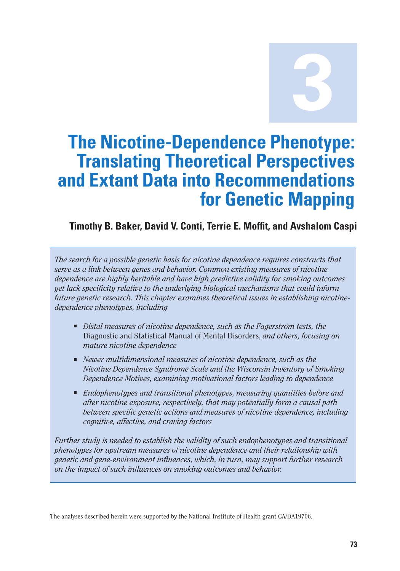**3**

# **The Nicotine-Dependence Phenotype: Translating Theoretical Perspectives and Extant Data into Recommendations for Genetic Mapping**

## **Timothy B. Baker, David V. Conti, Terrie E. Moffit, and Avshalom Caspi**

*The search for a possible genetic basis for nicotine dependence requires constructs that serve as a link between genes and behavior. Common existing measures of nicotine dependence are highly heritable and have high predictive validity for smoking outcomes yet lack specificity relative to the underlying biological mechanisms that could inform future genetic research. This chapter examines theoretical issues in establishing nicotinedependence phenotypes, including* 

- *Distal measures of nicotine dependence, such as the Fagerström tests, the* Diagnostic and Statistical Manual of Mental Disorders, *and others, focusing on mature nicotine dependence*
- *Newer multidimensional measures of nicotine dependence, such as the Nicotine Dependence Syndrome Scale and the Wisconsin Inventory of Smoking Dependence Motives, examining motivational factors leading to dependence*
- *Endophenotypes and transitional phenotypes, measuring quantities before and after nicotine exposure, respectively, that may potentially form a causal path between specific genetic actions and measures of nicotine dependence, including cognitive, affective, and craving factors*

*Further study is needed to establish the validity of such endophenotypes and transitional phenotypes for upstream measures of nicotine dependence and their relationship with genetic and gene-environment influences, which, in turn, may support further research on the impact of such influences on smoking outcomes and behavior.* 

The analyses described herein were supported by the National Institute of Health grant CA/DA19706.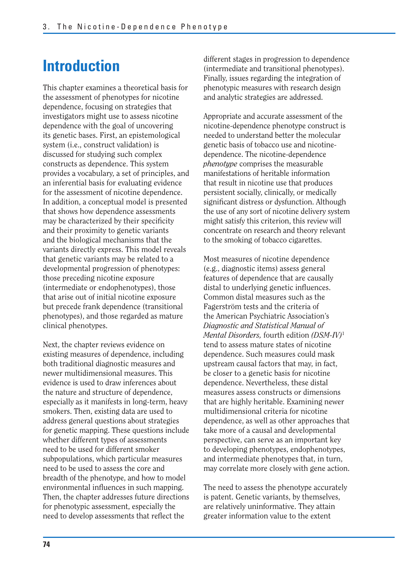# **Introduction**

This chapter examines a theoretical basis for the assessment of phenotypes for nicotine dependence, focusing on strategies that investigators might use to assess nicotine dependence with the goal of uncovering its genetic bases. First, an epistemological system (i.e., construct validation) is discussed for studying such complex constructs as dependence. This system provides a vocabulary, a set of principles, and an inferential basis for evaluating evidence for the assessment of nicotine dependence. In addition, a conceptual model is presented that shows how dependence assessments may be characterized by their specificity and their proximity to genetic variants and the biological mechanisms that the variants directly express. This model reveals that genetic variants may be related to a developmental progression of phenotypes: those preceding nicotine exposure (intermediate or endophenotypes), those that arise out of initial nicotine exposure but precede frank dependence (transitional phenotypes), and those regarded as mature clinical phenotypes.

Next, the chapter reviews evidence on existing measures of dependence, including both traditional diagnostic measures and newer multidimensional measures. This evidence is used to draw inferences about the nature and structure of dependence, especially as it manifests in long-term, heavy smokers. Then, existing data are used to address general questions about strategies for genetic mapping. These questions include whether different types of assessments need to be used for different smoker subpopulations, which particular measures need to be used to assess the core and breadth of the phenotype, and how to model environmental influences in such mapping. Then, the chapter addresses future directions for phenotypic assessment, especially the need to develop assessments that reflect the

different stages in progression to dependence (intermediate and transitional phenotypes). Finally, issues regarding the integration of phenotypic measures with research design and analytic strategies are addressed.

Appropriate and accurate assessment of the nicotine-dependence phenotype construct is needed to understand better the molecular genetic basis of tobacco use and nicotinedependence. The nicotine-dependence *phenotype* comprises the measurable manifestations of heritable information that result in nicotine use that produces persistent socially, clinically, or medically significant distress or dysfunction. Although the use of any sort of nicotine delivery system might satisfy this criterion, this review will concentrate on research and theory relevant to the smoking of tobacco cigarettes.

Most measures of nicotine dependence (e.g., diagnostic items) assess general features of dependence that are causally distal to underlying genetic influences. Common distal measures such as the Fagerström tests and the criteria of the American Psychiatric Association's *Diagnostic and Statistical Manual of Mental Disorders,* fourth edition *(DSM-IV)*<sup>1</sup> tend to assess mature states of nicotine dependence. Such measures could mask upstream causal factors that may, in fact, be closer to a genetic basis for nicotine dependence. Nevertheless, these distal measures assess constructs or dimensions that are highly heritable. Examining newer multidimensional criteria for nicotine dependence, as well as other approaches that take more of a causal and developmental perspective, can serve as an important key to developing phenotypes, endophenotypes, and intermediate phenotypes that, in turn, may correlate more closely with gene action.

The need to assess the phenotype accurately is patent. Genetic variants, by themselves, are relatively uninformative. They attain greater information value to the extent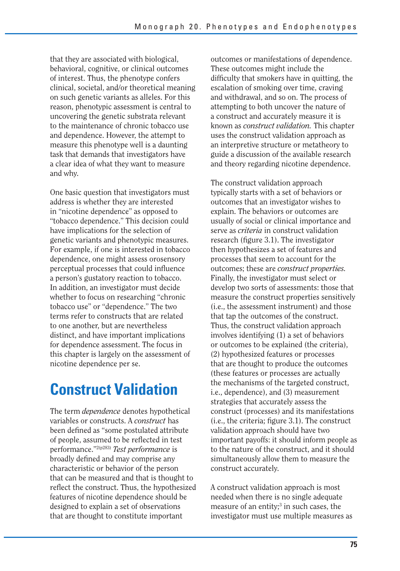that they are associated with biological, behavioral, cognitive, or clinical outcomes of interest. Thus, the phenotype confers clinical, societal, and/or theoretical meaning on such genetic variants as alleles. For this reason, phenotypic assessment is central to uncovering the genetic substrata relevant to the maintenance of chronic tobacco use and dependence. However, the attempt to measure this phenotype well is a daunting task that demands that investigators have a clear idea of what they want to measure and why.

One basic question that investigators must address is whether they are interested in "nicotine dependence" as opposed to "tobacco dependence." This decision could have implications for the selection of genetic variants and phenotypic measures. For example, if one is interested in tobacco dependence, one might assess orosensory perceptual processes that could influence a person's gustatory reaction to tobacco. In addition, an investigator must decide whether to focus on researching "chronic tobacco use" or "dependence." The two terms refer to constructs that are related to one another, but are nevertheless distinct, and have important implications for dependence assessment. The focus in this chapter is largely on the assessment of nicotine dependence per se.

# **Construct Validation**

The term *dependence* denotes hypothetical variables or constructs. A *construct* has been defined as "some postulated attribute of people, assumed to be reflected in test performance."2(p283) *Test performance* is broadly defined and may comprise any characteristic or behavior of the person that can be measured and that is thought to reflect the construct. Thus, the hypothesized features of nicotine dependence should be designed to explain a set of observations that are thought to constitute important

outcomes or manifestations of dependence. These outcomes might include the difficulty that smokers have in quitting, the escalation of smoking over time, craving and withdrawal, and so on. The process of attempting to both uncover the nature of a construct and accurately measure it is known as *construct validation.* This chapter uses the construct validation approach as an interpretive structure or metatheory to guide a discussion of the available research and theory regarding nicotine dependence.

The construct validation approach typically starts with a set of behaviors or outcomes that an investigator wishes to explain. The behaviors or outcomes are usually of social or clinical importance and serve as *criteria* in construct validation research (figure 3.1). The investigator then hypothesizes a set of features and processes that seem to account for the outcomes; these are *construct properties.*  Finally, the investigator must select or develop two sorts of assessments: those that measure the construct properties sensitively (i.e., the assessment instrument) and those that tap the outcomes of the construct. Thus, the construct validation approach involves identifying (1) a set of behaviors or outcomes to be explained (the criteria), (2) hypothesized features or processes that are thought to produce the outcomes (these features or processes are actually the mechanisms of the targeted construct, i.e., dependence), and (3) measurement strategies that accurately assess the construct (processes) and its manifestations (i.e., the criteria; figure 3.1). The construct validation approach should have two important payoffs: it should inform people as to the nature of the construct, and it should simultaneously allow them to measure the construct accurately.

A construct validation approach is most needed when there is no single adequate measure of an entity;<sup>3</sup> in such cases, the investigator must use multiple measures as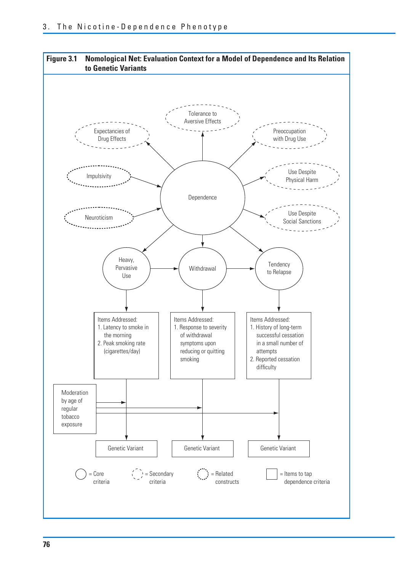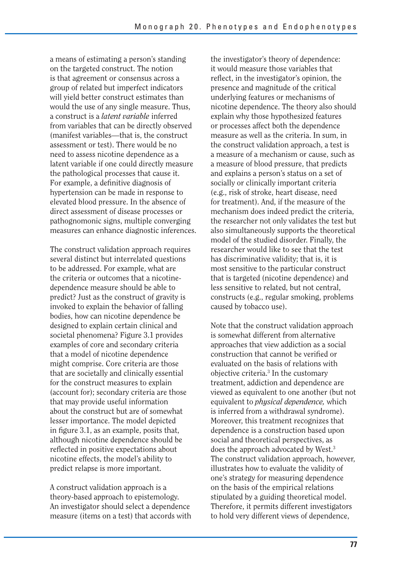a means of estimating a person's standing on the targeted construct. The notion is that agreement or consensus across a group of related but imperfect indicators will yield better construct estimates than would the use of any single measure. Thus, a construct is a *latent variable* inferred from variables that can be directly observed (manifest variables—that is, the construct assessment or test). There would be no need to assess nicotine dependence as a latent variable if one could directly measure the pathological processes that cause it. For example, a definitive diagnosis of hypertension can be made in response to elevated blood pressure. In the absence of direct assessment of disease processes or pathognomonic signs, multiple converging measures can enhance diagnostic inferences.

The construct validation approach requires several distinct but interrelated questions to be addressed. For example, what are the criteria or outcomes that a nicotinedependence measure should be able to predict? Just as the construct of gravity is invoked to explain the behavior of falling bodies, how can nicotine dependence be designed to explain certain clinical and societal phenomena? Figure 3.1 provides examples of core and secondary criteria that a model of nicotine dependence might comprise. Core criteria are those that are societally and clinically essential for the construct measures to explain (account for); secondary criteria are those that may provide useful information about the construct but are of somewhat lesser importance. The model depicted in figure 3.1, as an example, posits that, although nicotine dependence should be reflected in positive expectations about nicotine effects, the model's ability to predict relapse is more important.

A construct validation approach is a theory-based approach to epistemology. An investigator should select a dependence measure (items on a test) that accords with the investigator's theory of dependence: it would measure those variables that reflect, in the investigator's opinion, the presence and magnitude of the critical underlying features or mechanisms of nicotine dependence. The theory also should explain why those hypothesized features or processes affect both the dependence measure as well as the criteria. In sum, in the construct validation approach, a test is a measure of a mechanism or cause, such as a measure of blood pressure, that predicts and explains a person's status on a set of socially or clinically important criteria (e.g., risk of stroke, heart disease, need for treatment). And, if the measure of the mechanism does indeed predict the criteria, the researcher not only validates the test but also simultaneously supports the theoretical model of the studied disorder. Finally, the researcher would like to see that the test has discriminative validity; that is, it is most sensitive to the particular construct that is targeted (nicotine dependence) and less sensitive to related, but not central, constructs (e.g., regular smoking, problems caused by tobacco use).

Note that the construct validation approach is somewhat different from alternative approaches that view addiction as a social construction that cannot be verified or evaluated on the basis of relations with objective criteria.3 In the customary treatment, addiction and dependence are viewed as equivalent to one another (but not equivalent to *physical dependence,* which is inferred from a withdrawal syndrome). Moreover, this treatment recognizes that dependence is a construction based upon social and theoretical perspectives, as does the approach advocated by West.3 The construct validation approach, however, illustrates how to evaluate the validity of one's strategy for measuring dependence on the basis of the empirical relations stipulated by a guiding theoretical model. Therefore, it permits different investigators to hold very different views of dependence,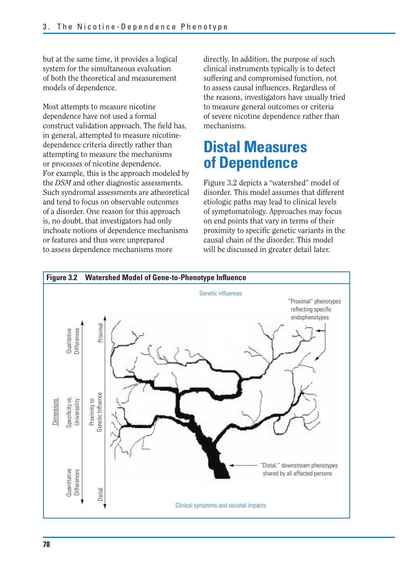but at the same time, it provides a logical system for the simultaneous evaluation of both the theoretical and measurement models of dependence.

Most attempts to measure nicotine dependence have not used a formal construct validation approach. The field has, in general, attempted to measure nicotinedependence criteria directly rather than attempting to measure the mechanisms or processes of nicotine dependence. For example, this is the approach modeled by the *DSM* and other diagnostic assessments. Such syndromal assessments are atheoretical and tend to focus on observable outcomes of a disorder. One reason for this approach is, no doubt, that investigators had only inchoate notions of dependence mechanisms or features and thus were unprepared to assess dependence mechanisms more

directly. In addition, the purpose of such clinical instruments typically is to detect suffering and compromised function, not to assess causal influences. Regardless of the reasons, investigators have usually tried to measure general outcomes or criteria of severe nicotine dependence rather than mechanisms.

# **Distal Measures of Dependence**

Figure 3.2 depicts a "watershed" model of disorder. This model assumes that different etiologic paths may lead to clinical levels of symptomatology. Approaches may focus on end points that vary in terms of their proximity to specific genetic variants in the causal chain of the disorder. This model will be discussed in greater detail later.

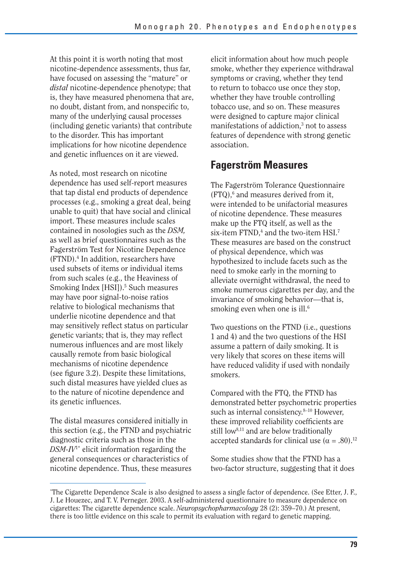At this point it is worth noting that most nicotine-dependence assessments, thus far, have focused on assessing the "mature" or *distal* nicotine-dependence phenotype; that is, they have measured phenomena that are, no doubt, distant from, and nonspecific to, many of the underlying causal processes (including genetic variants) that contribute to the disorder. This has important implications for how nicotine dependence and genetic influences on it are viewed.

As noted, most research on nicotine dependence has used self-report measures that tap distal end products of dependence processes (e.g., smoking a great deal, being unable to quit) that have social and clinical import. These measures include scales contained in nosologies such as the *DSM,*  as well as brief questionnaires such as the Fagerström Test for Nicotine Dependence (FTND).4 In addition, researchers have used subsets of items or individual items from such scales (e.g., the Heaviness of Smoking Index [HSI]).<sup>5</sup> Such measures may have poor signal-to-noise ratios relative to biological mechanisms that underlie nicotine dependence and that may sensitively reflect status on particular genetic variants; that is, they may reflect numerous influences and are most likely causally remote from basic biological mechanisms of nicotine dependence (see figure 3.2). Despite these limitations, such distal measures have yielded clues as to the nature of nicotine dependence and its genetic influences.

The distal measures considered initially in this section (e.g., the FTND and psychiatric diagnostic criteria such as those in the *DSM-IV*1\* elicit information regarding the general consequences or characteristics of nicotine dependence. Thus, these measures elicit information about how much people smoke, whether they experience withdrawal symptoms or craving, whether they tend to return to tobacco use once they stop, whether they have trouble controlling tobacco use, and so on. These measures were designed to capture major clinical manifestations of addiction,<sup>3</sup> not to assess features of dependence with strong genetic association.

## **Fagerström Measures**

The Fagerström Tolerance Questionnaire (FTQ),<sup>6</sup> and measures derived from it, were intended to be unifactorial measures of nicotine dependence. These measures make up the FTQ itself, as well as the six-item FTND,<sup>4</sup> and the two-item HSI.<sup>7</sup> These measures are based on the construct of physical dependence, which was hypothesized to include facets such as the need to smoke early in the morning to alleviate overnight withdrawal, the need to smoke numerous cigarettes per day, and the invariance of smoking behavior—that is, smoking even when one is ill. $6$ 

Two questions on the FTND (i.e., questions 1 and 4) and the two questions of the HSI assume a pattern of daily smoking. It is very likely that scores on these items will have reduced validity if used with nondaily smokers.

Compared with the FTQ, the FTND has demonstrated better psychometric properties such as internal consistency.<sup>8-10</sup> However, these improved reliability coefficients are still low<sup>8,11</sup> and are below traditionally accepted standards for clinical use ( $\alpha = .80$ ).<sup>12</sup>

Some studies show that the FTND has a two-factor structure, suggesting that it does

<sup>\*</sup> The Cigarette Dependence Scale is also designed to assess a single factor of dependence. (See Etter, J. F., J. Le Houezec, and T. V. Perneger. 2003. A self-administered questionnaire to measure dependence on cigarettes: The cigarette dependence scale. *Neuropsychopharmacology* 28 (2): 359–70.) At present, there is too little evidence on this scale to permit its evaluation with regard to genetic mapping.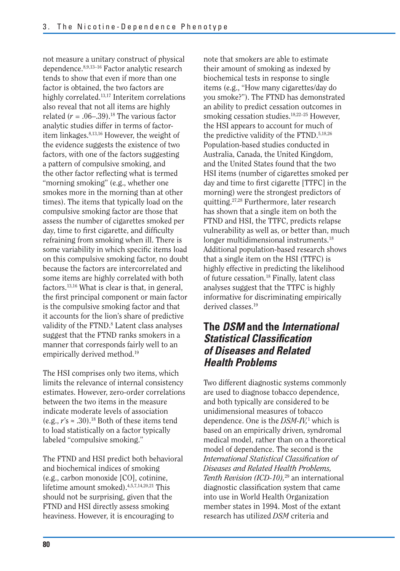not measure a unitary construct of physical dependence.8,9,13–16 Factor analytic research tends to show that even if more than one factor is obtained, the two factors are highly correlated.13,17 Interitem correlations also reveal that not all items are highly related  $(r = .06-0.39).$ <sup>18</sup> The various factor analytic studies differ in terms of factoritem linkages.8,13,16 However, the weight of the evidence suggests the existence of two factors, with one of the factors suggesting a pattern of compulsive smoking, and the other factor reflecting what is termed "morning smoking" (e.g., whether one smokes more in the morning than at other times). The items that typically load on the compulsive smoking factor are those that assess the number of cigarettes smoked per day, time to first cigarette, and difficulty refraining from smoking when ill. There is some variability in which specific items load on this compulsive smoking factor, no doubt because the factors are intercorrelated and some items are highly correlated with both factors.13,16 What is clear is that, in general, the first principal component or main factor is the compulsive smoking factor and that it accounts for the lion's share of predictive validity of the FTND.<sup>8</sup> Latent class analyses suggest that the FTND ranks smokers in a manner that corresponds fairly well to an empirically derived method.19

The HSI comprises only two items, which limits the relevance of internal consistency estimates. However, zero-order correlations between the two items in the measure indicate moderate levels of association (e.g.,  $r's \approx .30$ ).<sup>18</sup> Both of these items tend to load statistically on a factor typically labeled "compulsive smoking."

The FTND and HSI predict both behavioral and biochemical indices of smoking (e.g., carbon monoxide [CO], cotinine, lifetime amount smoked).4,5,7,14,20,21 This should not be surprising, given that the FTND and HSI directly assess smoking heaviness. However, it is encouraging to

note that smokers are able to estimate their amount of smoking as indexed by biochemical tests in response to single items (e.g., "How many cigarettes/day do you smoke?"). The FTND has demonstrated an ability to predict cessation outcomes in smoking cessation studies.18,22–25 However, the HSI appears to account for much of the predictive validity of the FTND.5,18,26 Population-based studies conducted in Australia, Canada, the United Kingdom, and the United States found that the two HSI items (number of cigarettes smoked per day and time to first cigarette [TTFC] in the morning) were the strongest predictors of quitting.27,28 Furthermore, later research has shown that a single item on both the FTND and HSI, the TTFC, predicts relapse vulnerability as well as, or better than, much longer multidimensional instruments.<sup>18</sup> Additional population-based research shows that a single item on the HSI (TTFC) is highly effective in predicting the likelihood of future cessation.18 Finally, latent class analyses suggest that the TTFC is highly informative for discriminating empirically derived classes.<sup>19</sup>

## **The** *DSM* **and the** *International Statistical Classifi cation of Diseases and Related Health Problems*

Two different diagnostic systems commonly are used to diagnose tobacco dependence, and both typically are considered to be unidimensional measures of tobacco dependence. One is the *DSM-IV,*<sup>1</sup> which is based on an empirically driven, syndromal medical model, rather than on a theoretical model of dependence. The second is the *International Statistical Classifi cation of Diseases and Related Health Problems, Tenth Revision (ICD-10),*29 an international diagnostic classification system that came into use in World Health Organization member states in 1994. Most of the extant research has utilized *DSM* criteria and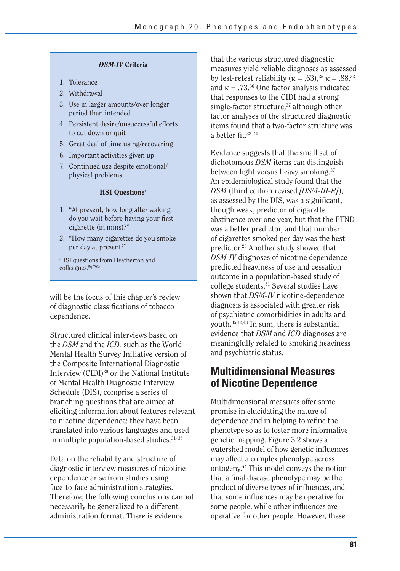#### *DSM-IV* **Criteria**

- 1. Tolerance
- 2. Withdrawal
- 3. Use in larger amounts/over longer period than intended
- 4. Persistent desire/unsuccessful efforts to cut down or quit
- 5. Great deal of time using/recovering
- 6. Important activities given up
- 7. Continued use despite emotional/ physical problems

#### **HSI Questions<sup>a</sup>**

- 1. "At present, how long after waking do you wait before having your first cigarette (in mins)?"
- 2. "How many cigarettes do you smoke per day at present?"

a HSI questions from Heatherton and colleagues.5(p793)

will be the focus of this chapter's review of diagnostic classifications of tobacco dependence.

Structured clinical interviews based on the *DSM* and the *ICD,* such as the World Mental Health Survey Initiative version of the Composite International Diagnostic Interview (CIDI)30 or the National Institute of Mental Health Diagnostic Interview Schedule (DIS), comprise a series of branching questions that are aimed at eliciting information about features relevant to nicotine dependence; they have been translated into various languages and used in multiple population-based studies.31–34

Data on the reliability and structure of diagnostic interview measures of nicotine dependence arise from studies using face-to-face administration strategies. Therefore, the following conclusions cannot necessarily be generalized to a different administration format. There is evidence

by test-retest reliability ( $\kappa = .63$ ),<sup>35</sup>  $\kappa = .88$ ,<sup>33</sup> that the various structured diagnostic measures yield reliable diagnoses as assessed and  $\kappa = .73^{36}$  One factor analysis indicated that responses to the CIDI had a strong single-factor structure,<sup>37</sup> although other factor analyses of the structured diagnostic items found that a two-factor structure was a better fit. $38-40$ 

Evidence suggests that the small set of dichotomous *DSM* items can distinguish between light versus heavy smoking.37 An epidemiological study found that the *DSM* (third edition revised *[DSM-III-R]*), as assessed by the DIS, was a significant, though weak, predictor of cigarette abstinence over one year, but that the FTND was a better predictor, and that number of cigarettes smoked per day was the best predictor.26 Another study showed that *DSM-IV* diagnoses of nicotine dependence predicted heaviness of use and cessation outcome in a population-based study of college students.41 Several studies have shown that *DSM-IV* nicotine-dependence diagnosis is associated with greater risk of psychiatric comorbidities in adults and youth.35,42,43 In sum, there is substantial evidence that *DSM* and *ICD* diagnoses are meaningfully related to smoking heaviness and psychiatric status.

## **Multidimensional Measures of Nicotine Dependence**

Multidimensional measures offer some promise in elucidating the nature of dependence and in helping to refine the phenotype so as to foster more informative genetic mapping. Figure 3.2 shows a watershed model of how genetic influences may affect a complex phenotype across ontogeny.44 This model conveys the notion that a final disease phenotype may be the product of diverse types of influences, and that some influences may be operative for some people, while other influences are operative for other people. However, these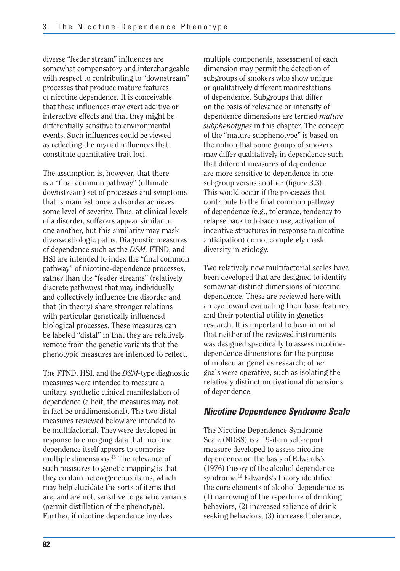diverse "feeder stream" influences are somewhat compensatory and interchangeable with respect to contributing to "downstream" processes that produce mature features of nicotine dependence. It is conceivable that these influences may exert additive or interactive effects and that they might be differentially sensitive to environmental events. Such influences could be viewed as reflecting the myriad influences that constitute quantitative trait loci.

The assumption is, however, that there is a "final common pathway" (ultimate downstream) set of processes and symptoms that is manifest once a disorder achieves some level of severity. Thus, at clinical levels of a disorder, sufferers appear similar to one another, but this similarity may mask diverse etiologic paths. Diagnostic measures of dependence such as the *DSM,* FTND, and HSI are intended to index the "final common pathway" of nicotine-dependence processes, rather than the "feeder streams" (relatively discrete pathways) that may individually and collectively influence the disorder and that (in theory) share stronger relations with particular genetically influenced biological processes. These measures can be labeled "distal" in that they are relatively remote from the genetic variants that the phenotypic measures are intended to reflect.

The FTND, HSI, and the *DSM-*type diagnostic measures were intended to measure a unitary, synthetic clinical manifestation of dependence (albeit, the measures may not in fact be unidimensional). The two distal measures reviewed below are intended to be multifactorial. They were developed in response to emerging data that nicotine dependence itself appears to comprise multiple dimensions.45 The relevance of such measures to genetic mapping is that they contain heterogeneous items, which may help elucidate the sorts of items that are, and are not, sensitive to genetic variants (permit distillation of the phenotype). Further, if nicotine dependence involves

multiple components, assessment of each dimension may permit the detection of subgroups of smokers who show unique or qualitatively different manifestations of dependence. Subgroups that differ on the basis of relevance or intensity of dependence dimensions are termed *mature subphenotypes* in this chapter. The concept of the "mature subphenotype" is based on the notion that some groups of smokers may differ qualitatively in dependence such that different measures of dependence are more sensitive to dependence in one subgroup versus another (figure 3.3). This would occur if the processes that contribute to the final common pathway of dependence (e.g., tolerance, tendency to relapse back to tobacco use, activation of incentive structures in response to nicotine anticipation) do not completely mask diversity in etiology.

Two relatively new multifactorial scales have been developed that are designed to identify somewhat distinct dimensions of nicotine dependence. These are reviewed here with an eye toward evaluating their basic features and their potential utility in genetics research. It is important to bear in mind that neither of the reviewed instruments was designed specifically to assess nicotinedependence dimensions for the purpose of molecular genetics research; other goals were operative, such as isolating the relatively distinct motivational dimensions of dependence.

### *Nicotine Dependence Syndrome Scale*

The Nicotine Dependence Syndrome Scale (NDSS) is a 19-item self-report measure developed to assess nicotine dependence on the basis of Edwards's (1976) theory of the alcohol dependence syndrome.<sup>46</sup> Edwards's theory identified the core elements of alcohol dependence as (1) narrowing of the repertoire of drinking behaviors, (2) increased salience of drinkseeking behaviors, (3) increased tolerance,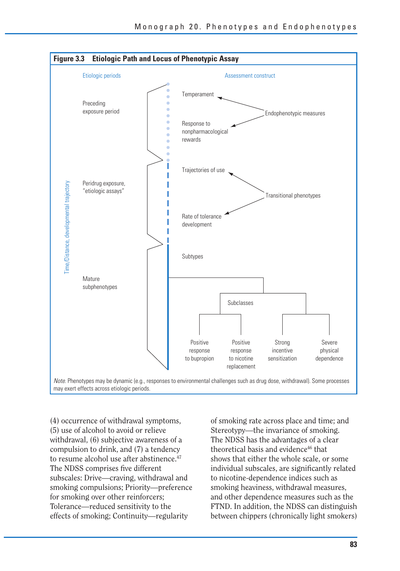

(4) occurrence of withdrawal symptoms, (5) use of alcohol to avoid or relieve withdrawal, (6) subjective awareness of a compulsion to drink, and (7) a tendency to resume alcohol use after abstinence.<sup>47</sup> The NDSS comprises five different subscales: Drive—craving, withdrawal and smoking compulsions; Priority—preference for smoking over other reinforcers; Tolerance—reduced sensitivity to the effects of smoking; Continuity—regularity

of smoking rate across place and time; and Stereotypy—the invariance of smoking. The NDSS has the advantages of a clear theoretical basis and evidence<sup>46</sup> that shows that either the whole scale, or some individual subscales, are significantly related to nicotine-dependence indices such as smoking heaviness, withdrawal measures, and other dependence measures such as the FTND. In addition, the NDSS can distinguish between chippers (chronically light smokers)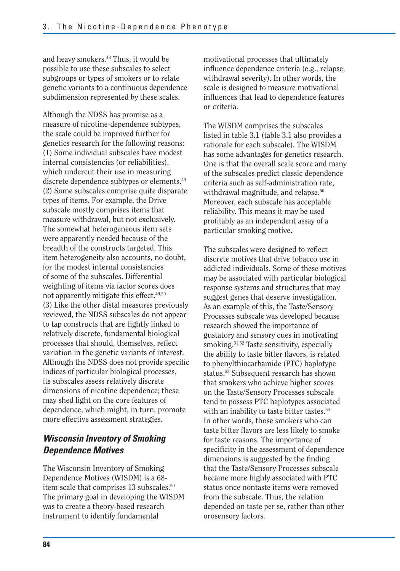and heavy smokers.48 Thus, it would be possible to use these subscales to select subgroups or types of smokers or to relate genetic variants to a continuous dependence subdimension represented by these scales.

Although the NDSS has promise as a measure of nicotine-dependence subtypes, the scale could be improved further for genetics research for the following reasons: (1) Some individual subscales have modest internal consistencies (or reliabilities), which undercut their use in measuring discrete dependence subtypes or elements.<sup>49</sup> (2) Some subscales comprise quite disparate types of items. For example, the Drive subscale mostly comprises items that measure withdrawal, but not exclusively. The somewhat heterogeneous item sets were apparently needed because of the breadth of the constructs targeted. This item heterogeneity also accounts, no doubt, for the modest internal consistencies of some of the subscales. Differential weighting of items via factor scores does not apparently mitigate this effect.<sup>49,50</sup> (3) Like the other distal measures previously reviewed, the NDSS subscales do not appear to tap constructs that are tightly linked to relatively discrete, fundamental biological processes that should, themselves, reflect variation in the genetic variants of interest. Although the NDSS does not provide specific indices of particular biological processes, its subscales assess relatively discrete dimensions of nicotine dependence; these may shed light on the core features of dependence, which might, in turn, promote more effective assessment strategies.

## *Wisconsin Inventory of Smoking Dependence Motives*

The Wisconsin Inventory of Smoking Dependence Motives (WISDM) is a 68 item scale that comprises 13 subscales.<sup>50</sup> The primary goal in developing the WISDM was to create a theory-based research instrument to identify fundamental

motivational processes that ultimately influence dependence criteria (e.g., relapse, withdrawal severity). In other words, the scale is designed to measure motivational influences that lead to dependence features or criteria.

The WISDM comprises the subscales listed in table 3.1 (table 3.1 also provides a rationale for each subscale). The WISDM has some advantages for genetics research. One is that the overall scale score and many of the subscales predict classic dependence criteria such as self-administration rate, withdrawal magnitude, and relapse.<sup>50</sup> Moreover, each subscale has acceptable reliability. This means it may be used profitably as an independent assay of a particular smoking motive.

The subscales were designed to reflect discrete motives that drive tobacco use in addicted individuals. Some of these motives may be associated with particular biological response systems and structures that may suggest genes that deserve investigation. As an example of this, the Taste/Sensory Processes subscale was developed because research showed the importance of gustatory and sensory cues in motivating smoking.<sup>51,52</sup> Taste sensitivity, especially the ability to taste bitter flavors, is related to phenylthiocarbamide (PTC) haplotype status.53 Subsequent research has shown that smokers who achieve higher scores on the Taste/Sensory Processes subscale tend to possess PTC haplotypes associated with an inability to taste bitter tastes.<sup>54</sup> In other words, those smokers who can taste bitter flavors are less likely to smoke for taste reasons. The importance of specificity in the assessment of dependence dimensions is suggested by the finding that the Taste/Sensory Processes subscale became more highly associated with PTC status once nontaste items were removed from the subscale. Thus, the relation depended on taste per se, rather than other orosensory factors.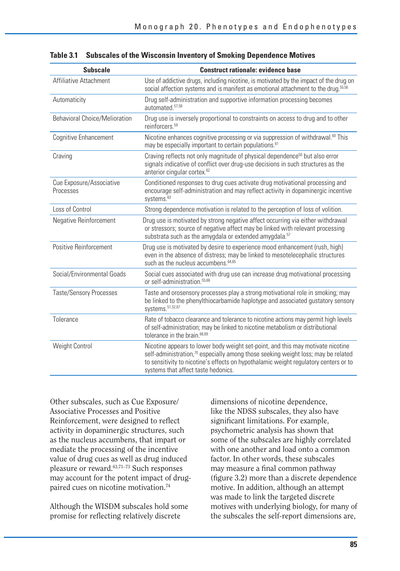| <b>Subscale</b>                       | <b>Construct rationale: evidence base</b>                                                                                                                                                                                                                                                                       |
|---------------------------------------|-----------------------------------------------------------------------------------------------------------------------------------------------------------------------------------------------------------------------------------------------------------------------------------------------------------------|
| Affiliative Attachment                | Use of addictive drugs, including nicotine, is motivated by the impact of the drug on<br>social affection systems and is manifest as emotional attachment to the drug. <sup>55,56</sup>                                                                                                                         |
| Automaticity                          | Drug self-administration and supportive information processing becomes<br>automated 57,58                                                                                                                                                                                                                       |
| <b>Behavioral Choice/Melioration</b>  | Drug use is inversely proportional to constraints on access to drug and to other<br>reinforcers. <sup>59</sup>                                                                                                                                                                                                  |
| Cognitive Enhancement                 | Nicotine enhances cognitive processing or via suppression of withdrawal. <sup>60</sup> This<br>may be especially important to certain populations. <sup>61</sup>                                                                                                                                                |
| Craving                               | Craving reflects not only magnitude of physical dependence <sup>50</sup> but also error<br>signals indicative of conflict over drug-use decisions in such structures as the<br>anterior cingular cortex. <sup>62</sup>                                                                                          |
| Cue Exposure/Associative<br>Processes | Conditioned responses to drug cues activate drug motivational processing and<br>encourage self-administration and may reflect activity in dopaminergic incentive<br>systems. <sup>63</sup>                                                                                                                      |
| Loss of Control                       | Strong dependence motivation is related to the perception of loss of volition.                                                                                                                                                                                                                                  |
| Negative Reinforcement                | Drug use is motivated by strong negative affect occurring via either withdrawal<br>or stressors; source of negative affect may be linked with relevant processing<br>substrata such as the amygdala or extended amygdala. <sup>57</sup>                                                                         |
| Positive Reinforcement                | Drug use is motivated by desire to experience mood enhancement (rush, high)<br>even in the absence of distress; may be linked to mesotelecephalic structures<br>such as the nucleus accumbens. <sup>64,65</sup>                                                                                                 |
| Social/Environmental Goads            | Social cues associated with drug use can increase drug motivational processing<br>or self-administration. <sup>55,66</sup>                                                                                                                                                                                      |
| <b>Taste/Sensory Processes</b>        | Taste and orosensory processes play a strong motivational role in smoking; may<br>be linked to the phenylthiocarbamide haplotype and associated gustatory sensory<br>systems. 51,52,67                                                                                                                          |
| Tolerance                             | Rate of tobacco clearance and tolerance to nicotine actions may permit high levels<br>of self-administration; may be linked to nicotine metabolism or distributional<br>tolerance in the brain. <sup>68,69</sup>                                                                                                |
| Weight Control                        | Nicotine appears to lower body weight set-point, and this may motivate nicotine<br>self-administration, <sup>70</sup> especially among those seeking weight loss; may be related<br>to sensitivity to nicotine's effects on hypothalamic weight regulatory centers or to<br>systems that affect taste hedonics. |

Other subscales, such as Cue Exposure/ Associative Processes and Positive Reinforcement, were designed to reflect activity in dopaminergic structures, such as the nucleus accumbens, that impart or mediate the processing of the incentive value of drug cues as well as drug induced pleasure or reward.63,71–73 Such responses may account for the potent impact of drugpaired cues on nicotine motivation.74

Although the WISDM subscales hold some promise for reflecting relatively discrete

dimensions of nicotine dependence, like the NDSS subscales, they also have significant limitations. For example, psychometric analysis has shown that some of the subscales are highly correlated with one another and load onto a common factor. In other words, these subscales may measure a final common pathway (figure 3.2) more than a discrete dependence motive. In addition, although an attempt was made to link the targeted discrete motives with underlying biology, for many of the subscales the self-report dimensions are,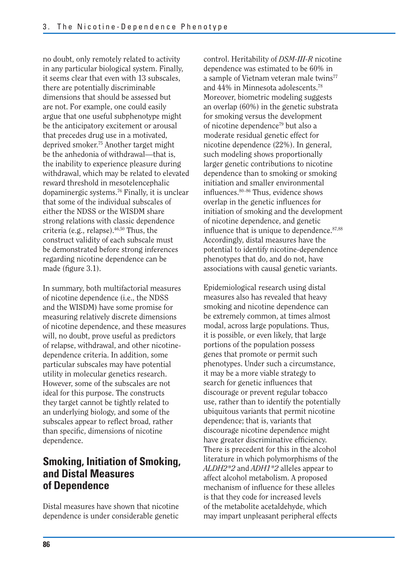no doubt, only remotely related to activity in any particular biological system. Finally, it seems clear that even with 13 subscales, there are potentially discriminable dimensions that should be assessed but are not. For example, one could easily argue that one useful subphenotype might be the anticipatory excitement or arousal that precedes drug use in a motivated, deprived smoker.75 Another target might be the anhedonia of withdrawal—that is, the inability to experience pleasure during withdrawal, which may be related to elevated reward threshold in mesotelencephalic dopaminergic systems.76 Finally, it is unclear that some of the individual subscales of either the NDSS or the WISDM share strong relations with classic dependence criteria (e.g., relapse).46,50 Thus, the construct validity of each subscale must be demonstrated before strong inferences regarding nicotine dependence can be made (figure 3.1).

In summary, both multifactorial measures of nicotine dependence (i.e., the NDSS and the WISDM) have some promise for measuring relatively discrete dimensions of nicotine dependence, and these measures will, no doubt, prove useful as predictors of relapse, withdrawal, and other nicotinedependence criteria. In addition, some particular subscales may have potential utility in molecular genetics research. However, some of the subscales are not ideal for this purpose. The constructs they target cannot be tightly related to an underlying biology, and some of the subscales appear to reflect broad, rather than specific, dimensions of nicotine dependence.

## **Smoking, Initiation of Smoking, and Distal Measures of Dependence**

Distal measures have shown that nicotine dependence is under considerable genetic

control. Heritability of *DSM-III-R* nicotine dependence was estimated to be 60% in a sample of Vietnam veteran male twins<sup>77</sup> and 44% in Minnesota adolescents.78 Moreover, biometric modeling suggests an overlap (60%) in the genetic substrata for smoking versus the development of nicotine dependence79 but also a moderate residual genetic effect for nicotine dependence (22%). In general, such modeling shows proportionally larger genetic contributions to nicotine dependence than to smoking or smoking initiation and smaller environmental influences.<sup>80–86</sup> Thus, evidence shows overlap in the genetic influences for initiation of smoking and the development of nicotine dependence, and genetic influence that is unique to dependence.<sup>87,88</sup> Accordingly, distal measures have the potential to identify nicotine-dependence phenotypes that do, and do not, have associations with causal genetic variants.

Epidemiological research using distal measures also has revealed that heavy smoking and nicotine dependence can be extremely common, at times almost modal, across large populations. Thus, it is possible, or even likely, that large portions of the population possess genes that promote or permit such phenotypes. Under such a circumstance, it may be a more viable strategy to search for genetic influences that discourage or prevent regular tobacco use, rather than to identify the potentially ubiquitous variants that permit nicotine dependence; that is, variants that discourage nicotine dependence might have greater discriminative efficiency. There is precedent for this in the alcohol literature in which polymorphisms of the *ALDH2\*2* and *ADH1\*2* alleles appear to affect alcohol metabolism. A proposed mechanism of influence for these alleles is that they code for increased levels of the metabolite acetaldehyde, which may impart unpleasant peripheral effects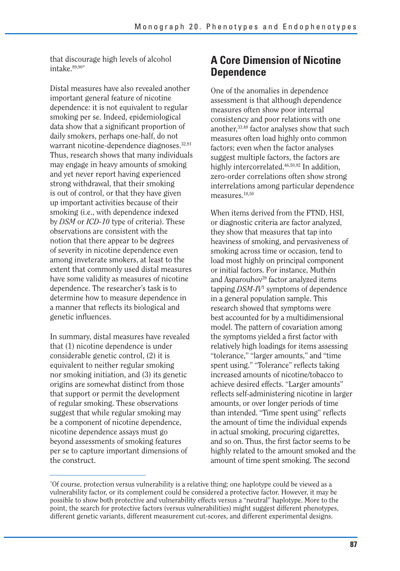Distal measures have also revealed another important general feature of nicotine dependence: it is not equivalent to regular smoking per se. Indeed, epidemiological data show that a significant proportion of daily smokers, perhaps one-half, do not warrant nicotine-dependence diagnoses.<sup>32,91</sup> Thus, research shows that many individuals may engage in heavy amounts of smoking and yet never report having experienced strong withdrawal, that their smoking is out of control, or that they have given up important activities because of their smoking (i.e., with dependence indexed by *DSM* or *ICD-10* type of criteria). These observations are consistent with the notion that there appear to be degrees of severity in nicotine dependence even among inveterate smokers, at least to the extent that commonly used distal measures have some validity as measures of nicotine dependence. The researcher's task is to determine how to measure dependence in a manner that reflects its biological and genetic influences.

In summary, distal measures have revealed that (1) nicotine dependence is under considerable genetic control, (2) it is equivalent to neither regular smoking nor smoking initiation, and (3) its genetic origins are somewhat distinct from those that support or permit the development of regular smoking. These observations suggest that while regular smoking may be a component of nicotine dependence, nicotine dependence assays must go beyond assessments of smoking features per se to capture important dimensions of the construct.

## that discourage high levels of alcohol **A Core Dimension of Nicotine** intake.<sup>89,90\*</sup> **Dependence**

One of the anomalies in dependence assessment is that although dependence measures often show poor internal consistency and poor relations with one another,33,49 factor analyses show that such measures often load highly onto common factors; even when the factor analyses suggest multiple factors, the factors are highly intercorrelated.<sup>46,50,92</sup> In addition. zero-order correlations often show strong interrelations among particular dependence measures.18,50

When items derived from the FTND, HSI, or diagnostic criteria are factor analyzed, they show that measures that tap into heaviness of smoking, and pervasiveness of smoking across time or occasion, tend to load most highly on principal component or initial factors. For instance, Muthén and Asparouhov<sup>39</sup> factor analyzed items tapping *DSM-IV*<sup>1</sup> symptoms of dependence in a general population sample. This research showed that symptoms were best accounted for by a multidimensional model. The pattern of covariation among the symptoms yielded a first factor with relatively high loadings for items assessing "tolerance," "larger amounts," and "time spent using." "Tolerance" reflects taking increased amounts of nicotine/tobacco to achieve desired effects. "Larger amounts" reflects self-administering nicotine in larger amounts, or over longer periods of time than intended. "Time spent using" reflects the amount of time the individual expends in actual smoking, procuring cigarettes, and so on. Thus, the first factor seems to be highly related to the amount smoked and the amount of time spent smoking. The second

<sup>\*</sup> Of course, protection versus vulnerability is a relative thing; one haplotype could be viewed as a vulnerability factor, or its complement could be considered a protective factor. However, it may be possible to show both protective and vulnerability effects versus a "neutral" haplotype. More to the point, the search for protective factors (versus vulnerabilities) might suggest different phenotypes, different genetic variants, different measurement cut-scores, and different experimental designs.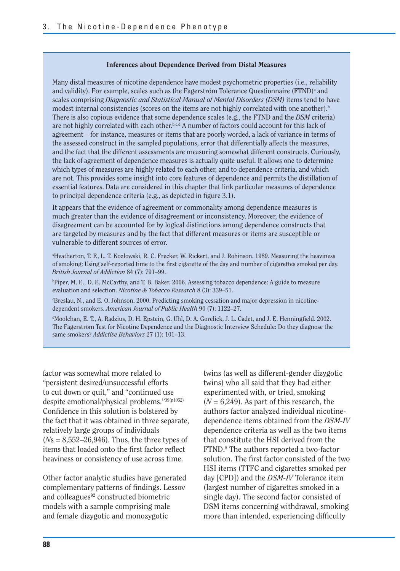#### **Inferences about Dependence Derived from Distal Measures**

Many distal measures of nicotine dependence have modest psychometric properties (i.e., reliability and validity). For example, scales such as the Fagerström Tolerance Questionnaire (FTND)<sup>a</sup> and scales comprising *Diagnostic and Statistical Manual of Mental Disorders (DSM)* items tend to have modest internal consistencies (scores on the items are not highly correlated with one another).<sup>b</sup> There is also copious evidence that some dependence scales (e.g., the FTND and the *DSM* criteria) are not highly correlated with each other.<sup>b,c,d</sup> A number of factors could account for this lack of agreement—for instance, measures or items that are poorly worded, a lack of variance in terms of the assessed construct in the sampled populations, error that differentially affects the measures, and the fact that the different assessments are measuring somewhat different constructs. Curiously, the lack of agreement of dependence measures is actually quite useful. It allows one to determine which types of measures are highly related to each other, and to dependence criteria, and which are not. This provides some insight into core features of dependence and permits the distillation of essential features. Data are considered in this chapter that link particular measures of dependence to principal dependence criteria (e.g., as depicted in figure 3.1).

It appears that the evidence of agreement or commonality among dependence measures is much greater than the evidence of disagreement or inconsistency. Moreover, the evidence of disagreement can be accounted for by logical distinctions among dependence constructs that are targeted by measures and by the fact that different measures or items are susceptible or vulnerable to different sources of error.

a Heatherton, T. F., L. T. Kozlowski, R. C. Frecker, W. Rickert, and J. Robinson. 1989. Measuring the heaviness of smoking: Using self-reported time to the first cigarette of the day and number of cigarettes smoked per day. *British Journal of Addiction* 84 (7): 791–99.

b Piper, M. E., D. E. McCarthy, and T. B. Baker. 2006. Assessing tobacco dependence: A guide to measure evaluation and selection. *Nicotine & Tobacco Research* 8 (3): 339–51.

c Breslau, N., and E. O. Johnson. 2000. Predicting smoking cessation and major depression in nicotine dependent smokers. *American Journal of Public Health* 90 (7): 1122–27.

dMoolchan, E. T., A. Radzius, D. H. Epstein, G. Uhl, D. A. Gorelick, J. L. Cadet, and J. E. Henningfield. 2002. The Fagerström Test for Nicotine Dependence and the Diagnostic Interview Schedule: Do they diagnose the same smokers? *Addictive Behaviors* 27 (1): 101–13.

factor was somewhat more related to "persistent desired/unsuccessful efforts to cut down or quit," and "continued use despite emotional/physical problems."39(p1052) Confidence in this solution is bolstered by the fact that it was obtained in three separate, relatively large groups of individuals (*N*s = 8,552–26,946). Thus, the three types of items that loaded onto the first factor reflect heaviness or consistency of use across time.

Other factor analytic studies have generated complementary patterns of findings. Lessov and colleagues $92$  constructed biometric models with a sample comprising male and female dizygotic and monozygotic

twins (as well as different-gender dizygotic twins) who all said that they had either experimented with, or tried, smoking  $(N = 6,249)$ . As part of this research, the authors factor analyzed individual nicotinedependence items obtained from the *DSM-IV*  dependence criteria as well as the two items that constitute the HSI derived from the FTND.<sup>5</sup> The authors reported a two-factor solution. The first factor consisted of the two HSI items (TTFC and cigarettes smoked per day [CPD]) and the *DSM-IV* Tolerance item (largest number of cigarettes smoked in a single day). The second factor consisted of DSM items concerning withdrawal, smoking more than intended, experiencing difficulty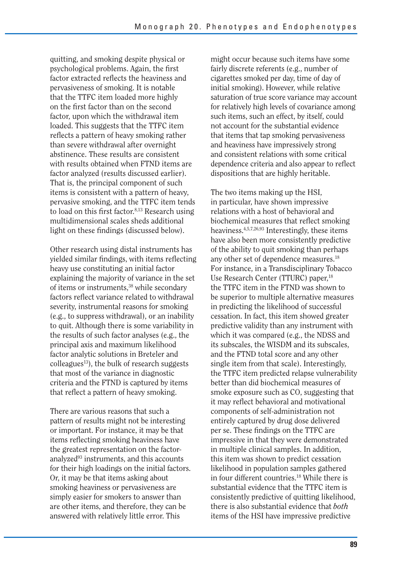quitting, and smoking despite physical or psychological problems. Again, the first factor extracted reflects the heaviness and pervasiveness of smoking. It is notable that the TTFC item loaded more highly on the first factor than on the second factor, upon which the withdrawal item loaded. This suggests that the TTFC item reflects a pattern of heavy smoking rather than severe withdrawal after overnight abstinence. These results are consistent with results obtained when FTND items are factor analyzed (results discussed earlier). That is, the principal component of such items is consistent with a pattern of heavy, pervasive smoking, and the TTFC item tends to load on this first factor. $8,13$  Research using multidimensional scales sheds additional light on these findings (discussed below).

Other research using distal instruments has yielded similar findings, with items reflecting heavy use constituting an initial factor explaining the majority of variance in the set of items or instruments,38 while secondary factors reflect variance related to withdrawal severity, instrumental reasons for smoking (e.g., to suppress withdrawal), or an inability to quit. Although there is some variability in the results of such factor analyses (e.g., the principal axis and maximum likelihood factor analytic solutions in Breteler and  $\text{colle}$ gues<sup>13</sup>), the bulk of research suggests that most of the variance in diagnostic criteria and the FTND is captured by items that reflect a pattern of heavy smoking.

There are various reasons that such a pattern of results might not be interesting or important. For instance, it may be that items reflecting smoking heaviness have the greatest representation on the factoranalyzed<sup>93</sup> instruments, and this accounts for their high loadings on the initial factors. Or, it may be that items asking about smoking heaviness or pervasiveness are simply easier for smokers to answer than are other items, and therefore, they can be answered with relatively little error. This

might occur because such items have some fairly discrete referents (e.g., number of cigarettes smoked per day, time of day of initial smoking). However, while relative saturation of true score variance may account for relatively high levels of covariance among such items, such an effect, by itself, could not account for the substantial evidence that items that tap smoking pervasiveness and heaviness have impressively strong and consistent relations with some critical dependence criteria and also appear to reflect dispositions that are highly heritable.

The two items making up the HSI, in particular, have shown impressive relations with a host of behavioral and biochemical measures that reflect smoking heaviness.4,5,7,26,93 Interestingly, these items have also been more consistently predictive of the ability to quit smoking than perhaps any other set of dependence measures.<sup>18</sup> For instance, in a Transdisciplinary Tobacco Use Research Center (TTURC) paper,<sup>18</sup> the TTFC item in the FTND was shown to be superior to multiple alternative measures in predicting the likelihood of successful cessation. In fact, this item showed greater predictive validity than any instrument with which it was compared (e.g., the NDSS and its subscales, the WISDM and its subscales, and the FTND total score and any other single item from that scale). Interestingly, the TTFC item predicted relapse vulnerability better than did biochemical measures of smoke exposure such as CO, suggesting that it may reflect behavioral and motivational components of self-administration not entirely captured by drug dose delivered per se. These findings on the TTFC are impressive in that they were demonstrated in multiple clinical samples. In addition, this item was shown to predict cessation likelihood in population samples gathered in four different countries.18 While there is substantial evidence that the TTFC item is consistently predictive of quitting likelihood, there is also substantial evidence that *both*  items of the HSI have impressive predictive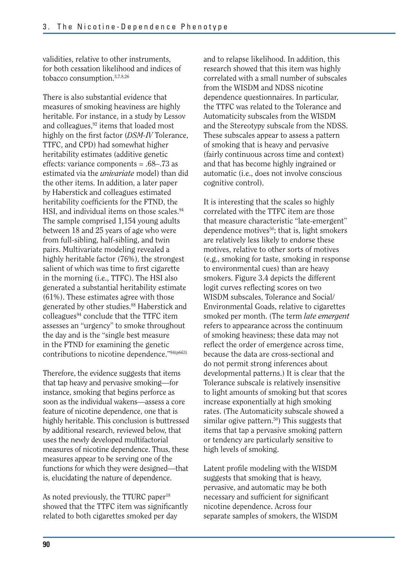validities, relative to other instruments, for both cessation likelihood and indices of tobacco consumption.3,7,8,26

There is also substantial evidence that measures of smoking heaviness are highly heritable. For instance, in a study by Lessov and colleagues,<sup>92</sup> items that loaded most highly on the first factor (*DSM-IV* Tolerance, TTFC, and CPD) had somewhat higher heritability estimates (additive genetic effects: variance components = .68–.73 as estimated via the *univariate* model) than did the other items. In addition, a later paper by Haberstick and colleagues estimated heritability coefficients for the FTND, the HSI, and individual items on those scales.<sup>94</sup> The sample comprised 1,154 young adults between 18 and 25 years of age who were from full-sibling, half-sibling, and twin pairs. Multivariate modeling revealed a highly heritable factor (76%), the strongest salient of which was time to first cigarette in the morning (i.e., TTFC). The HSI also generated a substantial heritability estimate (61%). These estimates agree with those generated by other studies.<sup>88</sup> Haberstick and colleagues<sup>94</sup> conclude that the TTFC item assesses an "urgency" to smoke throughout the day and is the "single best measure in the FTND for examining the genetic contributions to nicotine dependence."94(p663)

Therefore, the evidence suggests that items that tap heavy and pervasive smoking—for instance, smoking that begins perforce as soon as the individual wakens—assess a core feature of nicotine dependence, one that is highly heritable. This conclusion is buttressed by additional research, reviewed below, that uses the newly developed multifactorial measures of nicotine dependence. Thus, these measures appear to be serving one of the functions for which they were designed—that is, elucidating the nature of dependence.

As noted previously, the TTURC paper<sup>18</sup> showed that the TTFC item was significantly related to both cigarettes smoked per day

and to relapse likelihood. In addition, this research showed that this item was highly correlated with a small number of subscales from the WISDM and NDSS nicotine dependence questionnaires. In particular, the TTFC was related to the Tolerance and Automaticity subscales from the WISDM and the Stereotypy subscale from the NDSS. These subscales appear to assess a pattern of smoking that is heavy and pervasive (fairly continuous across time and context) and that has become highly ingrained or automatic (i.e., does not involve conscious cognitive control).

It is interesting that the scales so highly correlated with the TTFC item are those that measure characteristic "late-emergent" dependence motives<sup>50</sup>; that is, light smokers are relatively less likely to endorse these motives, relative to other sorts of motives (e.g., smoking for taste, smoking in response to environmental cues) than are heavy smokers. Figure 3.4 depicts the different logit curves reflecting scores on two WISDM subscales, Tolerance and Social/ Environmental Goads, relative to cigarettes smoked per month. (The term *late emergent*  refers to appearance across the continuum of smoking heaviness; these data may not reflect the order of emergence across time, because the data are cross-sectional and do not permit strong inferences about developmental patterns.) It is clear that the Tolerance subscale is relatively insensitive to light amounts of smoking but that scores increase exponentially at high smoking rates. (The Automaticity subscale showed a similar ogive pattern.<sup>50</sup>) This suggests that items that tap a pervasive smoking pattern or tendency are particularly sensitive to high levels of smoking.

Latent profile modeling with the WISDM suggests that smoking that is heavy, pervasive, and automatic may be both necessary and sufficient for significant nicotine dependence. Across four separate samples of smokers, the WISDM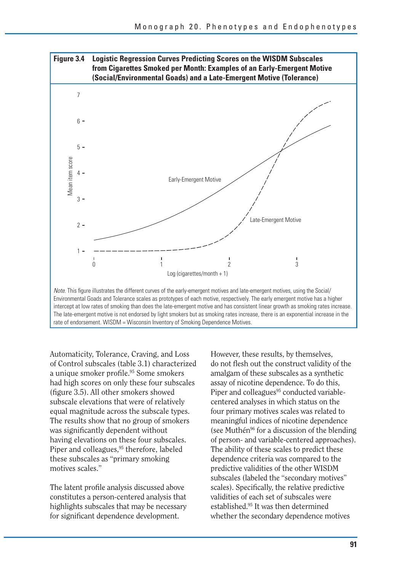

Automaticity, Tolerance, Craving, and Loss of Control subscales (table 3.1) characterized a unique smoker profile.<sup>95</sup> Some smokers had high scores on only these four subscales (figure 3.5). All other smokers showed subscale elevations that were of relatively equal magnitude across the subscale types. The results show that no group of smokers was significantly dependent without having elevations on these four subscales. Piper and colleagues,<sup>95</sup> therefore, labeled these subscales as "primary smoking motives scales."

The latent profile analysis discussed above constitutes a person-centered analysis that highlights subscales that may be necessary for significant dependence development.

However, these results, by themselves, do not flesh out the construct validity of the amalgam of these subscales as a synthetic assay of nicotine dependence. To do this, Piper and colleagues<sup>95</sup> conducted variablecentered analyses in which status on the four primary motives scales was related to meaningful indices of nicotine dependence (see Muthén<sup>96</sup> for a discussion of the blending of person- and variable-centered approaches). The ability of these scales to predict these dependence criteria was compared to the predictive validities of the other WISDM subscales (labeled the "secondary motives" scales). Specifically, the relative predictive validities of each set of subscales were established.95 It was then determined whether the secondary dependence motives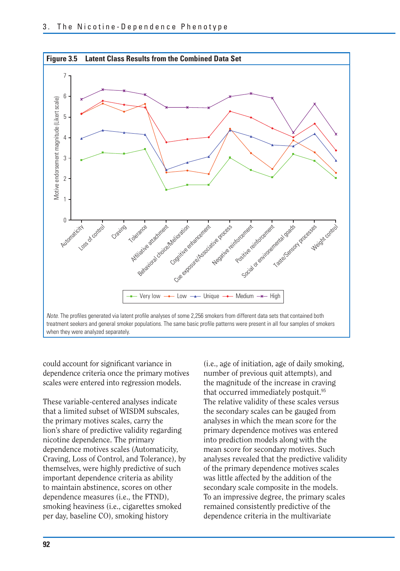

could account for significant variance in dependence criteria once the primary motives scales were entered into regression models.

These variable-centered analyses indicate that a limited subset of WISDM subscales, the primary motives scales, carry the lion's share of predictive validity regarding nicotine dependence. The primary dependence motives scales (Automaticity, Craving, Loss of Control, and Tolerance), by themselves, were highly predictive of such important dependence criteria as ability to maintain abstinence, scores on other dependence measures (i.e., the FTND), smoking heaviness (i.e., cigarettes smoked per day, baseline CO), smoking history

(i.e., age of initiation, age of daily smoking, number of previous quit attempts), and the magnitude of the increase in craving that occurred immediately postquit.<sup>95</sup> The relative validity of these scales versus the secondary scales can be gauged from analyses in which the mean score for the primary dependence motives was entered into prediction models along with the mean score for secondary motives. Such analyses revealed that the predictive validity of the primary dependence motives scales was little affected by the addition of the secondary scale composite in the models. To an impressive degree, the primary scales remained consistently predictive of the dependence criteria in the multivariate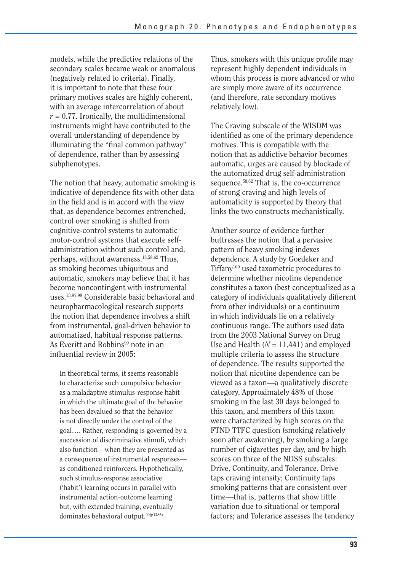models, while the predictive relations of the secondary scales became weak or anomalous (negatively related to criteria). Finally, it is important to note that these four primary motives scales are highly coherent, with an average intercorrelation of about  $r = 0.77$ . Ironically, the multidimensional instruments might have contributed to the overall understanding of dependence by illuminating the "final common pathway" of dependence, rather than by assessing subphenotypes.

The notion that heavy, automatic smoking is indicative of dependence fits with other data in the field and is in accord with the view that, as dependence becomes entrenched, control over smoking is shifted from cognitive-control systems to automatic motor-control systems that execute selfadministration without such control and, perhaps, without awareness.18,58,62 Thus, as smoking becomes ubiquitous and automatic, smokers may believe that it has become noncontingent with instrumental uses.13,97,98 Considerable basic behavioral and neuropharmacological research supports the notion that dependence involves a shift from instrumental, goal-driven behavior to automatized, habitual response patterns. As Everitt and Robbins<sup>99</sup> note in an influential review in 2005:

In theoretical terms, it seems reasonable to characterize such compulsive behavior as a maladaptive stimulus-response habit in which the ultimate goal of the behavior has been devalued so that the behavior is not directly under the control of the goal…. Rather, responding is governed by a succession of discriminative stimuli, which also function—when they are presented as a consequence of instrumental responses as conditioned reinforcers. Hypothetically, such stimulus-response associative ('habit') learning occurs in parallel with instrumental action-outcome learning but, with extended training, eventually dominates behavioral output.<sup>99(p1485)</sup>

Thus, smokers with this unique profile may represent highly dependent individuals in whom this process is more advanced or who are simply more aware of its occurrence (and therefore, rate secondary motives relatively low).

The Craving subscale of the WISDM was identified as one of the primary dependence motives. This is compatible with the notion that as addictive behavior becomes automatic, urges are caused by blockade of the automatized drug self-administration sequence.58,62 That is, the co-occurrence of strong craving and high levels of automaticity is supported by theory that links the two constructs mechanistically.

Another source of evidence further buttresses the notion that a pervasive pattern of heavy smoking indexes dependence. A study by Goedeker and Tiffany100 used taxometric procedures to determine whether nicotine dependence constitutes a taxon (best conceptualized as a category of individuals qualitatively different from other individuals) or a continuum in which individuals lie on a relatively continuous range. The authors used data from the 2003 National Survey on Drug Use and Health  $(N = 11,441)$  and employed multiple criteria to assess the structure of dependence. The results supported the notion that nicotine dependence can be viewed as a taxon—a qualitatively discrete category. Approximately 48% of those smoking in the last 30 days belonged to this taxon, and members of this taxon were characterized by high scores on the FTND TTFC question (smoking relatively soon after awakening), by smoking a large number of cigarettes per day, and by high scores on three of the NDSS subscales: Drive, Continuity, and Tolerance. Drive taps craving intensity; Continuity taps smoking patterns that are consistent over time—that is, patterns that show little variation due to situational or temporal factors; and Tolerance assesses the tendency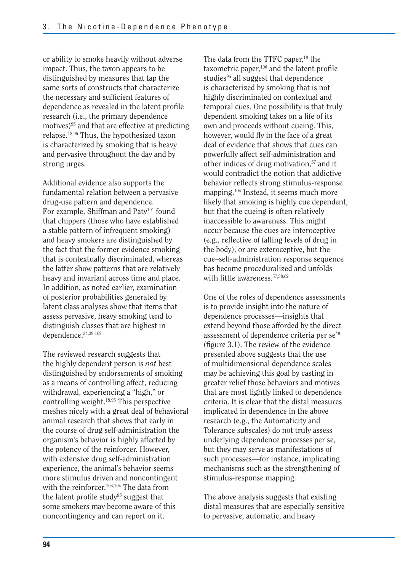or ability to smoke heavily without adverse impact. Thus, the taxon appears to be distinguished by measures that tap the same sorts of constructs that characterize the necessary and sufficient features of dependence as revealed in the latent profile research (i.e., the primary dependence motives)95 and that are effective at predicting relapse.18,95 Thus, the hypothesized taxon is characterized by smoking that is heavy and pervasive throughout the day and by strong urges.

Additional evidence also supports the fundamental relation between a pervasive drug-use pattern and dependence. For example, Shiffman and Paty<sup>101</sup> found that chippers (those who have established a stable pattern of infrequent smoking) and heavy smokers are distinguished by the fact that the former evidence smoking that is contextually discriminated, whereas the latter show patterns that are relatively heavy and invariant across time and place. In addition, as noted earlier, examination of posterior probabilities generated by latent class analyses show that items that assess pervasive, heavy smoking tend to distinguish classes that are highest in dependence.34,39,102

The reviewed research suggests that the highly dependent person is *not* best distinguished by endorsements of smoking as a means of controlling affect, reducing withdrawal, experiencing a "high," or controlling weight.18,95 This perspective meshes nicely with a great deal of behavioral animal research that shows that early in the course of drug self-administration the organism's behavior is highly affected by the potency of the reinforcer. However, with extensive drug self-administration experience, the animal's behavior seems more stimulus driven and noncontingent with the reinforcer.<sup>103,104</sup> The data from the latent profile study<sup>95</sup> suggest that some smokers may become aware of this noncontingency and can report on it.

The data from the TTFC paper,<sup>18</sup> the taxometric paper, $100$  and the latent profile studies<sup>95</sup> all suggest that dependence is characterized by smoking that is not highly discriminated on contextual and temporal cues. One possibility is that truly dependent smoking takes on a life of its own and proceeds without cueing. This, however, would fly in the face of a great deal of evidence that shows that cues can powerfully affect self-administration and other indices of drug motivation.<sup>57</sup> and it would contradict the notion that addictive behavior reflects strong stimulus-response mapping.104 Instead, it seems much more likely that smoking is highly cue dependent, but that the cueing is often relatively inaccessible to awareness. This might occur because the cues are interoceptive (e.g., reflective of falling levels of drug in the body), or are exteroceptive, but the cue–self-administration response sequence has become proceduralized and unfolds with little awareness.57,58,62

One of the roles of dependence assessments is to provide insight into the nature of dependence processes—insights that extend beyond those afforded by the direct assessment of dependence criteria per se<sup>49</sup> (figure 3.1). The review of the evidence presented above suggests that the use of multidimensional dependence scales may be achieving this goal by casting in greater relief those behaviors and motives that are most tightly linked to dependence criteria. It is clear that the distal measures implicated in dependence in the above research (e.g., the Automaticity and Tolerance subscales) do not truly assess underlying dependence processes per se, but they may serve as manifestations of such processes—for instance, implicating mechanisms such as the strengthening of stimulus-response mapping.

The above analysis suggests that existing distal measures that are especially sensitive to pervasive, automatic, and heavy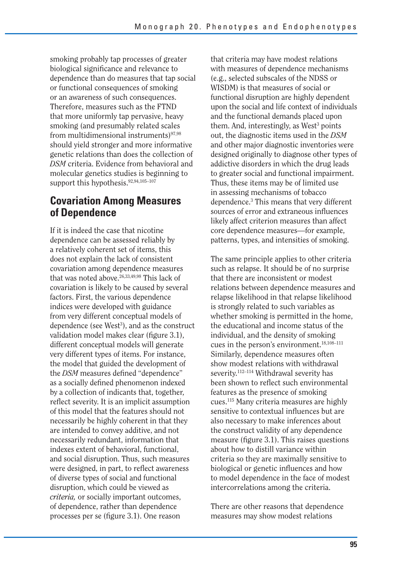smoking probably tap processes of greater biological significance and relevance to dependence than do measures that tap social or functional consequences of smoking or an awareness of such consequences. Therefore, measures such as the FTND that more uniformly tap pervasive, heavy smoking (and presumably related scales from multidimensional instruments $97,98$ should yield stronger and more informative genetic relations than does the collection of *DSM* criteria. Evidence from behavioral and molecular genetics studies is beginning to support this hypothesis.92,94,105–107

## **Covariation Among Measures of Dependence**

If it is indeed the case that nicotine dependence can be assessed reliably by a relatively coherent set of items, this does not explain the lack of consistent covariation among dependence measures that was noted above.26,33,49,98 This lack of covariation is likely to be caused by several factors. First, the various dependence indices were developed with guidance from very different conceptual models of dependence (see West<sup>3</sup>), and as the construct validation model makes clear (figure 3.1), different conceptual models will generate very different types of items. For instance, the model that guided the development of the *DSM* measures defined "dependence" as a socially defined phenomenon indexed by a collection of indicants that, together, reflect severity. It is an implicit assumption of this model that the features should not necessarily be highly coherent in that they are intended to convey additive, and not necessarily redundant, information that indexes extent of behavioral, functional, and social disruption. Thus, such measures were designed, in part, to reflect awareness of diverse types of social and functional disruption, which could be viewed as *criteria,* or socially important outcomes, of dependence, rather than dependence processes per se (figure 3.1). One reason

that criteria may have modest relations with measures of dependence mechanisms (e.g., selected subscales of the NDSS or WISDM) is that measures of social or functional disruption are highly dependent upon the social and life context of individuals and the functional demands placed upon them. And, interestingly, as West<sup>3</sup> points out, the diagnostic items used in the *DSM*  and other major diagnostic inventories were designed originally to diagnose other types of addictive disorders in which the drug leads to greater social and functional impairment. Thus, these items may be of limited use in assessing mechanisms of tobacco dependence.3 This means that very different sources of error and extraneous influences likely affect criterion measures than affect core dependence measures—for example, patterns, types, and intensities of smoking.

The same principle applies to other criteria such as relapse. It should be of no surprise that there are inconsistent or modest relations between dependence measures and relapse likelihood in that relapse likelihood is strongly related to such variables as whether smoking is permitted in the home, the educational and income status of the individual, and the density of smoking cues in the person's environment.18,108–111 Similarly, dependence measures often show modest relations with withdrawal severity.<sup>112–114</sup> Withdrawal severity has been shown to reflect such environmental features as the presence of smoking cues.115 Many criteria measures are highly sensitive to contextual influences but are also necessary to make inferences about the construct validity of any dependence measure (figure 3.1). This raises questions about how to distill variance within criteria so they are maximally sensitive to biological or genetic influences and how to model dependence in the face of modest intercorrelations among the criteria.

There are other reasons that dependence measures may show modest relations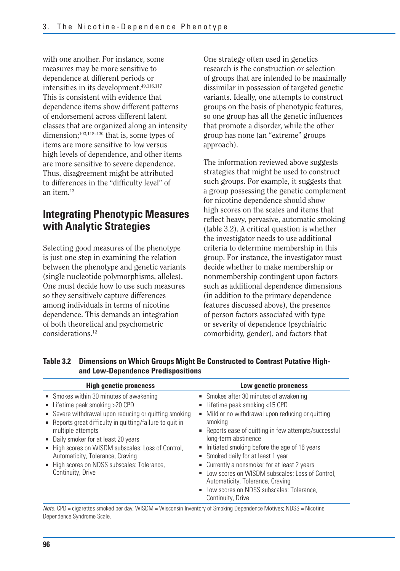with one another. For instance, some measures may be more sensitive to dependence at different periods or intensities in its development.<sup>49,116,117</sup> This is consistent with evidence that dependence items show different patterns of endorsement across different latent classes that are organized along an intensity dimension;<sup>102,118-120</sup> that is, some types of items are more sensitive to low versus high levels of dependence, and other items are more sensitive to severe dependence. Thus, disagreement might be attributed to differences in the "difficulty level" of an item.12

## **Integrating Phenotypic Measures with Analytic Strategies**

Selecting good measures of the phenotype is just one step in examining the relation between the phenotype and genetic variants (single nucleotide polymorphisms, alleles). One must decide how to use such measures so they sensitively capture differences among individuals in terms of nicotine dependence. This demands an integration of both theoretical and psychometric considerations<sup>12</sup>

One strategy often used in genetics research is the construction or selection of groups that are intended to be maximally dissimilar in possession of targeted genetic variants. Ideally, one attempts to construct groups on the basis of phenotypic features, so one group has all the genetic influences that promote a disorder, while the other group has none (an "extreme" groups approach).

The information reviewed above suggests strategies that might be used to construct such groups. For example, it suggests that a group possessing the genetic complement for nicotine dependence should show high scores on the scales and items that reflect heavy, pervasive, automatic smoking (table 3.2). A critical question is whether the investigator needs to use additional criteria to determine membership in this group. For instance, the investigator must decide whether to make membership or nonmembership contingent upon factors such as additional dependence dimensions (in addition to the primary dependence features discussed above), the presence of person factors associated with type or severity of dependence (psychiatric comorbidity, gender), and factors that

| and Low-Dependence Predispositions                                                                                                                                                                                                                                                                                                                                                                                         |                                                                                                                                                                                                                                                                                                                                                                                                                                                                                                                        |  |  |  |
|----------------------------------------------------------------------------------------------------------------------------------------------------------------------------------------------------------------------------------------------------------------------------------------------------------------------------------------------------------------------------------------------------------------------------|------------------------------------------------------------------------------------------------------------------------------------------------------------------------------------------------------------------------------------------------------------------------------------------------------------------------------------------------------------------------------------------------------------------------------------------------------------------------------------------------------------------------|--|--|--|
| <b>High genetic proneness</b>                                                                                                                                                                                                                                                                                                                                                                                              | Low genetic proneness                                                                                                                                                                                                                                                                                                                                                                                                                                                                                                  |  |  |  |
| • Smokes within 30 minutes of awakening<br>■ Lifetime peak smoking $>$ 20 CPD<br>■ Severe withdrawal upon reducing or quitting smoking<br>• Reports great difficulty in quitting/failure to quit in<br>multiple attempts<br>• Daily smoker for at least 20 years<br>High scores on WISDM subscales: Loss of Control,<br>Automaticity, Tolerance, Craving<br>High scores on NDSS subscales: Tolerance,<br>Continuity, Drive | • Smokes after 30 minutes of awakening<br>■ Lifetime peak smoking <15 CPD<br>Mild or no withdrawal upon reducing or quitting<br>smoking<br>■ Reports ease of quitting in few attempts/successful<br>long-term abstinence<br>Initiated smoking before the age of 16 years<br>Smoked daily for at least 1 year<br>Currently a nonsmoker for at least 2 years<br>• Low scores on WISDM subscales: Loss of Control,<br>Automaticity, Tolerance, Craving<br>• Low scores on NDSS subscales: Tolerance,<br>Continuity, Drive |  |  |  |

**Table 3.2 Dimensions on Which Groups Might Be Constructed to Contrast Putative Highand Low-Dependence Predispositions** 

Note. CPD = cigarettes smoked per day; WISDM = Wisconsin Inventory of Smoking Dependence Motives; NDSS = Nicotine Dependence Syndrome Scale.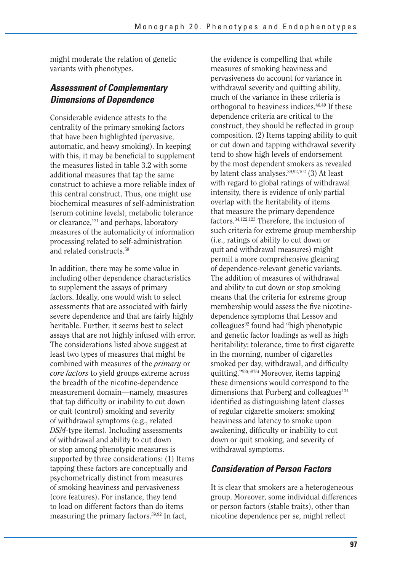might moderate the relation of genetic variants with phenotypes.

## *Assessment of Complementary Dimensions of Dependence*

Considerable evidence attests to the centrality of the primary smoking factors that have been highlighted (pervasive, automatic, and heavy smoking). In keeping with this, it may be beneficial to supplement the measures listed in table 3.2 with some additional measures that tap the same construct to achieve a more reliable index of this central construct. Thus, one might use biochemical measures of self-administration (serum cotinine levels), metabolic tolerance or clearance,<sup>121</sup> and perhaps, laboratory measures of the automaticity of information processing related to self-administration and related constructs.58

In addition, there may be some value in including other dependence characteristics to supplement the assays of primary factors. Ideally, one would wish to select assessments that are associated with fairly severe dependence and that are fairly highly heritable. Further, it seems best to select assays that are not highly infused with error. The considerations listed above suggest at least two types of measures that might be combined with measures of the *primary* or *core factors* to yield groups extreme across the breadth of the nicotine-dependence measurement domain—namely, measures that tap difficulty or inability to cut down or quit (control) smoking and severity of withdrawal symptoms (e.g., related *DSM-*type items). Including assessments of withdrawal and ability to cut down or stop among phenotypic measures is supported by three considerations: (1) Items tapping these factors are conceptually and psychometrically distinct from measures of smoking heaviness and pervasiveness (core features). For instance, they tend to load on different factors than do items measuring the primary factors.<sup>39,92</sup> In fact,

the evidence is compelling that while measures of smoking heaviness and pervasiveness do account for variance in withdrawal severity and quitting ability, much of the variance in these criteria is orthogonal to heaviness indices.46,49 If these dependence criteria are critical to the construct, they should be reflected in group composition. (2) Items tapping ability to quit or cut down and tapping withdrawal severity tend to show high levels of endorsement by the most dependent smokers as revealed by latent class analyses. $39,92,102$  (3) At least with regard to global ratings of withdrawal intensity, there is evidence of only partial overlap with the heritability of items that measure the primary dependence factors.34,122,123 Therefore, the inclusion of such criteria for extreme group membership (i.e., ratings of ability to cut down or quit and withdrawal measures) might permit a more comprehensive gleaning of dependence-relevant genetic variants. The addition of measures of withdrawal and ability to cut down or stop smoking means that the criteria for extreme group membership would assess the five nicotinedependence symptoms that Lessov and colleagues<sup>92</sup> found had "high phenotypic and genetic factor loadings as well as high heritability: tolerance, time to first cigarette in the morning, number of cigarettes smoked per day, withdrawal, and difficulty quitting."92(p875) Moreover, items tapping these dimensions would correspond to the dimensions that Furberg and colleagues $124$ identified as distinguishing latent classes of regular cigarette smokers: smoking heaviness and latency to smoke upon awakening, difficulty or inability to cut down or quit smoking, and severity of withdrawal symptoms.

## *Consideration of Person Factors*

It is clear that smokers are a heterogeneous group. Moreover, some individual differences or person factors (stable traits), other than nicotine dependence per se, might reflect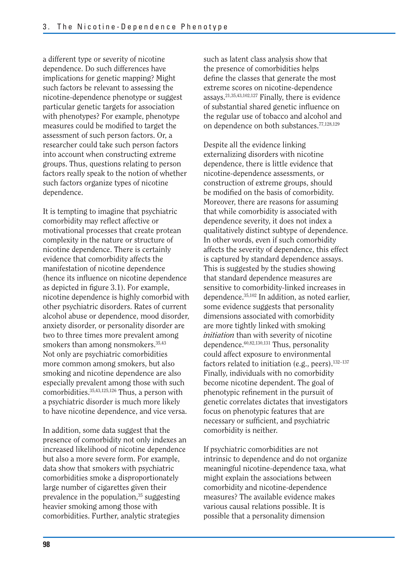a different type or severity of nicotine dependence. Do such differences have implications for genetic mapping? Might such factors be relevant to assessing the nicotine-dependence phenotype or suggest particular genetic targets for association with phenotypes? For example, phenotype measures could be modified to target the assessment of such person factors. Or, a researcher could take such person factors into account when constructing extreme groups. Thus, questions relating to person factors really speak to the notion of whether such factors organize types of nicotine dependence.

It is tempting to imagine that psychiatric comorbidity may reflect affective or motivational processes that create protean complexity in the nature or structure of nicotine dependence. There is certainly evidence that comorbidity affects the manifestation of nicotine dependence (hence its influence on nicotine dependence as depicted in figure 3.1). For example, nicotine dependence is highly comorbid with other psychiatric disorders. Rates of current alcohol abuse or dependence, mood disorder, anxiety disorder, or personality disorder are two to three times more prevalent among smokers than among nonsmokers.<sup>35,43</sup> Not only are psychiatric comorbidities more common among smokers, but also smoking and nicotine dependence are also especially prevalent among those with such comorbidities.35,43,125,126 Thus, a person with a psychiatric disorder is much more likely to have nicotine dependence, and vice versa.

In addition, some data suggest that the presence of comorbidity not only indexes an increased likelihood of nicotine dependence but also a more severe form. For example, data show that smokers with psychiatric comorbidities smoke a disproportionately large number of cigarettes given their prevalence in the population, $35$  suggesting heavier smoking among those with comorbidities. Further, analytic strategies

such as latent class analysis show that the presence of comorbidities helps define the classes that generate the most extreme scores on nicotine-dependence assays.21,35,43,102,127 Finally, there is evidence of substantial shared genetic influence on the regular use of tobacco and alcohol and on dependence on both substances.77,128,129

Despite all the evidence linking externalizing disorders with nicotine dependence, there is little evidence that nicotine-dependence assessments, or construction of extreme groups, should be modified on the basis of comorbidity. Moreover, there are reasons for assuming that while comorbidity is associated with dependence severity, it does not index a qualitatively distinct subtype of dependence. In other words, even if such comorbidity affects the severity of dependence, this effect is captured by standard dependence assays. This is suggested by the studies showing that standard dependence measures are sensitive to comorbidity-linked increases in dependence.35,102 In addition, as noted earlier, some evidence suggests that personality dimensions associated with comorbidity are more tightly linked with smoking *initiation* than with severity of nicotine dependence.60,82,130,131 Thus, personality could affect exposure to environmental factors related to initiation (e.g., peers). $132-137$ Finally, individuals with no comorbidity become nicotine dependent. The goal of phenotypic refinement in the pursuit of genetic correlates dictates that investigators focus on phenotypic features that are necessary or sufficient, and psychiatric comorbidity is neither.

If psychiatric comorbidities are not intrinsic to dependence and do not organize meaningful nicotine-dependence taxa, what might explain the associations between comorbidity and nicotine-dependence measures? The available evidence makes various causal relations possible. It is possible that a personality dimension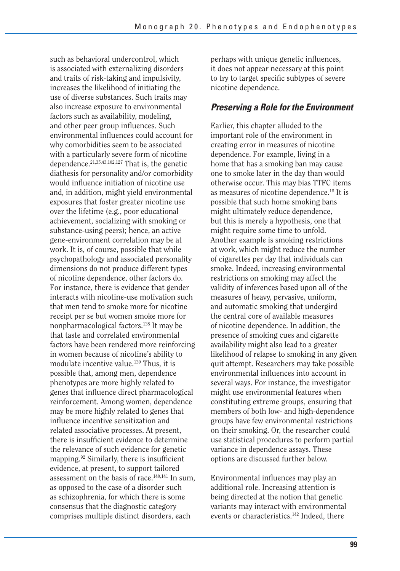such as behavioral undercontrol, which is associated with externalizing disorders and traits of risk-taking and impulsivity, increases the likelihood of initiating the use of diverse substances. Such traits may also increase exposure to environmental factors such as availability, modeling, and other peer group influences. Such environmental influences could account for why comorbidities seem to be associated with a particularly severe form of nicotine dependence.21,35,43,102,127 That is, the genetic diathesis for personality and/or comorbidity would influence initiation of nicotine use and, in addition, might yield environmental exposures that foster greater nicotine use over the lifetime (e.g., poor educational achievement, socializing with smoking or substance-using peers); hence, an active gene-environment correlation may be at work. It is, of course, possible that while psychopathology and associated personality dimensions do not produce different types of nicotine dependence, other factors do. For instance, there is evidence that gender interacts with nicotine-use motivation such that men tend to smoke more for nicotine receipt per se but women smoke more for nonpharmacological factors.138 It may be that taste and correlated environmental factors have been rendered more reinforcing in women because of nicotine's ability to modulate incentive value.<sup>139</sup> Thus, it is possible that, among men, dependence phenotypes are more highly related to genes that influence direct pharmacological reinforcement. Among women, dependence may be more highly related to genes that influence incentive sensitization and related associative processes. At present, there is insufficient evidence to determine the relevance of such evidence for genetic mapping. $92$  Similarly, there is insufficient evidence, at present, to support tailored assessment on the basis of race.140,141 In sum, as opposed to the case of a disorder such as schizophrenia, for which there is some consensus that the diagnostic category comprises multiple distinct disorders, each

perhaps with unique genetic influences, it does not appear necessary at this point to try to target specific subtypes of severe nicotine dependence.

### *Preserving a Role for the Environment*

Earlier, this chapter alluded to the important role of the environment in creating error in measures of nicotine dependence. For example, living in a home that has a smoking ban may cause one to smoke later in the day than would otherwise occur. This may bias TTFC items as measures of nicotine dependence.18 It is possible that such home smoking bans might ultimately reduce dependence, but this is merely a hypothesis, one that might require some time to unfold. Another example is smoking restrictions at work, which might reduce the number of cigarettes per day that individuals can smoke. Indeed, increasing environmental restrictions on smoking may affect the validity of inferences based upon all of the measures of heavy, pervasive, uniform, and automatic smoking that undergird the central core of available measures of nicotine dependence. In addition, the presence of smoking cues and cigarette availability might also lead to a greater likelihood of relapse to smoking in any given quit attempt. Researchers may take possible environmental influences into account in several ways. For instance, the investigator might use environmental features when constituting extreme groups, ensuring that members of both low- and high-dependence groups have few environmental restrictions on their smoking. Or, the researcher could use statistical procedures to perform partial variance in dependence assays. These options are discussed further below.

Environmental influences may play an additional role. Increasing attention is being directed at the notion that genetic variants may interact with environmental events or characteristics.<sup>142</sup> Indeed, there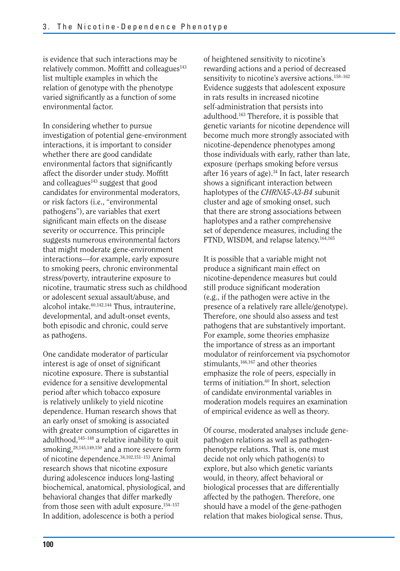is evidence that such interactions may be relatively common. Moffitt and colleagues<sup>143</sup> list multiple examples in which the relation of genotype with the phenotype varied significantly as a function of some environmental factor.

In considering whether to pursue investigation of potential gene-environment interactions, it is important to consider whether there are good candidate environmental factors that significantly affect the disorder under study. Moffitt and colleagues<sup>143</sup> suggest that good candidates for environmental moderators, or risk factors (i.e., "environmental pathogens"), are variables that exert significant main effects on the disease severity or occurrence. This principle suggests numerous environmental factors that might moderate gene-environment interactions—for example, early exposure to smoking peers, chronic environmental stress/poverty, intrauterine exposure to nicotine, traumatic stress such as childhood or adolescent sexual assault/abuse, and alcohol intake.<sup>60,142,144</sup> Thus, intrauterine, developmental, and adult-onset events, both episodic and chronic, could serve as pathogens.

One candidate moderator of particular interest is age of onset of significant nicotine exposure. There is substantial evidence for a sensitive developmental period after which tobacco exposure is relatively unlikely to yield nicotine dependence. Human research shows that an early onset of smoking is associated with greater consumption of cigarettes in adulthood,<sup>145-148</sup> a relative inability to quit smoking,<sup>28,145,149,150</sup> and a more severe form of nicotine dependence.34,102,151–153 Animal research shows that nicotine exposure during adolescence induces long-lasting biochemical, anatomical, physiological, and behavioral changes that differ markedly from those seen with adult exposure.<sup>154-157</sup> In addition, adolescence is both a period

of heightened sensitivity to nicotine's rewarding actions and a period of decreased sensitivity to nicotine's aversive actions.<sup>158-162</sup> Evidence suggests that adolescent exposure in rats results in increased nicotine self-administration that persists into adulthood.163 Therefore, it is possible that genetic variants for nicotine dependence will become much more strongly associated with nicotine-dependence phenotypes among those individuals with early, rather than late, exposure (perhaps smoking before versus after 16 years of age).34 In fact, later research shows a significant interaction between haplotypes of the *CHRNA5-A3-B4* subunit cluster and age of smoking onset, such that there are strong associations between haplotypes and a rather comprehensive set of dependence measures, including the FTND, WISDM, and relapse latency.164,165

It is possible that a variable might not produce a significant main effect on nicotine-dependence measures but could still produce significant moderation (e.g., if the pathogen were active in the presence of a relatively rare allele/genotype). Therefore, one should also assess and test pathogens that are substantively important. For example, some theories emphasize the importance of stress as an important modulator of reinforcement via psychomotor stimulants,166,167 and other theories emphasize the role of peers, especially in terms of initiation.<sup>60</sup> In short, selection of candidate environmental variables in moderation models requires an examination of empirical evidence as well as theory.

Of course, moderated analyses include genepathogen relations as well as pathogenphenotype relations. That is, one must decide not only which pathogen(s) to explore, but also which genetic variants would, in theory, affect behavioral or biological processes that are differentially affected by the pathogen. Therefore, one should have a model of the gene-pathogen relation that makes biological sense. Thus,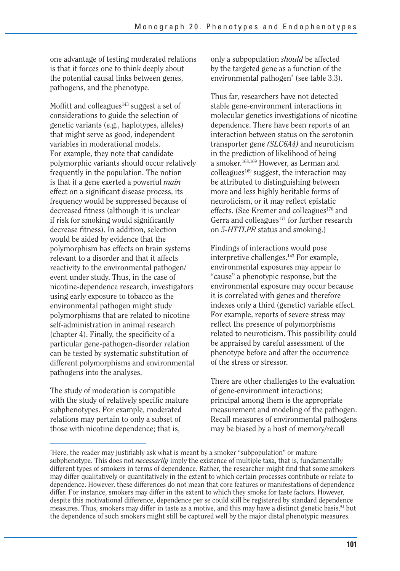one advantage of testing moderated relations is that it forces one to think deeply about the potential causal links between genes, pathogens, and the phenotype.

Moffitt and colleagues<sup>143</sup> suggest a set of considerations to guide the selection of genetic variants (e.g., haplotypes, alleles) that might serve as good, independent variables in moderational models. For example, they note that candidate polymorphic variants should occur relatively frequently in the population. The notion is that if a gene exerted a powerful *main*  effect on a significant disease process, its frequency would be suppressed because of decreased fitness (although it is unclear if risk for smoking would significantly decrease fitness). In addition, selection would be aided by evidence that the polymorphism has effects on brain systems relevant to a disorder and that it affects reactivity to the environmental pathogen/ event under study. Thus, in the case of nicotine-dependence research, investigators using early exposure to tobacco as the environmental pathogen might study polymorphisms that are related to nicotine self-administration in animal research (chapter 4). Finally, the specificity of a particular gene-pathogen-disorder relation can be tested by systematic substitution of different polymorphisms and environmental pathogens into the analyses.

The study of moderation is compatible with the study of relatively specific mature subphenotypes. For example, moderated relations may pertain to only a subset of those with nicotine dependence; that is,

only a subpopulation *should* be affected by the targeted gene as a function of the environmental pathogen\* (see table 3.3).

Thus far, researchers have not detected stable gene-environment interactions in molecular genetics investigations of nicotine dependence. There have been reports of an interaction between status on the serotonin transporter gene *(SLC6A4)* and neuroticism in the prediction of likelihood of being a smoker.168,169 However, as Lerman and colleagues $169$  suggest, the interaction may be attributed to distinguishing between more and less highly heritable forms of neuroticism, or it may reflect epistatic effects. (See Kremer and colleagues<sup>170</sup> and Gerra and colleagues<sup>171</sup> for further research on *5-HTTLPR* status and smoking.)

Findings of interactions would pose interpretive challenges.<sup>143</sup> For example, environmental exposures may appear to "cause" a phenotypic response, but the environmental exposure may occur because it is correlated with genes and therefore indexes only a third (genetic) variable effect. For example, reports of severe stress may reflect the presence of polymorphisms related to neuroticism. This possibility could be appraised by careful assessment of the phenotype before and after the occurrence of the stress or stressor.

There are other challenges to the evaluation of gene-environment interactions; principal among them is the appropriate measurement and modeling of the pathogen. Recall measures of environmental pathogens may be biased by a host of memory/recall

<sup>\*</sup> Here, the reader may justifiably ask what is meant by a smoker "subpopulation" or mature subphenotype. This does not *necessarily* imply the existence of multiple taxa, that is, fundamentally different types of smokers in terms of dependence. Rather, the researcher might find that some smokers may differ qualitatively or quantitatively in the extent to which certain processes contribute or relate to dependence. However, these differences do not mean that core features or manifestations of dependence differ. For instance, smokers may differ in the extent to which they smoke for taste factors. However, despite this motivational difference, dependence per se could still be registered by standard dependence measures. Thus, smokers may differ in taste as a motive, and this may have a distinct genetic basis,<sup>54</sup> but the dependence of such smokers might still be captured well by the major distal phenotypic measures.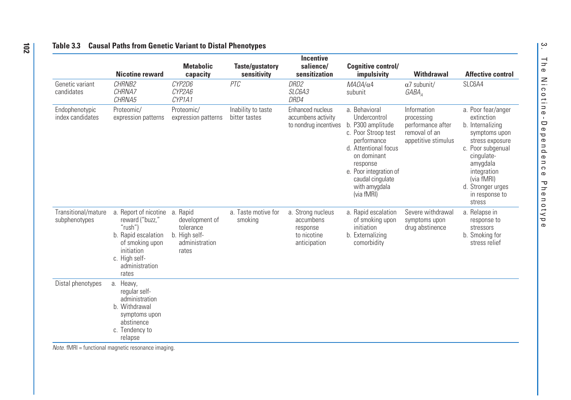#### **Table 3.3 Causal Paths from Genetic Variant to Distal Phenotypes**

|                                      | <b>Nicotine reward</b>                                                                                                                                      | <b>Metabolic</b><br>capacity                                                        | <b>Taste/gustatory</b><br>sensitivity | <b>Incentive</b><br>salience/<br>sensitization                            | <b>Cognitive control/</b><br>impulsivity                                                                                                                                                                                 | <b>Withdrawal</b>                                                                      | <b>Affective control</b>                                                                                                                                                                                              |
|--------------------------------------|-------------------------------------------------------------------------------------------------------------------------------------------------------------|-------------------------------------------------------------------------------------|---------------------------------------|---------------------------------------------------------------------------|--------------------------------------------------------------------------------------------------------------------------------------------------------------------------------------------------------------------------|----------------------------------------------------------------------------------------|-----------------------------------------------------------------------------------------------------------------------------------------------------------------------------------------------------------------------|
| Genetic variant<br>candidates        | CHRNB2<br>CHRNA7<br>CHRNA5                                                                                                                                  | CYP2D6<br>CYP2A6<br>CYP1A1                                                          | PTC                                   | DRD2<br>SLC6A3<br>DRD4                                                    | $MAOA/\alpha4$<br>subunit                                                                                                                                                                                                | $\alpha$ 7 subunit/<br>GABA                                                            | SLC6A4                                                                                                                                                                                                                |
| Endophenotypic<br>index candidates   | Proteomic/<br>expression patterns                                                                                                                           | Proteomic/<br>expression patterns                                                   | Inability to taste<br>bitter tastes   | Enhanced nucleus<br>accumbens activity<br>to nondrug incentives           | a. Behavioral<br>Undercontrol<br>b. P300 amplitude<br>c. Poor Stroop test<br>performance<br>d. Attentional focus<br>on dominant<br>response<br>e. Poor integration of<br>caudal cinqulate<br>with amygdala<br>(via fMRI) | Information<br>processing<br>performance after<br>removal of an<br>appetitive stimulus | a. Poor fear/anger<br>extinction<br>b. Internalizing<br>symptoms upon<br>stress exposure<br>c. Poor subgenual<br>cingulate-<br>amygdala<br>integration<br>(via fMRI)<br>d. Stronger urges<br>in response to<br>stress |
| Transitional/mature<br>subphenotypes | a. Report of nicotine<br>reward ("buzz,"<br>" $rush$ ")<br>b. Rapid escalation<br>of smoking upon<br>initiation<br>c. High self-<br>administration<br>rates | a. Rapid<br>development of<br>tolerance<br>b. High self-<br>administration<br>rates | a. Taste motive for<br>smoking        | a. Strong nucleus<br>accumbens<br>response<br>to nicotine<br>anticipation | a. Rapid escalation<br>of smoking upon<br>initiation<br>b. Externalizing<br>comorbidity                                                                                                                                  | Severe withdrawal<br>symptoms upon<br>drug abstinence                                  | a. Relapse in<br>response to<br>stressors<br>b. Smoking for<br>stress relief                                                                                                                                          |
| Distal phenotypes                    | a. Heavy,<br>regular self-<br>administration<br>b. Withdrawal<br>symptoms upon<br>abstinence<br>c. Tendency to<br>relapse                                   |                                                                                     |                                       |                                                                           |                                                                                                                                                                                                                          |                                                                                        |                                                                                                                                                                                                                       |

Note. fMRI = functional magnetic resonance imaging.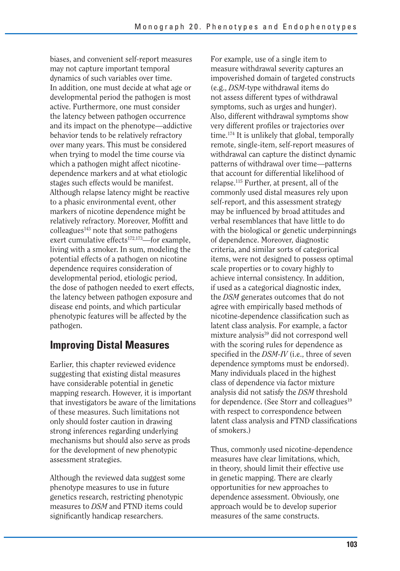biases, and convenient self-report measures may not capture important temporal dynamics of such variables over time. In addition, one must decide at what age or developmental period the pathogen is most active. Furthermore, one must consider the latency between pathogen occurrence and its impact on the phenotype—addictive behavior tends to be relatively refractory over many years. This must be considered when trying to model the time course via which a pathogen might affect nicotinedependence markers and at what etiologic stages such effects would be manifest. Although relapse latency might be reactive to a phasic environmental event, other markers of nicotine dependence might be relatively refractory. Moreover, Moffitt and  $\text{colle}$ agues<sup>143</sup> note that some pathogens exert cumulative effects $172,173$ —for example, living with a smoker. In sum, modeling the potential effects of a pathogen on nicotine dependence requires consideration of developmental period, etiologic period, the dose of pathogen needed to exert effects, the latency between pathogen exposure and disease end points, and which particular phenotypic features will be affected by the pathogen.

## **Improving Distal Measures**

Earlier, this chapter reviewed evidence suggesting that existing distal measures have considerable potential in genetic mapping research. However, it is important that investigators be aware of the limitations of these measures. Such limitations not only should foster caution in drawing strong inferences regarding underlying mechanisms but should also serve as prods for the development of new phenotypic assessment strategies.

Although the reviewed data suggest some phenotype measures to use in future genetics research, restricting phenotypic measures to *DSM* and FTND items could significantly handicap researchers.

For example, use of a single item to measure withdrawal severity captures an impoverished domain of targeted constructs (e.g., *DSM-*type withdrawal items do not assess different types of withdrawal symptoms, such as urges and hunger). Also, different withdrawal symptoms show very different profiles or trajectories over time.174 It is unlikely that global, temporally remote, single-item, self-report measures of withdrawal can capture the distinct dynamic patterns of withdrawal over time—patterns that account for differential likelihood of relapse.115 Further, at present, all of the commonly used distal measures rely upon self-report, and this assessment strategy may be influenced by broad attitudes and verbal resemblances that have little to do with the biological or genetic underpinnings of dependence. Moreover, diagnostic criteria, and similar sorts of categorical items, were not designed to possess optimal scale properties or to covary highly to achieve internal consistency. In addition, if used as a categorical diagnostic index, the *DSM* generates outcomes that do not agree with empirically based methods of nicotine-dependence classification such as latent class analysis. For example, a factor mixture analysis<sup>39</sup> did not correspond well with the scoring rules for dependence as specified in the *DSM-IV* (i.e., three of seven dependence symptoms must be endorsed). Many individuals placed in the highest class of dependence via factor mixture analysis did not satisfy the *DSM* threshold for dependence. (See Storr and colleagues<sup>19</sup> with respect to correspondence between latent class analysis and FTND classifications of smokers.)

Thus, commonly used nicotine-dependence measures have clear limitations, which, in theory, should limit their effective use in genetic mapping. There are clearly opportunities for new approaches to dependence assessment. Obviously, one approach would be to develop superior measures of the same constructs.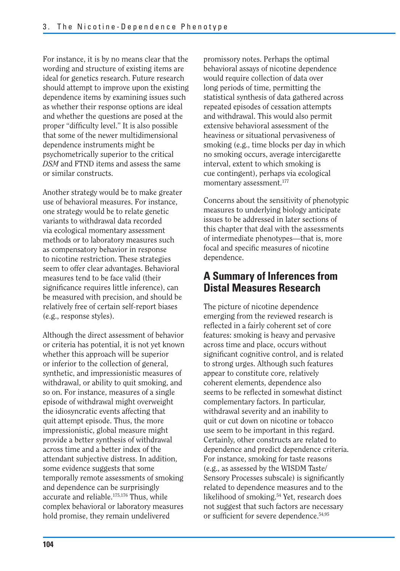For instance, it is by no means clear that the wording and structure of existing items are ideal for genetics research. Future research should attempt to improve upon the existing dependence items by examining issues such as whether their response options are ideal and whether the questions are posed at the proper "difficulty level." It is also possible that some of the newer multidimensional dependence instruments might be psychometrically superior to the critical *DSM* and FTND items and assess the same or similar constructs.

Another strategy would be to make greater use of behavioral measures. For instance, one strategy would be to relate genetic variants to withdrawal data recorded via ecological momentary assessment methods or to laboratory measures such as compensatory behavior in response to nicotine restriction. These strategies seem to offer clear advantages. Behavioral measures tend to be face valid (their significance requires little inference), can be measured with precision, and should be relatively free of certain self-report biases (e.g., response styles).

Although the direct assessment of behavior or criteria has potential, it is not yet known whether this approach will be superior or inferior to the collection of general, synthetic, and impressionistic measures of withdrawal, or ability to quit smoking, and so on. For instance, measures of a single episode of withdrawal might overweight the idiosyncratic events affecting that quit attempt episode. Thus, the more impressionistic, global measure might provide a better synthesis of withdrawal across time and a better index of the attendant subjective distress. In addition, some evidence suggests that some temporally remote assessments of smoking and dependence can be surprisingly accurate and reliable.175,176 Thus, while complex behavioral or laboratory measures hold promise, they remain undelivered

promissory notes. Perhaps the optimal behavioral assays of nicotine dependence would require collection of data over long periods of time, permitting the statistical synthesis of data gathered across repeated episodes of cessation attempts and withdrawal. This would also permit extensive behavioral assessment of the heaviness or situational pervasiveness of smoking (e.g., time blocks per day in which no smoking occurs, average intercigarette interval, extent to which smoking is cue contingent), perhaps via ecological momentary assessment.<sup>177</sup>

Concerns about the sensitivity of phenotypic measures to underlying biology anticipate issues to be addressed in later sections of this chapter that deal with the assessments of intermediate phenotypes—that is, more focal and specific measures of nicotine dependence.

## **A Summary of Inferences from Distal Measures Research**

The picture of nicotine dependence emerging from the reviewed research is reflected in a fairly coherent set of core features: smoking is heavy and pervasive across time and place, occurs without significant cognitive control, and is related to strong urges. Although such features appear to constitute core, relatively coherent elements, dependence also seems to be reflected in somewhat distinct complementary factors. In particular, withdrawal severity and an inability to quit or cut down on nicotine or tobacco use seem to be important in this regard. Certainly, other constructs are related to dependence and predict dependence criteria. For instance, smoking for taste reasons (e.g., as assessed by the WISDM Taste/ Sensory Processes subscale) is significantly related to dependence measures and to the likelihood of smoking.<sup>54</sup> Yet, research does not suggest that such factors are necessary or sufficient for severe dependence.54,95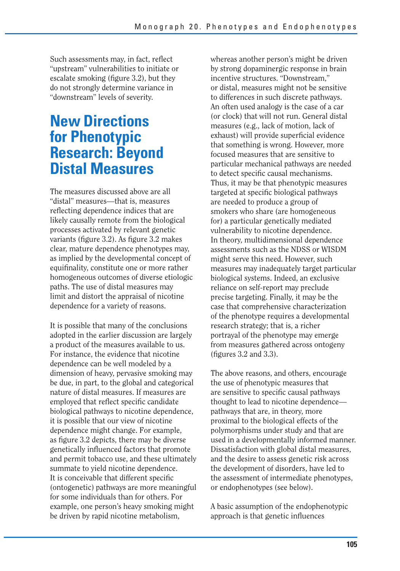Such assessments may, in fact, reflect "upstream" vulnerabilities to initiate or escalate smoking (figure 3.2), but they do not strongly determine variance in "downstream" levels of severity.

# **New Directions for Phenotypic Research: Beyond Distal Measures**

The measures discussed above are all "distal" measures—that is, measures reflecting dependence indices that are likely causally remote from the biological processes activated by relevant genetic variants (figure 3.2). As figure 3.2 makes clear, mature dependence phenotypes may, as implied by the developmental concept of equifinality, constitute one or more rather homogeneous outcomes of diverse etiologic paths. The use of distal measures may limit and distort the appraisal of nicotine dependence for a variety of reasons.

It is possible that many of the conclusions adopted in the earlier discussion are largely a product of the measures available to us. For instance, the evidence that nicotine dependence can be well modeled by a dimension of heavy, pervasive smoking may be due, in part, to the global and categorical nature of distal measures. If measures are employed that reflect specific candidate biological pathways to nicotine dependence, it is possible that our view of nicotine dependence might change. For example, as figure 3.2 depicts, there may be diverse genetically influenced factors that promote and permit tobacco use, and these ultimately summate to yield nicotine dependence. It is conceivable that different specific (ontogenetic) pathways are more meaningful for some individuals than for others. For example, one person's heavy smoking might be driven by rapid nicotine metabolism,

whereas another person's might be driven by strong dopaminergic response in brain incentive structures. "Downstream," or distal, measures might not be sensitive to differences in such discrete pathways. An often used analogy is the case of a car (or clock) that will not run. General distal measures (e.g., lack of motion, lack of exhaust) will provide superficial evidence that something is wrong. However, more focused measures that are sensitive to particular mechanical pathways are needed to detect specific causal mechanisms. Thus, it may be that phenotypic measures targeted at specific biological pathways are needed to produce a group of smokers who share (are homogeneous for) a particular genetically mediated vulnerability to nicotine dependence. In theory, multidimensional dependence assessments such as the NDSS or WISDM might serve this need. However, such measures may inadequately target particular biological systems. Indeed, an exclusive reliance on self-report may preclude precise targeting. Finally, it may be the case that comprehensive characterization of the phenotype requires a developmental research strategy; that is, a richer portrayal of the phenotype may emerge from measures gathered across ontogeny (figures 3.2 and 3.3).

The above reasons, and others, encourage the use of phenotypic measures that are sensitive to specific causal pathways thought to lead to nicotine dependence pathways that are, in theory, more proximal to the biological effects of the polymorphisms under study and that are used in a developmentally informed manner. Dissatisfaction with global distal measures, and the desire to assess genetic risk across the development of disorders, have led to the assessment of intermediate phenotypes, or endophenotypes (see below).

A basic assumption of the endophenotypic approach is that genetic influences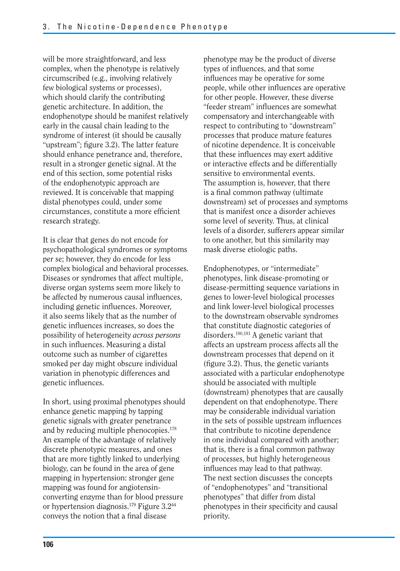will be more straightforward, and less complex, when the phenotype is relatively circumscribed (e.g., involving relatively few biological systems or processes), which should clarify the contributing genetic architecture. In addition, the endophenotype should be manifest relatively early in the causal chain leading to the syndrome of interest (it should be causally "upstream"; figure 3.2). The latter feature should enhance penetrance and, therefore, result in a stronger genetic signal. At the end of this section, some potential risks of the endophenotypic approach are reviewed. It is conceivable that mapping distal phenotypes could, under some circumstances, constitute a more efficient research strategy.

It is clear that genes do not encode for psychopathological syndromes or symptoms per se; however, they do encode for less complex biological and behavioral processes. Diseases or syndromes that affect multiple, diverse organ systems seem more likely to be affected by numerous causal influences, including genetic influences. Moreover, it also seems likely that as the number of genetic influences increases, so does the possibility of heterogeneity *across persons*  in such influences. Measuring a distal outcome such as number of cigarettes smoked per day might obscure individual variation in phenotypic differences and genetic influences.

In short, using proximal phenotypes should enhance genetic mapping by tapping genetic signals with greater penetrance and by reducing multiple phenocopies.178 An example of the advantage of relatively discrete phenotypic measures, and ones that are more tightly linked to underlying biology, can be found in the area of gene mapping in hypertension: stronger gene mapping was found for angiotensinconverting enzyme than for blood pressure or hypertension diagnosis.<sup>179</sup> Figure 3.2<sup>44</sup> conveys the notion that a final disease

phenotype may be the product of diverse types of influences, and that some influences may be operative for some people, while other influences are operative for other people. However, these diverse "feeder stream" influences are somewhat compensatory and interchangeable with respect to contributing to "downstream" processes that produce mature features of nicotine dependence. It is conceivable that these influences may exert additive or interactive effects and be differentially sensitive to environmental events. The assumption is, however, that there is a final common pathway (ultimate downstream) set of processes and symptoms that is manifest once a disorder achieves some level of severity. Thus, at clinical levels of a disorder, sufferers appear similar to one another, but this similarity may mask diverse etiologic paths.

Endophenotypes, or "intermediate" phenotypes, link disease-promoting or disease-permitting sequence variations in genes to lower-level biological processes and link lower-level biological processes to the downstream observable syndromes that constitute diagnostic categories of disorders.180,181 A genetic variant that affects an upstream process affects all the downstream processes that depend on it (figure 3.2). Thus, the genetic variants associated with a particular endophenotype should be associated with multiple (downstream) phenotypes that are causally dependent on that endophenotype. There may be considerable individual variation in the sets of possible upstream influences that contribute to nicotine dependence in one individual compared with another; that is, there is a final common pathway of processes, but highly heterogeneous influences may lead to that pathway. The next section discusses the concepts of "endophenotypes" and "transitional phenotypes" that differ from distal phenotypes in their specificity and causal priority.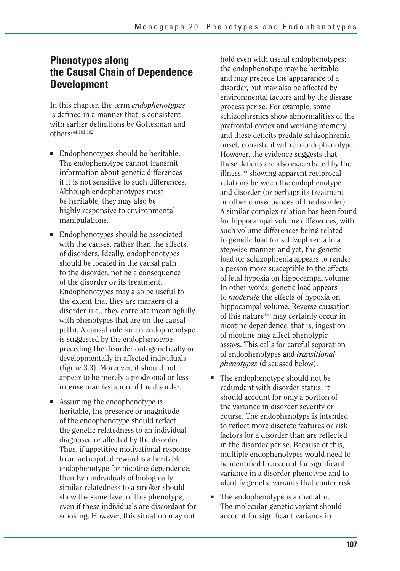## **Phenotypes along the Causal Chain of Dependence Development**

In this chapter, the term *endophenotypes*  is defined in a manner that is consistent with earlier definitions by Gottesman and others:44,181,182

- Endophenotypes should be heritable. The endophenotype cannot transmit information about genetic differences if it is not sensitive to such differences. Although endophenotypes must be heritable, they may also be highly responsive to environmental manipulations.
- Endophenotypes should be associated with the causes, rather than the effects, of disorders. Ideally, endophenotypes should be located in the causal path to the disorder, not be a consequence of the disorder or its treatment. Endophenotypes may also be useful to the extent that they are markers of a disorder (i.e., they correlate meaningfully with phenotypes that are on the causal path). A causal role for an endophenotype is suggested by the endophenotype preceding the disorder ontogenetically or developmentally in affected individuals (figure 3.3). Moreover, it should not appear to be merely a prodromal or less intense manifestation of the disorder.
- Assuming the endophenotype is heritable, the presence or magnitude of the endophenotype should reflect the genetic relatedness to an individual diagnosed or affected by the disorder. Thus, if appetitive motivational response to an anticipated reward is a heritable endophenotype for nicotine dependence, then two individuals of biologically similar relatedness to a smoker should show the same level of this phenotype, even if these individuals are discordant for smoking. However, this situation may not

hold even with useful endophenotypes: the endophenotype may be heritable, and may precede the appearance of a disorder, but may also be affected by environmental factors and by the disease process per se. For example, some schizophrenics show abnormalities of the prefrontal cortex and working memory, and these deficits predate schizophrenia onset, consistent with an endophenotype. However, the evidence suggests that these deficits are also exacerbated by the illness,44 showing apparent reciprocal relations between the endophenotype and disorder (or perhaps its treatment or other consequences of the disorder). A similar complex relation has been found for hippocampal volume differences, with such volume differences being related to genetic load for schizophrenia in a stepwise manner, and yet, the genetic load for schizophrenia appears to render a person more susceptible to the effects of fetal hypoxia on hippocampal volume. In other words, genetic load appears to *moderate* the effects of hypoxia on hippocampal volume. Reverse causation of this nature<sup>183</sup> may certainly occur in nicotine dependence; that is, ingestion of nicotine may affect phenotypic assays. This calls for careful separation of endophenotypes and *transitional phenotypes* (discussed below).

- The endophenotype should not be redundant with disorder status; it should account for only a portion of the variance in disorder severity or course. The endophenotype is intended to reflect more discrete features or risk factors for a disorder than are reflected in the disorder per se. Because of this, multiple endophenotypes would need to be identified to account for significant variance in a disorder phenotype and to identify genetic variants that confer risk.
- The endophenotype is a mediator. The molecular genetic variant should account for significant variance in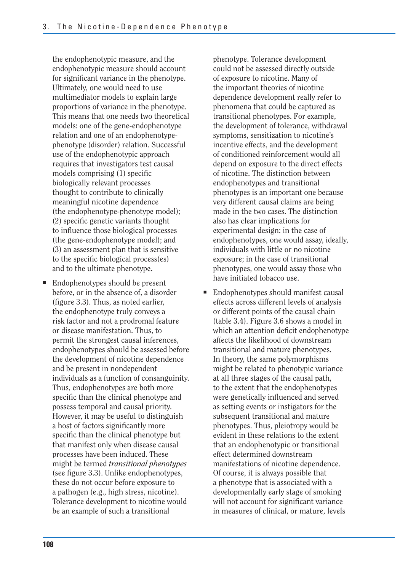the endophenotypic measure, and the endophenotypic measure should account for significant variance in the phenotype. Ultimately, one would need to use multimediator models to explain large proportions of variance in the phenotype. This means that one needs two theoretical models: one of the gene-endophenotype relation and one of an endophenotypephenotype (disorder) relation. Successful use of the endophenotypic approach requires that investigators test causal models comprising (1) specific biologically relevant processes thought to contribute to clinically meaningful nicotine dependence (the endophenotype-phenotype model); (2) specific genetic variants thought to influence those biological processes (the gene-endophenotype model); and (3) an assessment plan that is sensitive to the specific biological process(es) and to the ultimate phenotype.

■ Endophenotypes should be present have initiated tobacco use. before, or in the absence of, a disorder (figure 3.3). Thus, as noted earlier, the endophenotype truly conveys a risk factor and not a prodromal feature or disease manifestation. Thus, to permit the strongest causal inferences, endophenotypes should be assessed before the development of nicotine dependence and be present in nondependent individuals as a function of consanguinity. Thus, endophenotypes are both more specific than the clinical phenotype and possess temporal and causal priority. However, it may be useful to distinguish a host of factors significantly more specific than the clinical phenotype but that manifest only when disease causal processes have been induced. These might be termed *transitional phenotypes*  (see figure 3.3). Unlike endophenotypes, these do not occur before exposure to a pathogen (e.g., high stress, nicotine). Tolerance development to nicotine would be an example of such a transitional

phenotype. Tolerance development could not be assessed directly outside of exposure to nicotine. Many of the important theories of nicotine dependence development really refer to phenomena that could be captured as transitional phenotypes. For example, the development of tolerance, withdrawal symptoms, sensitization to nicotine's incentive effects, and the development of conditioned reinforcement would all depend on exposure to the direct effects of nicotine. The distinction between endophenotypes and transitional phenotypes is an important one because very different causal claims are being made in the two cases. The distinction also has clear implications for experimental design: in the case of endophenotypes, one would assay, ideally, individuals with little or no nicotine exposure; in the case of transitional phenotypes, one would assay those who

■ Endophenotypes should manifest causal effects across different levels of analysis or different points of the causal chain (table 3.4). Figure 3.6 shows a model in which an attention deficit endophenotype affects the likelihood of downstream transitional and mature phenotypes. In theory, the same polymorphisms might be related to phenotypic variance at all three stages of the causal path, to the extent that the endophenotypes were genetically influenced and served as setting events or instigators for the subsequent transitional and mature phenotypes. Thus, pleiotropy would be evident in these relations to the extent that an endophenotypic or transitional effect determined downstream manifestations of nicotine dependence. Of course, it is always possible that a phenotype that is associated with a developmentally early stage of smoking will not account for significant variance in measures of clinical, or mature, levels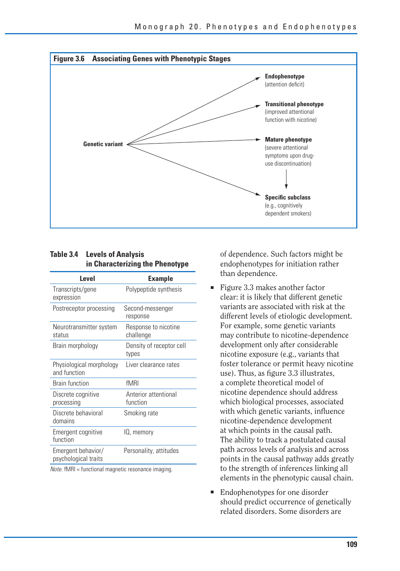

#### **Table 3.4 Levels of Analysis in Characterizing the Phenotype**

| Level                                      | <b>Example</b>                    |
|--------------------------------------------|-----------------------------------|
| Transcripts/gene<br>expression             | Polypeptide synthesis             |
| Postreceptor processing                    | Second-messenger<br>response      |
| Neurotransmitter system<br>status          | Response to nicotine<br>challenge |
| Brain morphology                           | Density of receptor cell<br>types |
| Physiological morphology<br>and function   | Liver clearance rates             |
| <b>Brain function</b>                      | fMRI                              |
| Discrete cognitive<br>processing           | Anterior attentional<br>function  |
| Discrete behavioral<br>domains             | Smoking rate                      |
| Emergent cognitive<br>function             | IQ, memory                        |
| Emergent behavior/<br>psychological traits | Personality, attitudes            |

Note. fMRI = functional magnetic resonance imaging.

of dependence. Such factors might be endophenotypes for initiation rather than dependence.

- Figure 3.3 makes another factor clear: it is likely that different genetic variants are associated with risk at the different levels of etiologic development. For example, some genetic variants may contribute to nicotine-dependence development only after considerable nicotine exposure (e.g., variants that foster tolerance or permit heavy nicotine use). Thus, as figure 3.3 illustrates, a complete theoretical model of nicotine dependence should address which biological processes, associated with which genetic variants, influence nicotine-dependence development at which points in the causal path. The ability to track a postulated causal path across levels of analysis and across points in the causal pathway adds greatly to the strength of inferences linking all elements in the phenotypic causal chain.
- Endophenotypes for one disorder should predict occurrence of genetically related disorders. Some disorders are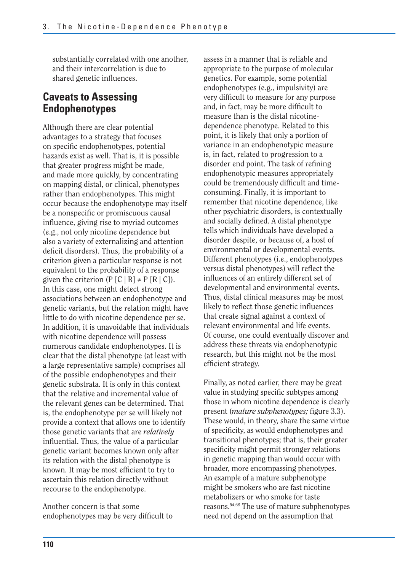substantially correlated with one another, and their intercorrelation is due to shared genetic influences.

## **Caveats to Assessing Endophenotypes**

Although there are clear potential advantages to a strategy that focuses on specific endophenotypes, potential hazards exist as well. That is, it is possible that greater progress might be made, and made more quickly, by concentrating on mapping distal, or clinical, phenotypes rather than endophenotypes. This might occur because the endophenotype may itself be a nonspecific or promiscuous causal influence, giving rise to myriad outcomes (e.g., not only nicotine dependence but also a variety of externalizing and attention deficit disorders). Thus, the probability of a criterion given a particular response is not equivalent to the probability of a response given the criterion (P  $[C | R] \neq P [R | C]$ ). In this case, one might detect strong associations between an endophenotype and genetic variants, but the relation might have little to do with nicotine dependence per se. In addition, it is unavoidable that individuals with nicotine dependence will possess numerous candidate endophenotypes. It is clear that the distal phenotype (at least with a large representative sample) comprises all of the possible endophenotypes and their genetic substrata. It is only in this context that the relative and incremental value of the relevant genes can be determined. That is, the endophenotype per se will likely not provide a context that allows one to identify those genetic variants that are *relatively*  influential. Thus, the value of a particular genetic variant becomes known only after its relation with the distal phenotype is known. It may be most efficient to try to ascertain this relation directly without recourse to the endophenotype.

Another concern is that some endophenotypes may be very difficult to

assess in a manner that is reliable and appropriate to the purpose of molecular genetics. For example, some potential endophenotypes (e.g., impulsivity) are very difficult to measure for any purpose and, in fact, may be more difficult to measure than is the distal nicotinedependence phenotype. Related to this point, it is likely that only a portion of variance in an endophenotypic measure is, in fact, related to progression to a disorder end point. The task of refining endophenotypic measures appropriately could be tremendously difficult and timeconsuming. Finally, it is important to remember that nicotine dependence, like other psychiatric disorders, is contextually and socially defined. A distal phenotype tells which individuals have developed a disorder despite, or because of, a host of environmental or developmental events. Different phenotypes (i.e., endophenotypes versus distal phenotypes) will reflect the influences of an entirely different set of developmental and environmental events. Thus, distal clinical measures may be most likely to reflect those genetic influences that create signal against a context of relevant environmental and life events. Of course, one could eventually discover and address these threats via endophenotypic research, but this might not be the most efficient strategy.

Finally, as noted earlier, there may be great value in studying specific subtypes among those in whom nicotine dependence is clearly present (*mature subphenotypes*; figure 3.3). These would, in theory, share the same virtue of specificity, as would endophenotypes and transitional phenotypes; that is, their greater specificity might permit stronger relations in genetic mapping than would occur with broader, more encompassing phenotypes. An example of a mature subphenotype might be smokers who are fast nicotine metabolizers or who smoke for taste reasons.54,68 The use of mature subphenotypes need not depend on the assumption that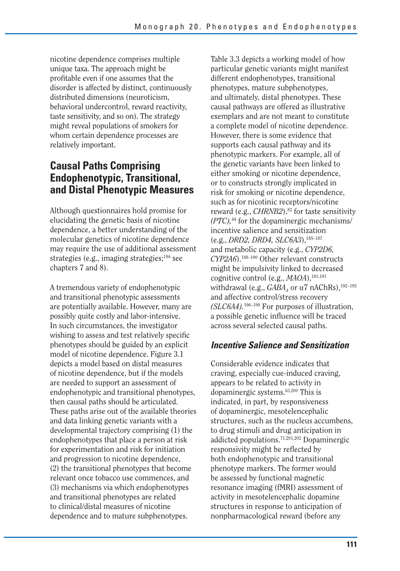nicotine dependence comprises multiple unique taxa. The approach might be profitable even if one assumes that the disorder is affected by distinct, continuously distributed dimensions (neuroticism, behavioral undercontrol, reward reactivity, taste sensitivity, and so on). The strategy might reveal populations of smokers for whom certain dependence processes are relatively important.

## **Causal Paths Comprising Endophenotypic, Transitional, and Distal Phenotypic Measures**

Although questionnaires hold promise for elucidating the genetic basis of nicotine dependence, a better understanding of the molecular genetics of nicotine dependence may require the use of additional assessment strategies (e.g., imaging strategies;184 see chapters 7 and 8).

A tremendous variety of endophenotypic and transitional phenotypic assessments are potentially available. However, many are possibly quite costly and labor-intensive. In such circumstances, the investigator wishing to assess and test relatively specific phenotypes should be guided by an explicit model of nicotine dependence. Figure 3.1 depicts a model based on distal measures of nicotine dependence, but if the models are needed to support an assessment of endophenotypic and transitional phenotypes, then causal paths should be articulated. These paths arise out of the available theories and data linking genetic variants with a developmental trajectory comprising (1) the endophenotypes that place a person at risk for experimentation and risk for initiation and progression to nicotine dependence, (2) the transitional phenotypes that become relevant once tobacco use commences, and (3) mechanisms via which endophenotypes and transitional phenotypes are related to clinical/distal measures of nicotine dependence and to mature subphenotypes.

Table 3.3 depicts a working model of how particular genetic variants might manifest different endophenotypes, transitional phenotypes, mature subphenotypes, and ultimately, distal phenotypes. These causal pathways are offered as illustrative exemplars and are not meant to constitute a complete model of nicotine dependence. However, there is some evidence that supports each causal pathway and its phenotypic markers. For example, all of the genetic variants have been linked to either smoking or nicotine dependence, or to constructs strongly implicated in risk for smoking or nicotine dependence, such as for nicotinic receptors/nicotine reward (e.g., *CHRNB2*),<sup>82</sup> for taste sensitivity *(PTC),*44 for the dopaminergic mechanisms/ incentive salience and sensitization (e.g., *DRD2, DRD4, SLC6A3*),185–187 and metabolic capacity (e.g., *CYP2D6, CYP2A6*).188–190 Other relevant constructs might be impulsivity linked to decreased cognitive control (e.g., *MAOA*),<sup>181,191</sup> withdrawal (e.g.,  $GABA_A$  or  $\alpha$ 7 nAChRs),<sup>192-195</sup> and affective control/stress recovery *(SLC6A4).*196–199 For purposes of illustration, a possible genetic influence will be traced across several selected causal paths.

### *Incentive Salience and Sensitization*

Considerable evidence indicates that craving, especially cue-induced craving, appears to be related to activity in dopaminergic systems.63,200 This is indicated, in part, by responsiveness of dopaminergic, mesotelencephalic structures, such as the nucleus accumbens, to drug stimuli and drug anticipation in addicted populations.71,201,202 Dopaminergic responsivity might be reflected by both endophenotypic and transitional phenotype markers. The former would be assessed by functional magnetic resonance imaging (fMRI) assessment of activity in mesotelencephalic dopamine structures in response to anticipation of nonpharmacological reward (before any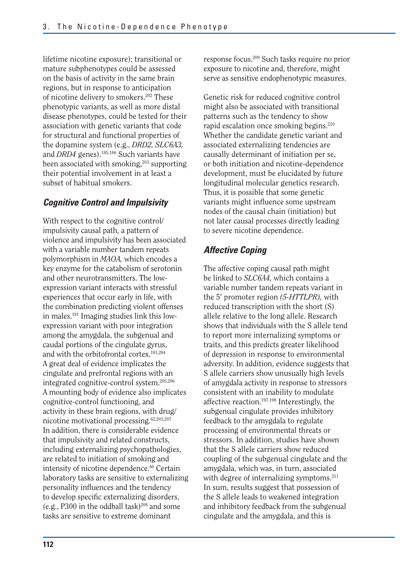lifetime nicotine exposure); transitional or mature subphenotypes could be assessed on the basis of activity in the same brain regions, but in response to anticipation of nicotine delivery to smokers.202 These phenotypic variants, as well as more distal disease phenotypes, could be tested for their association with genetic variants that code for structural and functional properties of the dopamine system (e.g., *DRD2, SLC6A3,*  and *DRD4* genes).185,186 Such variants have been associated with smoking,<sup>203</sup> supporting their potential involvement in at least a subset of habitual smokers.

### *Cognitive Control and Impulsivity*

With respect to the cognitive control/ impulsivity causal path, a pattern of violence and impulsivity has been associated with a variable number tandem repeats polymorphism in *MAOA,* which encodes a key enzyme for the catabolism of serotonin and other neurotransmitters. The lowexpression variant interacts with stressful experiences that occur early in life, with the combination predicting violent offenses in males.191 Imaging studies link this lowexpression variant with poor integration among the amygdala, the subgenual and caudal portions of the cingulate gyrus, and with the orbitofrontal cortex.181,204 A great deal of evidence implicates the cingulate and prefrontal regions with an integrated cognitive-control system.205,206 A mounting body of evidence also implicates cognitive-control functioning, and activity in these brain regions, with drug/ nicotine motivational processing.62,201,207 In addition, there is considerable evidence that impulsivity and related constructs, including externalizing psychopathologies, are related to initiation of smoking and intensity of nicotine dependence.<sup>60</sup> Certain laboratory tasks are sensitive to externalizing personality influences and the tendency to develop specific externalizing disorders, (e.g., P300 in the oddball task)<sup>208</sup> and some tasks are sensitive to extreme dominant

response focus.209 Such tasks require no prior exposure to nicotine and, therefore, might serve as sensitive endophenotypic measures.

Genetic risk for reduced cognitive control might also be associated with transitional patterns such as the tendency to show rapid escalation once smoking begins.210 Whether the candidate genetic variant and associated externalizing tendencies are causally determinant of initiation per se, or both initiation and nicotine-dependence development, must be elucidated by future longitudinal molecular genetics research. Thus, it is possible that some genetic variants might influence some upstream nodes of the causal chain (initiation) but not later causal processes directly leading to severe nicotine dependence.

### *Affective Coping*

The affective coping causal path might be linked to *SLC6A4,* which contains a variable number tandem repeats variant in the 5′ promoter region *(5-HTTLPR),* with reduced transcription with the short (S) allele relative to the long allele. Research shows that individuals with the S allele tend to report more internalizing symptoms or traits, and this predicts greater likelihood of depression in response to environmental adversity. In addition, evidence suggests that S allele carriers show unusually high levels of amygdala activity in response to stressors consistent with an inability to modulate affective reaction.197,198 Interestingly, the subgenual cingulate provides inhibitory feedback to the amygdala to regulate processing of environmental threats or stressors. In addition, studies have shown that the S allele carriers show reduced coupling of the subgenual cingulate and the amygdala, which was, in turn, associated with degree of internalizing symptoms.<sup>211</sup> In sum, results suggest that possession of the S allele leads to weakened integration and inhibitory feedback from the subgenual cingulate and the amygdala, and this is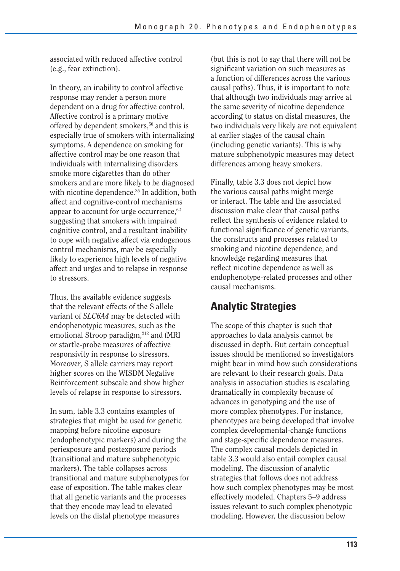associated with reduced affective control (e.g., fear extinction).

In theory, an inability to control affective response may render a person more dependent on a drug for affective control. Affective control is a primary motive offered by dependent smokers,<sup>50</sup> and this is especially true of smokers with internalizing symptoms. A dependence on smoking for affective control may be one reason that individuals with internalizing disorders smoke more cigarettes than do other smokers and are more likely to be diagnosed with nicotine dependence.<sup>35</sup> In addition, both affect and cognitive-control mechanisms appear to account for urge occurrence,<sup>62</sup> suggesting that smokers with impaired cognitive control, and a resultant inability to cope with negative affect via endogenous control mechanisms, may be especially likely to experience high levels of negative affect and urges and to relapse in response to stressors.

Thus, the available evidence suggests that the relevant effects of the S allele variant of *SLC6A4* may be detected with endophenotypic measures, such as the emotional Stroop paradigm,<sup>212</sup> and fMRI or startle-probe measures of affective responsivity in response to stressors. Moreover, S allele carriers may report higher scores on the WISDM Negative Reinforcement subscale and show higher levels of relapse in response to stressors.

In sum, table 3.3 contains examples of strategies that might be used for genetic mapping before nicotine exposure (endophenotypic markers) and during the periexposure and postexposure periods (transitional and mature subphenotypic markers). The table collapses across transitional and mature subphenotypes for ease of exposition. The table makes clear that all genetic variants and the processes that they encode may lead to elevated levels on the distal phenotype measures

(but this is not to say that there will not be significant variation on such measures as a function of differences across the various causal paths). Thus, it is important to note that although two individuals may arrive at the same severity of nicotine dependence according to status on distal measures, the two individuals very likely are not equivalent at earlier stages of the causal chain (including genetic variants). This is why mature subphenotypic measures may detect differences among heavy smokers.

Finally, table 3.3 does not depict how the various causal paths might merge or interact. The table and the associated discussion make clear that causal paths reflect the synthesis of evidence related to functional significance of genetic variants, the constructs and processes related to smoking and nicotine dependence, and knowledge regarding measures that reflect nicotine dependence as well as endophenotype-related processes and other causal mechanisms.

## **Analytic Strategies**

The scope of this chapter is such that approaches to data analysis cannot be discussed in depth. But certain conceptual issues should be mentioned so investigators might bear in mind how such considerations are relevant to their research goals. Data analysis in association studies is escalating dramatically in complexity because of advances in genotyping and the use of more complex phenotypes. For instance, phenotypes are being developed that involve complex developmental-change functions and stage-specific dependence measures. The complex causal models depicted in table 3.3 would also entail complex causal modeling. The discussion of analytic strategies that follows does not address how such complex phenotypes may be most effectively modeled. Chapters 5–9 address issues relevant to such complex phenotypic modeling. However, the discussion below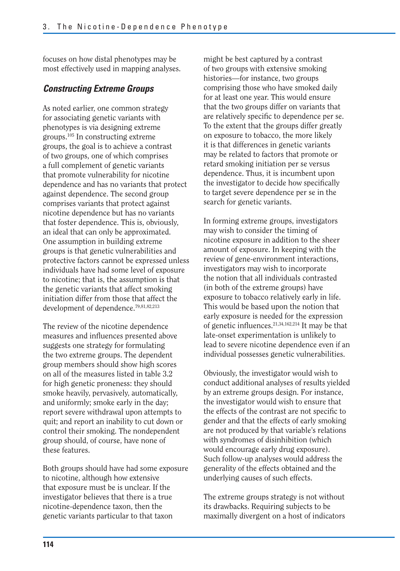focuses on how distal phenotypes may be most effectively used in mapping analyses.

### *Constructing Extreme Groups*

As noted earlier, one common strategy for associating genetic variants with phenotypes is via designing extreme groups.105 In constructing extreme groups, the goal is to achieve a contrast of two groups, one of which comprises a full complement of genetic variants that promote vulnerability for nicotine dependence and has no variants that protect against dependence. The second group comprises variants that protect against nicotine dependence but has no variants that foster dependence. This is, obviously, an ideal that can only be approximated. One assumption in building extreme groups is that genetic vulnerabilities and protective factors cannot be expressed unless individuals have had some level of exposure to nicotine; that is, the assumption is that the genetic variants that affect smoking initiation differ from those that affect the development of dependence.79,81,82,213

The review of the nicotine dependence measures and influences presented above suggests one strategy for formulating the two extreme groups. The dependent group members should show high scores on all of the measures listed in table 3.2 for high genetic proneness: they should smoke heavily, pervasively, automatically, and uniformly; smoke early in the day; report severe withdrawal upon attempts to quit; and report an inability to cut down or control their smoking. The nondependent group should, of course, have none of these features.

Both groups should have had some exposure to nicotine, although how extensive that exposure must be is unclear. If the investigator believes that there is a true nicotine-dependence taxon, then the genetic variants particular to that taxon

might be best captured by a contrast of two groups with extensive smoking histories—for instance, two groups comprising those who have smoked daily for at least one year. This would ensure that the two groups differ on variants that are relatively specific to dependence per se. To the extent that the groups differ greatly on exposure to tobacco, the more likely it is that differences in genetic variants may be related to factors that promote or retard smoking initiation per se versus dependence. Thus, it is incumbent upon the investigator to decide how specifically to target severe dependence per se in the search for genetic variants.

In forming extreme groups, investigators may wish to consider the timing of nicotine exposure in addition to the sheer amount of exposure. In keeping with the review of gene-environment interactions, investigators may wish to incorporate the notion that all individuals contrasted (in both of the extreme groups) have exposure to tobacco relatively early in life. This would be based upon the notion that early exposure is needed for the expression of genetic influences.<sup>21,34,162,214</sup> It may be that late-onset experimentation is unlikely to lead to severe nicotine dependence even if an individual possesses genetic vulnerabilities.

Obviously, the investigator would wish to conduct additional analyses of results yielded by an extreme groups design. For instance, the investigator would wish to ensure that the effects of the contrast are not specific to gender and that the effects of early smoking are not produced by that variable's relations with syndromes of disinhibition (which would encourage early drug exposure). Such follow-up analyses would address the generality of the effects obtained and the underlying causes of such effects.

The extreme groups strategy is not without its drawbacks. Requiring subjects to be maximally divergent on a host of indicators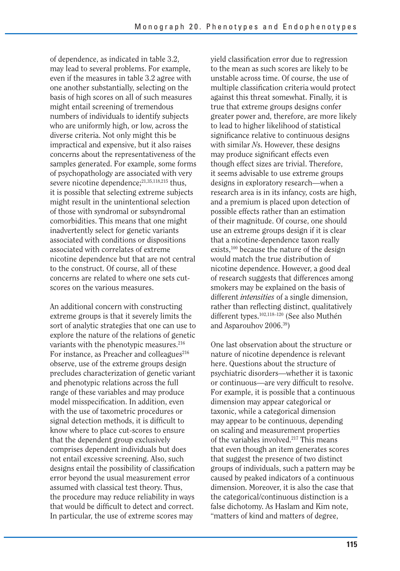of dependence, as indicated in table 3.2, may lead to several problems. For example, even if the measures in table 3.2 agree with one another substantially, selecting on the basis of high scores on all of such measures might entail screening of tremendous numbers of individuals to identify subjects who are uniformly high, or low, across the diverse criteria. Not only might this be impractical and expensive, but it also raises concerns about the representativeness of the samples generated. For example, some forms of psychopathology are associated with very severe nicotine dependence;<sup>21,35,118,215</sup> thus, it is possible that selecting extreme subjects might result in the unintentional selection of those with syndromal or subsyndromal comorbidities. This means that one might inadvertently select for genetic variants associated with conditions or dispositions associated with correlates of extreme nicotine dependence but that are not central to the construct. Of course, all of these concerns are related to where one sets cutscores on the various measures.

An additional concern with constructing extreme groups is that it severely limits the sort of analytic strategies that one can use to explore the nature of the relations of genetic variants with the phenotypic measures.<sup>216</sup> For instance, as Preacher and colleagues $216$ observe, use of the extreme groups design precludes characterization of genetic variant and phenotypic relations across the full range of these variables and may produce model misspecification. In addition, even with the use of taxometric procedures or signal detection methods, it is difficult to know where to place cut-scores to ensure that the dependent group exclusively comprises dependent individuals but does not entail excessive screening. Also, such designs entail the possibility of classification error beyond the usual measurement error assumed with classical test theory. Thus, the procedure may reduce reliability in ways that would be difficult to detect and correct. In particular, the use of extreme scores may

yield classification error due to regression to the mean as such scores are likely to be unstable across time. Of course, the use of multiple classification criteria would protect against this threat somewhat. Finally, it is true that extreme groups designs confer greater power and, therefore, are more likely to lead to higher likelihood of statistical significance relative to continuous designs with similar *N*s. However, these designs may produce significant effects even though effect sizes are trivial. Therefore, it seems advisable to use extreme groups designs in exploratory research—when a research area is in its infancy, costs are high, and a premium is placed upon detection of possible effects rather than an estimation of their magnitude. Of course, one should use an extreme groups design if it is clear that a nicotine-dependence taxon really exists,100 because the nature of the design would match the true distribution of nicotine dependence. However, a good deal of research suggests that differences among smokers may be explained on the basis of different *intensities* of a single dimension, rather than reflecting distinct, qualitatively different types.102,118–120 (See also Muthén and Asparouhov 2006.39)

One last observation about the structure or nature of nicotine dependence is relevant here. Questions about the structure of psychiatric disorders—whether it is taxonic or continuous—are very difficult to resolve. For example, it is possible that a continuous dimension may appear categorical or taxonic, while a categorical dimension may appear to be continuous, depending on scaling and measurement properties of the variables involved.217 This means that even though an item generates scores that suggest the presence of two distinct groups of individuals, such a pattern may be caused by peaked indicators of a continuous dimension. Moreover, it is also the case that the categorical/continuous distinction is a false dichotomy. As Haslam and Kim note, "matters of kind and matters of degree,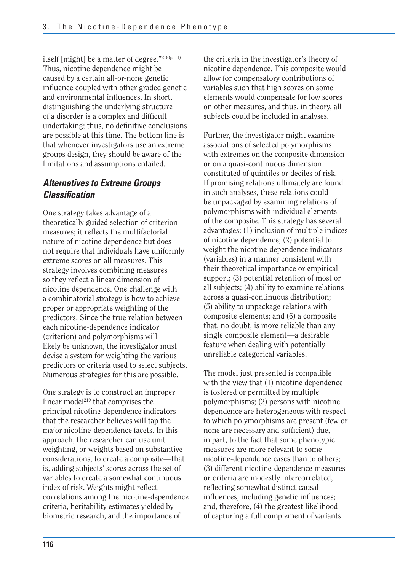itself [might] be a matter of degree."218(p311) Thus, nicotine dependence might be caused by a certain all-or-none genetic influence coupled with other graded genetic and environmental influences. In short, distinguishing the underlying structure of a disorder is a complex and difficult undertaking; thus, no definitive conclusions are possible at this time. The bottom line is that whenever investigators use an extreme groups design, they should be aware of the limitations and assumptions entailed.

## *Alternatives to Extreme Groups Classifi cation*

One strategy takes advantage of a theoretically guided selection of criterion measures; it reflects the multifactorial nature of nicotine dependence but does not require that individuals have uniformly extreme scores on all measures. This strategy involves combining measures so they reflect a linear dimension of nicotine dependence. One challenge with a combinatorial strategy is how to achieve proper or appropriate weighting of the predictors. Since the true relation between each nicotine-dependence indicator (criterion) and polymorphisms will likely be unknown, the investigator must devise a system for weighting the various predictors or criteria used to select subjects. Numerous strategies for this are possible.

One strategy is to construct an improper linear model<sup>219</sup> that comprises the principal nicotine-dependence indicators that the researcher believes will tap the major nicotine-dependence facets. In this approach, the researcher can use unit weighting, or weights based on substantive considerations, to create a composite—that is, adding subjects' scores across the set of variables to create a somewhat continuous index of risk. Weights might reflect correlations among the nicotine-dependence criteria, heritability estimates yielded by biometric research, and the importance of

the criteria in the investigator's theory of nicotine dependence. This composite would allow for compensatory contributions of variables such that high scores on some elements would compensate for low scores on other measures, and thus, in theory, all subjects could be included in analyses.

Further, the investigator might examine associations of selected polymorphisms with extremes on the composite dimension or on a quasi-continuous dimension constituted of quintiles or deciles of risk. If promising relations ultimately are found in such analyses, these relations could be unpackaged by examining relations of polymorphisms with individual elements of the composite. This strategy has several advantages: (1) inclusion of multiple indices of nicotine dependence; (2) potential to weight the nicotine-dependence indicators (variables) in a manner consistent with their theoretical importance or empirical support; (3) potential retention of most or all subjects; (4) ability to examine relations across a quasi-continuous distribution; (5) ability to unpackage relations with composite elements; and (6) a composite that, no doubt, is more reliable than any single composite element—a desirable feature when dealing with potentially unreliable categorical variables.

The model just presented is compatible with the view that (1) nicotine dependence is fostered or permitted by multiple polymorphisms; (2) persons with nicotine dependence are heterogeneous with respect to which polymorphisms are present (few or none are necessary and sufficient) due, in part, to the fact that some phenotypic measures are more relevant to some nicotine-dependence cases than to others; (3) different nicotine-dependence measures or criteria are modestly intercorrelated, reflecting somewhat distinct causal influences, including genetic influences; and, therefore, (4) the greatest likelihood of capturing a full complement of variants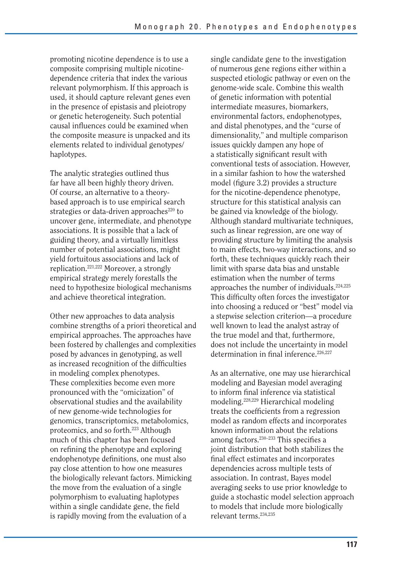promoting nicotine dependence is to use a composite comprising multiple nicotinedependence criteria that index the various relevant polymorphism. If this approach is used, it should capture relevant genes even in the presence of epistasis and pleiotropy or genetic heterogeneity. Such potential causal influences could be examined when the composite measure is unpacked and its elements related to individual genotypes/ haplotypes.

The analytic strategies outlined thus far have all been highly theory driven. Of course, an alternative to a theorybased approach is to use empirical search strategies or data-driven approaches $^{220}$  to uncover gene, intermediate, and phenotype associations. It is possible that a lack of guiding theory, and a virtually limitless number of potential associations, might yield fortuitous associations and lack of replication.221,222 Moreover, a strongly empirical strategy merely forestalls the need to hypothesize biological mechanisms and achieve theoretical integration.

Other new approaches to data analysis combine strengths of a priori theoretical and empirical approaches. The approaches have been fostered by challenges and complexities posed by advances in genotyping, as well as increased recognition of the difficulties in modeling complex phenotypes. These complexities become even more pronounced with the "omicization" of observational studies and the availability of new genome-wide technologies for genomics, transcriptomics, metabolomics, proteomics, and so forth.223 Although much of this chapter has been focused on refining the phenotype and exploring endophenotype definitions, one must also pay close attention to how one measures the biologically relevant factors. Mimicking the move from the evaluation of a single polymorphism to evaluating haplotypes within a single candidate gene, the field is rapidly moving from the evaluation of a

single candidate gene to the investigation of numerous gene regions either within a suspected etiologic pathway or even on the genome-wide scale. Combine this wealth of genetic information with potential intermediate measures, biomarkers, environmental factors, endophenotypes, and distal phenotypes, and the "curse of dimensionality," and multiple comparison issues quickly dampen any hope of a statistically significant result with conventional tests of association. However, in a similar fashion to how the watershed model (figure 3.2) provides a structure for the nicotine-dependence phenotype, structure for this statistical analysis can be gained via knowledge of the biology. Although standard multivariate techniques, such as linear regression, are one way of providing structure by limiting the analysis to main effects, two-way interactions, and so forth, these techniques quickly reach their limit with sparse data bias and unstable estimation when the number of terms approaches the number of individuals.224,225 This difficulty often forces the investigator into choosing a reduced or "best" model via a stepwise selection criterion—a procedure well known to lead the analyst astray of the true model and that, furthermore, does not include the uncertainty in model determination in final inference. $226,227$ 

As an alternative, one may use hierarchical modeling and Bayesian model averaging to inform final inference via statistical modeling.228,229 Hierarchical modeling treats the coefficients from a regression model as random effects and incorporates known information about the relations among factors.<sup>230-233</sup> This specifies a joint distribution that both stabilizes the final effect estimates and incorporates dependencies across multiple tests of association. In contrast, Bayes model averaging seeks to use prior knowledge to guide a stochastic model selection approach to models that include more biologically relevant terms.234,235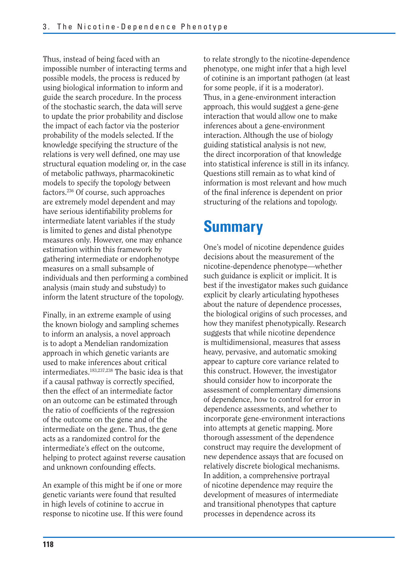Thus, instead of being faced with an impossible number of interacting terms and possible models, the process is reduced by using biological information to inform and guide the search procedure. In the process of the stochastic search, the data will serve to update the prior probability and disclose the impact of each factor via the posterior probability of the models selected. If the knowledge specifying the structure of the relations is very well defined, one may use structural equation modeling or, in the case of metabolic pathways, pharmacokinetic models to specify the topology between factors.236 Of course, such approaches are extremely model dependent and may have serious identifiability problems for intermediate latent variables if the study is limited to genes and distal phenotype measures only. However, one may enhance estimation within this framework by gathering intermediate or endophenotype measures on a small subsample of individuals and then performing a combined analysis (main study and substudy) to inform the latent structure of the topology.

Finally, in an extreme example of using the known biology and sampling schemes to inform an analysis, a novel approach is to adopt a Mendelian randomization approach in which genetic variants are used to make inferences about critical intermediates.183,237,238 The basic idea is that if a causal pathway is correctly specified, then the effect of an intermediate factor on an outcome can be estimated through the ratio of coefficients of the regression of the outcome on the gene and of the intermediate on the gene. Thus, the gene acts as a randomized control for the intermediate's effect on the outcome, helping to protect against reverse causation and unknown confounding effects.

An example of this might be if one or more genetic variants were found that resulted in high levels of cotinine to accrue in response to nicotine use. If this were found to relate strongly to the nicotine-dependence phenotype, one might infer that a high level of cotinine is an important pathogen (at least for some people, if it is a moderator). Thus, in a gene-environment interaction approach, this would suggest a gene-gene interaction that would allow one to make inferences about a gene-environment interaction. Although the use of biology guiding statistical analysis is not new, the direct incorporation of that knowledge into statistical inference is still in its infancy. Questions still remain as to what kind of information is most relevant and how much of the final inference is dependent on prior structuring of the relations and topology.

# **Summary**

One's model of nicotine dependence guides decisions about the measurement of the nicotine-dependence phenotype—whether such guidance is explicit or implicit. It is best if the investigator makes such guidance explicit by clearly articulating hypotheses about the nature of dependence processes, the biological origins of such processes, and how they manifest phenotypically. Research suggests that while nicotine dependence is multidimensional, measures that assess heavy, pervasive, and automatic smoking appear to capture core variance related to this construct. However, the investigator should consider how to incorporate the assessment of complementary dimensions of dependence, how to control for error in dependence assessments, and whether to incorporate gene-environment interactions into attempts at genetic mapping. More thorough assessment of the dependence construct may require the development of new dependence assays that are focused on relatively discrete biological mechanisms. In addition, a comprehensive portrayal of nicotine dependence may require the development of measures of intermediate and transitional phenotypes that capture processes in dependence across its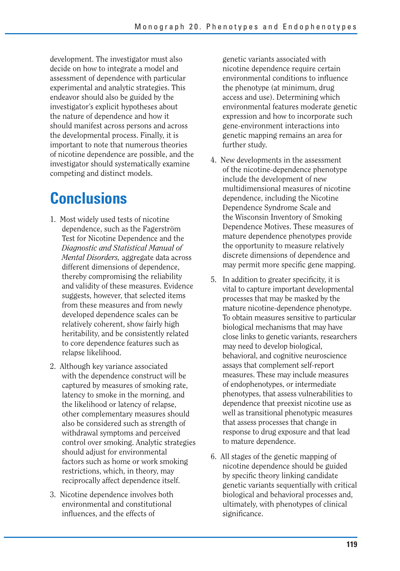development. The investigator must also decide on how to integrate a model and assessment of dependence with particular experimental and analytic strategies. This endeavor should also be guided by the investigator's explicit hypotheses about the nature of dependence and how it should manifest across persons and across the developmental process. Finally, it is important to note that numerous theories of nicotine dependence are possible, and the investigator should systematically examine competing and distinct models.

# **Conclusions**

- 1. Most widely used tests of nicotine dependence, such as the Fagerström Test for Nicotine Dependence and the *Diagnostic and Statistical Manual of Mental Disorders,* aggregate data across different dimensions of dependence, thereby compromising the reliability and validity of these measures. Evidence suggests, however, that selected items from these measures and from newly developed dependence scales can be relatively coherent, show fairly high heritability, and be consistently related to core dependence features such as relapse likelihood.
- 2. Although key variance associated with the dependence construct will be captured by measures of smoking rate, latency to smoke in the morning, and the likelihood or latency of relapse, other complementary measures should also be considered such as strength of withdrawal symptoms and perceived control over smoking. Analytic strategies should adjust for environmental factors such as home or work smoking restrictions, which, in theory, may reciprocally affect dependence itself.
- 3. Nicotine dependence involves both environmental and constitutional influences, and the effects of

genetic variants associated with nicotine dependence require certain environmental conditions to influence the phenotype (at minimum, drug access and use). Determining which environmental features moderate genetic expression and how to incorporate such gene-environment interactions into genetic mapping remains an area for further study.

- 4. New developments in the assessment of the nicotine-dependence phenotype include the development of new multidimensional measures of nicotine dependence, including the Nicotine Dependence Syndrome Scale and the Wisconsin Inventory of Smoking Dependence Motives. These measures of mature dependence phenotypes provide the opportunity to measure relatively discrete dimensions of dependence and may permit more specific gene mapping.
- 5. In addition to greater specificity, it is vital to capture important developmental processes that may be masked by the mature nicotine-dependence phenotype. To obtain measures sensitive to particular biological mechanisms that may have close links to genetic variants, researchers may need to develop biological, behavioral, and cognitive neuroscience assays that complement self-report measures. These may include measures of endophenotypes, or intermediate phenotypes, that assess vulnerabilities to dependence that preexist nicotine use as well as transitional phenotypic measures that assess processes that change in response to drug exposure and that lead to mature dependence.
- 6. All stages of the genetic mapping of nicotine dependence should be guided by specific theory linking candidate genetic variants sequentially with critical biological and behavioral processes and, ultimately, with phenotypes of clinical significance.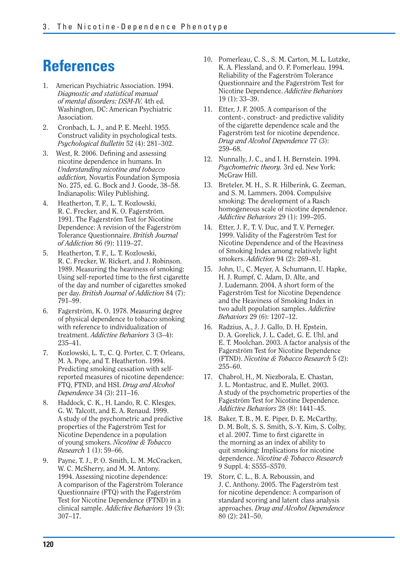# **References**

- 1. American Psychiatric Association. 1994. *Diagnostic and statistical manual of mental disorders: DSM-IV.* 4th ed. Washington, DC: American Psychiatric Association.
- 2. Cronbach, L. J., and P. E. Meehl. 1955. Construct validity in psychological tests. *Psychological Bulletin* 52 (4): 281–302.
- 3. West, R. 2006. Defining and assessing nicotine dependence in humans. In *Understanding nicotine and tobacco addiction,* Novartis Foundation Symposia No. 275, ed. G. Bock and J. Goode, 38–58. Indianapolis: Wiley Publishing.
- 4. Heatherton, T. F., L. T. Kozlowski, R. C. Frecker, and K. O. Fagerström. 1991. The Fagerström Test for Nicotine Dependence: A revision of the Fagerström Tolerance Questionnaire. *British Journal of Addiction* 86 (9): 1119–27.
- 5. Heatherton, T. F., L. T. Kozlowski, R. C. Frecker, W. Rickert, and J. Robinson. 1989. Measuring the heaviness of smoking: Using self-reported time to the first cigarette of the day and number of cigarettes smoked per day. *British Journal of Addiction* 84 (7): 791–99.
- 6. Fagerström, K. O. 1978. Measuring degree of physical dependence to tobacco smoking with reference to individualization of treatment. *Addictive Behaviors* 3 (3–4): 235–41.
- 7. Kozlowski, L. T., C. Q. Porter, C. T. Orleans, M. A. Pope, and T. Heatherton. 1994. Predicting smoking cessation with selfreported measures of nicotine dependence: FTQ, FTND, and HSI. *Drug and Alcohol Dependence* 34 (3): 211–16.
- 8. Haddock, C. K., H. Lando, R. C. Klesges, G. W. Talcott, and E. A. Renaud. 1999. A study of the psychometric and predictive properties of the Fagerström Test for Nicotine Dependence in a population of young smokers. *Nicotine & Tobacco Research* 1 (1): 59–66.
- 9. Payne, T. J., P. O. Smith, L. M. McCracken, W. C. McSherry, and M. M. Antony. 1994. Assessing nicotine dependence: A comparison of the Fagerström Tolerance Questionnaire (FTQ) with the Fagerström Test for Nicotine Dependence (FTND) in a clinical sample. *Addictive Behaviors* 19 (3): 307–17.
- 10. Pomerleau, C. S., S. M. Carton, M. L. Lutzke, K. A. Flessland, and O. F. Pomerleau. 1994. Reliability of the Fagerström Tolerance Questionnaire and the Fagerström Test for Nicotine Dependence. *Addictive Behaviors*  19 (1): 33–39.
- 11. Etter, J. F. 2005. A comparison of the content-, construct- and predictive validity of the cigarette dependence scale and the Fagerström test for nicotine dependence. *Drug and Alcohol Dependence* 77 (3): 259–68.
- 12. Nunnally, J. C., and I. H. Bernstein. 1994. *Psychometric theory.* 3rd ed. New York: McGraw Hill.
- 13. Breteler, M. H., S. R. Hilberink, G. Zeeman, and S. M. Lammers. 2004. Compulsive smoking: The development of a Rasch homogeneous scale of nicotine dependence. *Addictive Behaviors* 29 (1): 199–205.
- 14. Etter, J. F., T. V. Duc, and T. V. Perneger. 1999. Validity of the Fagerström Test for Nicotine Dependence and of the Heaviness of Smoking Index among relatively light smokers. *Addiction* 94 (2): 269–81.
- 15. John, U., C. Meyer, A. Schumann, U. Hapke, H. J. Rumpf, C. Adam, D. Alte, and J. Ludemann. 2004. A short form of the Fagerström Test for Nicotine Dependence and the Heaviness of Smoking Index in two adult population samples. *Addictive Behaviors* 29 (6): 1207–12.
- 16. Radzius, A., J. J. Gallo, D. H. Epstein, D. A. Gorelick, J. L. Cadet, G. E. Uhl, and E. T. Moolchan. 2003. A factor analysis of the Fagerström Test for Nicotine Dependence (FTND). *Nicotine & Tobacco Research* 5 (2): 255–60.
- 17. Chabrol, H., M. Niezborala, E. Chastan, J. L. Montastruc, and E. Mullet. 2003. A study of the psychometric properties of the Fageström Test for Nicotine Dependence. *Addictive Behaviors* 28 (8): 1441–45.
- 18. Baker, T. B., M. E. Piper, D. E. McCarthy, D. M. Bolt, S. S. Smith, S.-Y. Kim, S. Colby, et al. 2007. Time to first cigarette in the morning as an index of ability to quit smoking: Implications for nicotine dependence. *Nicotine & Tobacco Research*  9 Suppl. 4: S555–S570.
- 19. Storr, C. L., B. A. Reboussin, and J. C. Anthony. 2005. The Fagerström test for nicotine dependence: A comparison of standard scoring and latent class analysis approaches. *Drug and Alcohol Dependence*  80 (2): 241–50.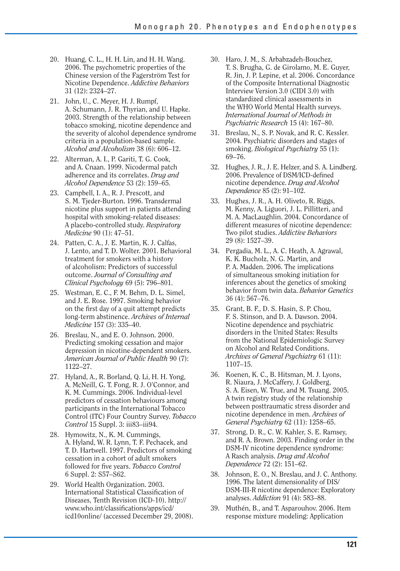- 20. Huang, C. L., H. H. Lin, and H. H. Wang. 2006. The psychometric properties of the Chinese version of the Fagerström Test for Nicotine Dependence. *Addictive Behaviors*  31 (12): 2324–27.
- 21. John, U., C. Meyer, H. J. Rumpf, A. Schumann, J. R. Thyrian, and U. Hapke. 2003. Strength of the relationship between tobacco smoking, nicotine dependence and the severity of alcohol dependence syndrome criteria in a population-based sample. *Alcohol and Alcoholism* 38 (6): 606–12.
- 22. Alterman, A. I., P. Gariti, T. G. Cook, and A. Cnaan. 1999. Nicodermal patch adherence and its correlates. *Drug and Alcohol Dependence* 53 (2): 159–65.
- 23. Campbell, I. A., R. J. Prescott, and S. M. Tjeder-Burton. 1996. Transdermal nicotine plus support in patients attending hospital with smoking-related diseases: A placebo-controlled study. *Respiratory Medicine* 90 (1): 47–51.
- 24. Patten, C. A., J. E. Martin, K. J. Calfas, J. Lento, and T. D. Wolter. 2001. Behavioral treatment for smokers with a history of alcoholism: Predictors of successful outcome. *Journal of Consulting and Clinical Psychology* 69 (5): 796–801.
- 25. Westman, E. C., F. M. Behm, D. L. Simel, and J. E. Rose. 1997. Smoking behavior on the first day of a quit attempt predicts long-term abstinence. *Archives of Internal Medicine* 157 (3): 335–40.
- 26. Breslau, N., and E. O. Johnson. 2000. Predicting smoking cessation and major depression in nicotine-dependent smokers. *American Journal of Public Health* 90 (7): 1122–27.
- 27. Hyland, A., R. Borland, Q. Li, H. H. Yong, A. McNeill, G. T. Fong, R. J. O'Connor, and K. M. Cummings. 2006. Individual-level predictors of cessation behaviours among participants in the International Tobacco Control (ITC) Four Country Survey. *Tobacco Control* 15 Suppl. 3: iii83–iii94.
- 28. Hymowitz, N., K. M. Cummings, A. Hyland, W. R. Lynn, T. F. Pechacek, and T. D. Hartwell. 1997. Predictors of smoking cessation in a cohort of adult smokers followed for five years. *Tobacco Control* 6 Suppl. 2: S57–S62.
- 29. World Health Organization. 2003. International Statistical Classification of Diseases, Tenth Revision (ICD-10). http:// www.who.int/classifications/apps/icd/ icd10online/ (accessed December 29, 2008).
- 30. Haro, J. M., S. Arbabzadeh-Bouchez, T. S. Brugha, G. de Girolamo, M. E. Guyer, R. Jin, J. P. Lepine, et al. 2006. Concordance of the Composite International Diagnostic Interview Version 3.0 (CIDI 3.0) with standardized clinical assessments in the WHO World Mental Health surveys. *International Journal of Methods in Psychiatric Research* 15 (4): 167–80.
- 31. Breslau, N., S. P. Novak, and R. C. Kessler. 2004. Psychiatric disorders and stages of smoking. *Biological Psychiatry* 55 (1): 69–76.
- 32. Hughes, J. R., J. E. Helzer, and S. A. Lindberg. 2006. Prevalence of DSM/ICD-defined nicotine dependence. *Drug and Alcohol Dependence* 85 (2): 91–102.
- 33. Hughes, J. R., A. H. Oliveto, R. Riggs, M. Kenny, A. Liguori, J. L. Pillitteri, and M. A. MacLaughlin. 2004. Concordance of different measures of nicotine dependence: Two pilot studies. *Addictive Behaviors*  29 (8): 1527–39.
- 34. Pergadia, M. L., A. C. Heath, A. Agrawal, K. K. Bucholz, N. G. Martin, and P. A. Madden. 2006. The implications of simultaneous smoking initiation for inferences about the genetics of smoking behavior from twin data. *Behavior Genetics*  36 (4): 567–76.
- 35. Grant, B. F., D. S. Hasin, S. P. Chou, F. S. Stinson, and D. A. Dawson. 2004. Nicotine dependence and psychiatric disorders in the United States: Results from the National Epidemiologic Survey on Alcohol and Related Conditions. *Archives of General Psychiatry* 61 (11): 1107–15.
- 36. Koenen, K. C., B. Hitsman, M. J. Lyons, R. Niaura, J. McCaffery, J. Goldberg, S. A. Eisen, W. True, and M. Tsuang. 2005. A twin registry study of the relationship between posttraumatic stress disorder and nicotine dependence in men. *Archives of General Psychiatry* 62 (11): 1258–65.
- 37. Strong, D. R., C. W. Kahler, S. E. Ramsey, and R. A. Brown. 2003. Finding order in the DSM-IV nicotine dependence syndrome: A Rasch analysis. *Drug and Alcohol Dependence* 72 (2): 151–62.
- 38. Johnson, E. O., N. Breslau, and J. C. Anthony. 1996. The latent dimensionality of DIS/ DSM-III-R nicotine dependence: Exploratory analyses. *Addiction* 91 (4): 583–88.
- 39. Muthén, B., and T. Asparouhov. 2006. Item response mixture modeling: Application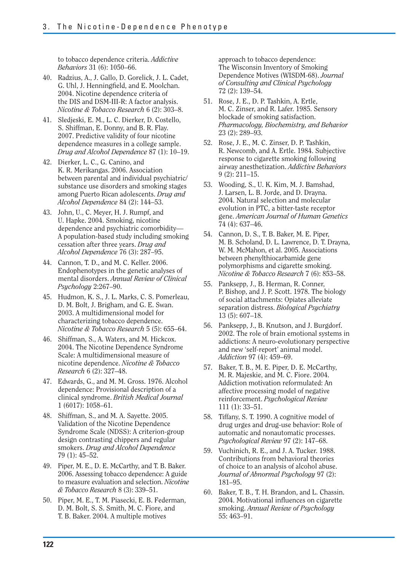to tobacco dependence criteria. *Addictive Behaviors* 31 (6): 1050–66.

- 40. Radzius, A., J. Gallo, D. Gorelick, J. L. Cadet, G. Uhl, J. Henningfield, and E. Moolchan. 2004. Nicotine dependence criteria of the DIS and DSM-III-R: A factor analysis. *Nicotine & Tobacco Research* 6 (2): 303–8.
- 41. Sledjeski, E. M., L. C. Dierker, D. Costello, S. Shiffman, E. Donny, and B. R. Flay. 2007. Predictive validity of four nicotine dependence measures in a college sample. *Drug and Alcohol Dependence* 87 (1): 10–19.
- 42. Dierker, L. C., G. Canino, and K. R. Merikangas. 2006. Association between parental and individual psychiatric/ substance use disorders and smoking stages among Puerto Rican adolescents. *Drug and Alcohol Dependence* 84 (2): 144–53.
- 43. John, U., C. Meyer, H. J. Rumpf, and U. Hapke. 2004. Smoking, nicotine dependence and psychiatric comorbidity— A population-based study including smoking cessation after three years. *Drug and Alcohol Dependence* 76 (3): 287–95.
- 44. Cannon, T. D., and M. C. Keller. 2006. Endophenotypes in the genetic analyses of mental disorders. *Annual Review of Clinical Psychology* 2:267–90.
- 45. Hudmon, K. S., J. L. Marks, C. S. Pomerleau, D. M. Bolt, J. Brigham, and G. E. Swan. 2003. A multidimensional model for characterizing tobacco dependence. *Nicotine & Tobacco Research* 5 (5): 655–64.
- 46. Shiffman, S., A. Waters, and M. Hickcox. 2004. The Nicotine Dependence Syndrome Scale: A multidimensional measure of nicotine dependence. *Nicotine & Tobacco Research* 6 (2): 327–48.
- 47. Edwards, G., and M. M. Gross. 1976. Alcohol dependence: Provisional description of a clinical syndrome. *British Medical Journal*  1 (6017): 1058–61.
- 48. Shiffman, S., and M. A. Sayette. 2005. Validation of the Nicotine Dependence Syndrome Scale (NDSS): A criterion-group design contrasting chippers and regular smokers. *Drug and Alcohol Dependence*  79 (1): 45–52.
- 49. Piper, M. E., D. E. McCarthy, and T. B. Baker. 2006. Assessing tobacco dependence: A guide to measure evaluation and selection. *Nicotine & Tobacco Research* 8 (3): 339–51.
- 50. Piper, M. E., T. M. Piasecki, E. B. Federman, D. M. Bolt, S. S. Smith, M. C. Fiore, and T. B. Baker. 2004. A multiple motives

approach to tobacco dependence: The Wisconsin Inventory of Smoking Dependence Motives (WISDM-68). *Journal of Consulting and Clinical Psychology*  72 (2): 139–54.

- 51. Rose, J. E., D. P. Tashkin, A. Ertle, M. C. Zinser, and R. Lafer. 1985. Sensory blockade of smoking satisfaction. *Pharmacology, Biochemistry, and Behavior*  23 (2): 289–93.
- 52. Rose, J. E., M. C. Zinser, D. P. Tashkin, R. Newcomb, and A. Ertle. 1984. Subjective response to cigarette smoking following airway anesthetization. *Addictive Behaviors*  9 (2): 211–15.
- 53. Wooding, S., U. K. Kim, M. J. Bamshad, J. Larsen, L. B. Jorde, and D. Drayna. 2004. Natural selection and molecular evolution in PTC, a bitter-taste receptor gene. *American Journal of Human Genetics*  74 (4): 637–46.
- 54. Cannon, D. S., T. B. Baker, M. E. Piper, M. B. Scholand, D. L. Lawrence, D. T. Drayna, W. M. McMahon, et al. 2005. Associations between phenylthiocarbamide gene polymorphisms and cigarette smoking. *Nicotine & Tobacco Research* 7 (6): 853–58.
- 55. Panksepp, J., B. Herman, R. Conner, P. Bishop, and J. P. Scott. 1978. The biology of social attachments: Opiates alleviate separation distress. *Biological Psychiatry*  13 (5): 607–18.
- 56. Panksepp, J., B. Knutson, and J. Burgdorf. 2002. The role of brain emotional systems in addictions: A neuro-evolutionary perspective and new 'self-report' animal model. *Addiction* 97 (4): 459–69.
- 57. Baker, T. B., M. E. Piper, D. E. McCarthy, M. R. Majeskie, and M. C. Fiore. 2004. Addiction motivation reformulated: An affective processing model of negative reinforcement. *Psychological Review*  111 (1): 33–51.
- 58. Tiffany, S. T. 1990. A cognitive model of drug urges and drug-use behavior: Role of automatic and nonautomatic processes. *Psychological Review* 97 (2): 147–68.
- 59. Vuchinich, R. E., and J. A. Tucker. 1988. Contributions from behavioral theories of choice to an analysis of alcohol abuse. *Journal of Abnormal Psychology* 97 (2): 181–95.
- 60. Baker, T. B., T. H. Brandon, and L. Chassin. 2004. Motivational influences on cigarette smoking. *Annual Review of Psychology*  55: 463–91.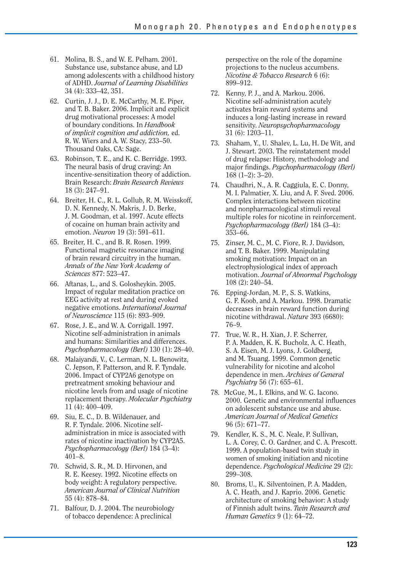- 61. Molina, B. S., and W. E. Pelham. 2001. Substance use, substance abuse, and LD among adolescents with a childhood history of ADHD. *Journal of Learning Disabilities*  34 (4): 333–42, 351.
- 62. Curtin, J. J., D. E. McCarthy, M. E. Piper, and T. B. Baker. 2006. Implicit and explicit drug motivational processes: A model of boundary conditions. In *Handbook of implicit cognition and addiction,* ed. R. W. Wiers and A. W. Stacy, 233–50. Thousand Oaks, CA: Sage.
- 63. Robinson, T. E., and K. C. Berridge. 1993. The neural basis of drug craving: An incentive-sensitization theory of addiction. Brain Research: *Brain Research Reviews*  18 (3): 247–91.
- 64. Breiter, H. C., R. L. Gollub, R. M. Weisskoff, D. N. Kennedy, N. Makris, J. D. Berke, J. M. Goodman, et al. 1997. Acute effects of cocaine on human brain activity and emotion. *Neuron* 19 (3): 591–611.
- 65. Breiter, H. C., and B. R. Rosen. 1999. Functional magnetic resonance imaging of brain reward circuitry in the human. *Annals of the New York Academy of Sciences* 877: 523–47.
- 66. Aftanas, L., and S. Golosheykin. 2005. Impact of regular meditation practice on EEG activity at rest and during evoked negative emotions. *International Journal of Neuroscience* 115 (6): 893–909.
- 67. Rose, J. E., and W. A. Corrigall. 1997. Nicotine self-administration in animals and humans: Similarities and differences. *Psychopharmacology (Berl)* 130 (1): 28–40.
- 68. Malaiyandi, V., C. Lerman, N. L. Benowitz, C. Jepson, F. Patterson, and R. F. Tyndale. 2006. Impact of CYP2A6 genotype on pretreatment smoking behaviour and nicotine levels from and usage of nicotine replacement therapy. *Molecular Psychiatry*  11 (4): 400–409.
- 69. Siu, E. C., D. B. Wildenauer, and R. F. Tyndale. 2006. Nicotine selfadministration in mice is associated with rates of nicotine inactivation by CYP2A5. *Psychopharmacology (Berl)* 184 (3–4): 401–8.
- 70. Schwid, S. R., M. D. Hirvonen, and R. E. Keesey. 1992. Nicotine effects on body weight: A regulatory perspective. *American Journal of Clinical Nutrition*  55 (4): 878–84.
- 71. Balfour, D. J. 2004. The neurobiology of tobacco dependence: A preclinical

perspective on the role of the dopamine projections to the nucleus accumbens. *Nicotine & Tobacco Research* 6 (6): 899–912.

- 72. Kenny, P. J., and A. Markou. 2006. Nicotine self-administration acutely activates brain reward systems and induces a long-lasting increase in reward sensitivity. *Neuropsychopharmacology*  31 (6): 1203–11.
- 73. Shaham, Y., U. Shalev, L. Lu, H. De Wit, and J. Stewart. 2003. The reinstatement model of drug relapse: History, methodology and major findings. *Psychopharmacology (Berl)* 168 (1–2): 3–20.
- 74. Chaudhri, N., A. R. Caggiula, E. C. Donny, M. I. Palmatier, X. Liu, and A. F. Sved. 2006. Complex interactions between nicotine and nonpharmacological stimuli reveal multiple roles for nicotine in reinforcement. *Psychopharmacology (Berl)* 184 (3–4): 353–66.
- 75. Zinser, M. C., M. C. Fiore, R. J. Davidson, and T. B. Baker. 1999. Manipulating smoking motivation: Impact on an electrophysiological index of approach motivation. *Journal of Abnormal Psychology*  108 (2): 240–54.
- 76. Epping-Jordan, M. P., S. S. Watkins, G. F. Koob, and A. Markou. 1998. Dramatic decreases in brain reward function during nicotine withdrawal. *Nature* 393 (6680): 76–9.
- 77. True, W. R., H. Xian, J. F. Scherrer, P. A. Madden, K. K. Bucholz, A. C. Heath, S. A. Eisen, M. J. Lyons, J. Goldberg, and M. Tsuang. 1999. Common genetic vulnerability for nicotine and alcohol dependence in men. *Archives of General Psychiatry* 56 (7): 655–61.
- 78. McGue, M., I. Elkins, and W. G. Iacono. 2000. Genetic and environmental influences on adolescent substance use and abuse. *American Journal of Medical Genetics*  96 (5): 671–77.
- 79. Kendler, K. S., M. C. Neale, P. Sullivan, L. A. Corey, C. O. Gardner, and C. A. Prescott. 1999. A population-based twin study in women of smoking initiation and nicotine dependence. *Psychological Medicine* 29 (2): 299–308.
- 80. Broms, U., K. Silventoinen, P. A. Madden, A. C. Heath, and J. Kaprio. 2006. Genetic architecture of smoking behavior: A study of Finnish adult twins. *Twin Research and Human Genetics* 9 (1): 64–72.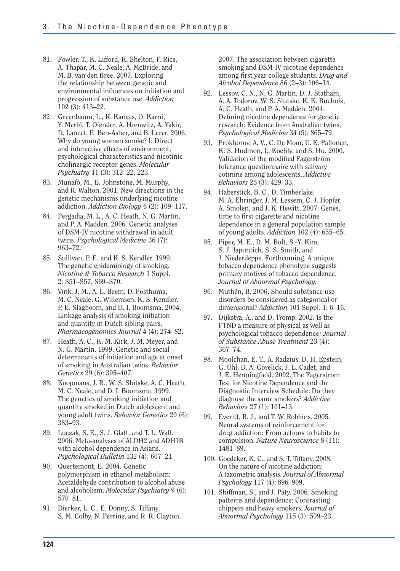- 81. Fowler, T., K. Lifford, K. Shelton, F. Rice, A. Thapar, M. C. Neale, A. McBride, and M. B. van den Bree. 2007. Exploring the relationship between genetic and environmental influences on initiation and progression of substance use. *Addiction*  102 (3): 413–22.
- 82. Greenbaum, L., K. Kanyas, O. Karni, Y. Merbl, T. Olender, A. Horowitz, A. Yakir, D. Lancet, E. Ben-Asher, and B. Lerer. 2006. Why do young women smoke? I: Direct and interactive effects of environment, psychological characteristics and nicotinic cholinergic receptor genes. *Molecular Psychiatry* 11 (3): 312–22, 223.
- 83. Munafó, M., E. Johnstone, M. Murphy, and R. Walton. 2001. New directions in the genetic mechanisms underlying nicotine addiction. *Addiction Biology* 6 (2): 109–117.
- 84. Pergadia, M. L., A. C. Heath, N. G. Martin, and P. A. Madden. 2006. Genetic analyses of DSM-IV nicotine withdrawal in adult twins. *Psychological Medicine* 36 (7): 963–72.
- 85. Sullivan, P. F., and K. S. Kendler. 1999. The genetic epidemiology of smoking. *Nicotine & Tobacco Research* 1 Suppl. 2: S51–S57, S69–S70.
- 86. Vink, J. M., A. L. Beem, D. Posthuma, M. C. Neale, G. Willemsen, K. S. Kendler, P. E. Slagboom, and D. I. Boomsma. 2004. Linkage analysis of smoking initiation and quantity in Dutch sibling pairs. *Pharmacogenomics Journal* 4 (4): 274–82.
- 87. Heath, A. C., K. M. Kirk, J. M. Meyer, and N. G. Martin. 1999. Genetic and social determinants of initiation and age at onset of smoking in Australian twins. *Behavior Genetics* 29 (6): 395–407.
- 88. Koopmans, J. R., W. S. Slutske, A. C. Heath, M. C. Neale, and D. I. Boomsma. 1999. The genetics of smoking initiation and quantity smoked in Dutch adolescent and young adult twins. *Behavior Genetics* 29 (6): 383–93.
- 89. Luczak, S. E., S. J. Glatt, and T. L. Wall. 2006. Meta-analyses of ALDH2 and ADH1B with alcohol dependence in Asians. *Psychological Bulletin* 132 (4): 607–21.
- 90. Quertemont, E. 2004. Genetic polymorphism in ethanol metabolism: Acetaldehyde contribution to alcohol abuse and alcoholism. *Molecular Psychiatry* 9 (6): 570–81.
- 91. Dierker, L. C., E. Donny, S. Tiffany, S. M. Colby, N. Perrine, and R. R. Clayton.

2007. The association between cigarette smoking and DSM-IV nicotine dependence among first year college students. *Drug and Alcohol Dependence* 86 (2–3): 106–14.

- 92. Lessov, C. N., N. G. Martin, D. J. Statham, A. A. Todorov, W. S. Slutske, K. K. Bucholz, A. C. Heath, and P. A. Madden. 2004. Defining nicotine dependence for genetic research: Evidence from Australian twins. *Psychological Medicine* 34 (5): 865–79.
- 93. Prokhorov, A. V., C. De Moor, U. E. Pallonen, K. S. Hudmon, L. Koehly, and S. Hu. 2000. Validation of the modified Fagerström tolerance questionnaire with salivary cotinine among adolescents. *Addictive Behaviors* 25 (3): 429–33.
- 94. Haberstick, B. C., D. Timberlake, M. A. Ehringer, J. M. Lessem, C. J. Hopfer, A. Smolen, and J. K. Hewitt. 2007. Genes, time to first cigarette and nicotine dependence in a general population sample of young adults. *Addiction* 102 (4): 655–65.
- 95. Piper, M. E., D. M. Bolt, S.-Y. Kim, S. J. Japuntich, S. S. Smith, and J. Niederdeppe. Forthcoming. A unique tobacco dependence phenotype suggests primary motives of tobacco dependence. *Journal of Abnormal Psychology.*
- 96. Muthén, B. 2006. Should substance use disorders be considered as categorical or dimensional? *Addiction* 101 Suppl. 1: 6–16.
- 97. Dijkstra, A., and D. Tromp. 2002. Is the FTND a measure of physical as well as psychological tobacco dependence? *Journal of Substance Abuse Treatment* 23 (4): 367–74.
- 98. Moolchan, E. T., A. Radzius, D. H. Epstein, G. Uhl, D. A. Gorelick, J. L. Cadet, and J. E. Henningfield. 2002. The Fagerström Test for Nicotine Dependence and the Diagnostic Interview Schedule: Do they diagnose the same smokers? *Addictive Behaviors* 27 (1): 101–13.
- 99. Everitt, B. J., and T. W. Robbins. 2005. Neural systems of reinforcement for drug addiction: From actions to habits to compulsion. *Nature Neuroscience* 8 (11): 1481–89.
- 100. Goedeker, K. C., and S. T. Tiffany. 2008. On the nature of nicotine addiction: A taxometric analysis. *Journal of Abnormal Psychology* 117 (4): 896–909.
- 101. Shiffman, S., and J. Paty. 2006. Smoking patterns and dependence: Contrasting chippers and heavy smokers. *Journal of Abnormal Psychology* 115 (3): 509–23.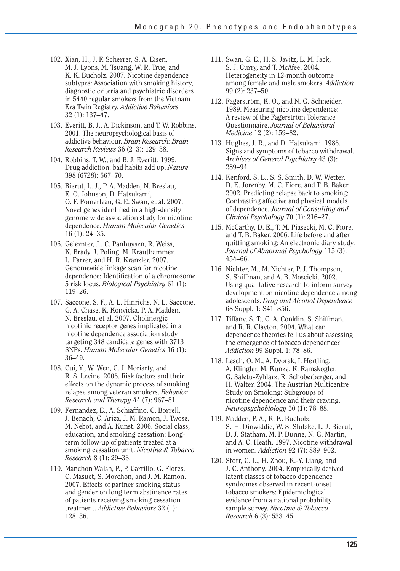- 102. Xian, H., J. F. Scherrer, S. A. Eisen, M. J. Lyons, M. Tsuang, W. R. True, and K. K. Bucholz. 2007. Nicotine dependence subtypes: Association with smoking history, diagnostic criteria and psychiatric disorders in 5440 regular smokers from the Vietnam Era Twin Registry. *Addictive Behaviors*  32 (1): 137–47.
- 103. Everitt, B. J., A. Dickinson, and T. W. Robbins. 2001. The neuropsychological basis of addictive behaviour. *Brain Research: Brain Research Reviews* 36 (2–3): 129–38.
- 104. Robbins, T. W., and B. J. Everitt. 1999. Drug addiction: bad habits add up. *Nature*  398 (6728): 567–70.
- 105. Bierut, L. J., P. A. Madden, N. Breslau, E. O. Johnson, D. Hatsukami, O. F. Pomerleau, G. E. Swan, et al. 2007. Novel genes identified in a high-density genome wide association study for nicotine dependence. *Human Molecular Genetics*  16 (1): 24–35.
- 106. Gelernter, J., C. Panhuysen, R. Weiss, K. Brady, J. Poling, M. Krauthammer, L. Farrer, and H. R. Kranzler. 2007. Genomewide linkage scan for nicotine dependence: Identification of a chromosome 5 risk locus. *Biological Psychiatry* 61 (1): 119–26.
- 107. Saccone, S. F., A. L. Hinrichs, N. L. Saccone, G. A. Chase, K. Konvicka, P. A. Madden, N. Breslau, et al. 2007. Cholinergic nicotinic receptor genes implicated in a nicotine dependence association study targeting 348 candidate genes with 3713 SNPs. *Human Molecular Genetics* 16 (1): 36–49.
- 108. Cui, Y., W. Wen, C. J. Moriarty, and R. S. Levine. 2006. Risk factors and their effects on the dynamic process of smoking relapse among veteran smokers. *Behavior Research and Therapy* 44 (7): 967–81.
- 109. Fernandez, E., A. Schiaffino, C. Borrell, J. Benach, C. Ariza, J. M. Ramon, J. Twose, M. Nebot, and A. Kunst. 2006. Social class, education, and smoking cessation: Longterm follow-up of patients treated at a smoking cessation unit. *Nicotine & Tobacco Research* 8 (1): 29–36.
- 110. Manchon Walsh, P., P. Carrillo, G. Flores, C. Masuet, S. Morchon, and J. M. Ramon. 2007. Effects of partner smoking status and gender on long term abstinence rates of patients receiving smoking cessation treatment. *Addictive Behaviors* 32 (1): 128–36.
- 111. Swan, G. E., H. S. Javitz, L. M. Jack, S. J. Curry, and T. McAfee. 2004. Heterogeneity in 12-month outcome among female and male smokers. *Addiction*  99 (2): 237–50.
- 112. Fagerström, K. O., and N. G. Schneider. 1989. Measuring nicotine dependence: A review of the Fagerström Tolerance Questionnaire. *Journal of Behavioral Medicine* 12 (2): 159–82.
- 113. Hughes, J. R., and D. Hatsukami. 1986. Signs and symptoms of tobacco withdrawal. *Archives of General Psychiatry* 43 (3): 289–94.
- 114. Kenford, S. L., S. S. Smith, D. W. Wetter, D. E. Jorenby, M. C. Fiore, and T. B. Baker. 2002. Predicting relapse back to smoking: Contrasting affective and physical models of dependence. *Journal of Consulting and Clinical Psychology* 70 (1): 216–27.
- 115. McCarthy, D. E., T. M. Piasecki, M. C. Fiore, and T. B. Baker. 2006. Life before and after quitting smoking: An electronic diary study. *Journal of Abnormal Psychology* 115 (3): 454–66.
- 116. Nichter, M., M. Nichter, P. J. Thompson, S. Shiffman, and A. B. Moscicki. 2002. Using qualitative research to inform survey development on nicotine dependence among adolescents. *Drug and Alcohol Dependence*  68 Suppl. 1: S41–S56.
- 117. Tiffany, S. T., C. A. Conklin, S. Shiffman, and R. R. Clayton. 2004. What can dependence theories tell us about assessing the emergence of tobacco dependence? *Addiction* 99 Suppl. 1: 78–86.
- 118. Lesch, O. M., A. Dvorak, I. Hertling, A. Klingler, M. Kunze, K. Ramskogler, G. Saletu-Zyhlarz, R. Schoberberger, and H. Walter. 2004. The Austrian Multicentre Study on Smoking: Subgroups of nicotine dependence and their craving. *Neuropsychobiology* 50 (1): 78–88.
- 119. Madden, P. A., K. K. Bucholz, S. H. Dinwiddie, W. S. Slutske, L. J. Bierut, D. J. Statham, M. P. Dunne, N. G. Martin, and A. C. Heath. 1997. Nicotine withdrawal in women. *Addiction* 92 (7): 889–902.
- 120. Storr, C. L., H. Zhou, K.-Y. Liang, and J. C. Anthony. 2004. Empirically derived latent classes of tobacco dependence syndromes observed in recent-onset tobacco smokers: Epidemiological evidence from a national probability sample survey. *Nicotine & Tobacco Research* 6 (3): 533–45.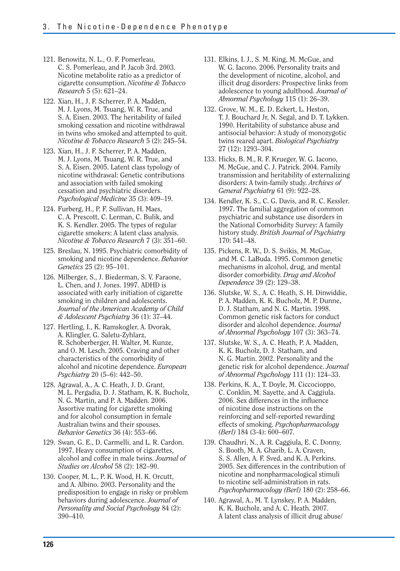- 121. Benowitz, N. L., O. F. Pomerleau, C. S. Pomerleau, and P. Jacob 3rd. 2003. Nicotine metabolite ratio as a predictor of cigarette consumption. *Nicotine & Tobacco Research* 5 (5): 621–24.
- 122. Xian, H., J. F. Scherrer, P. A. Madden, M. J. Lyons, M. Tsuang, W. R. True, and S. A. Eisen. 2003. The heritability of failed smoking cessation and nicotine withdrawal in twins who smoked and attempted to quit. *Nicotine & Tobacco Research* 5 (2): 245–54.
- 123. Xian, H., J. F. Scherrer, P. A. Madden, M. J. Lyons, M. Tsuang, W. R. True, and S. A. Eisen. 2005. Latent class typology of nicotine withdrawal: Genetic contributions and association with failed smoking cessation and psychiatric disorders. *Psychological Medicine* 35 (3): 409–19.
- 124. Furberg, H., P. F. Sullivan, H. Maes, C. A. Prescott, C. Lerman, C. Bulik, and K. S. Kendler. 2005. The types of regular cigarette smokers: A latent class analysis. *Nicotine & Tobacco Research* 7 (3): 351–60.
- 125. Breslau, N. 1995. Psychiatric comorbidity of smoking and nicotine dependence. *Behavior Genetics* 25 (2): 95–101.
- 126. Milberger, S., J. Biederman, S. V. Faraone, L. Chen, and J. Jones. 1997. ADHD is associated with early initiation of cigarette smoking in children and adolescents. *Journal of the American Academy of Child & Adolescent Psychiatry* 36 (1): 37–44.
- 127. Hertling, I., K. Ramskogler, A. Dvorak, A. Klingler, G. Saletu-Zyhlarz, R. Schoberberger, H. Walter, M. Kunze, and O. M. Lesch. 2005. Craving and other characteristics of the comorbidity of alcohol and nicotine dependence. *European Psychiatry* 20 (5–6): 442–50.
- 128. Agrawal, A., A. C. Heath, J. D. Grant, M. L. Pergadia, D. J. Statham, K. K. Bucholz, N. G. Martin, and P. A. Madden. 2006. Assortive mating for cigarette smoking and for alcohol consumption in female Australian twins and their spouses. *Behavior Genetics* 36 (4): 553–66.
- 129. Swan, G. E., D. Carmelli, and L. R. Cardon. 1997. Heavy consumption of cigarettes, alcohol and coffee in male twins. *Journal of Studies on Alcohol* 58 (2): 182–90.
- 130. Cooper, M. L., P. K. Wood, H. K. Orcutt, and A. Albino. 2003. Personality and the predisposition to engage in risky or problem behaviors during adolescence. *Journal of Personality and Social Psychology* 84 (2): 390–410.
- 131. Elkins, I. J., S. M. King, M. McGue, and W. G. Iacono. 2006. Personality traits and the development of nicotine, alcohol, and illicit drug disorders: Prospective links from adolescence to young adulthood. *Journal of Abnormal Psychology* 115 (1): 26–39.
- 132. Grove, W. M., E. D. Eckert, L. Heston, T. J. Bouchard Jr, N. Segal, and D. T. Lykken. 1990. Heritability of substance abuse and antisocial behavior: A study of monozygotic twins reared apart. *Biological Psychiatry*  27 (12): 1293–304.
- 133. Hicks, B. M., R. F. Krueger, W. G. Iacono, M. McGue, and C. J. Patrick. 2004. Family transmission and heritability of externalizing disorders: A twin-family study. *Archives of General Psychiatry* 61 (9): 922–28.
- 134. Kendler, K. S., C. G. Davis, and R. C. Kessler. 1997. The familial aggregation of common psychiatric and substance use disorders in the National Comorbidity Survey: A family history study. *British Journal of Psychiatry*  170: 541–48.
- 135. Pickens, R. W., D. S. Svikis, M. McGue, and M. C. LaBuda. 1995. Common genetic mechanisms in alcohol, drug, and mental disorder comorbidity. *Drug and Alcohol Dependence* 39 (2): 129–38.
- 136. Slutske, W. S., A. C. Heath, S. H. Dinwiddie, P. A. Madden, K. K. Bucholz, M. P. Dunne, D. J. Statham, and N. G. Martin. 1998. Common genetic risk factors for conduct disorder and alcohol dependence. *Journal of Abnormal Psychology* 107 (3): 363–74.
- 137. Slutske, W. S., A. C. Heath, P. A. Madden, K. K. Bucholz, D. J. Statham, and N. G. Martin. 2002. Personality and the genetic risk for alcohol dependence. *Journal of Abnormal Psychology* 111 (1): 124–33.
- 138. Perkins, K. A., T. Doyle, M. Ciccocioppo, C. Conklin, M. Sayette, and A. Caggiula. 2006. Sex differences in the influence of nicotine dose instructions on the reinforcing and self-reported rewarding effects of smoking. *Psychopharmacology (Berl)* 184 (3-4): 600–607.
- 139. Chaudhri, N., A. R. Caggiula, E. C. Donny, S. Booth, M. A. Gharib, L. A. Craven, S. S. Allen, A. F. Sved, and K. A. Perkins. 2005. Sex differences in the contribution of nicotine and nonpharmacological stimuli to nicotine self-administration in rats. *Psychopharmacology (Berl)* 180 (2): 258–66.
- 140. Agrawal, A., M. T. Lynskey, P. A. Madden, K. K. Bucholz, and A. C. Heath. 2007. A latent class analysis of illicit drug abuse/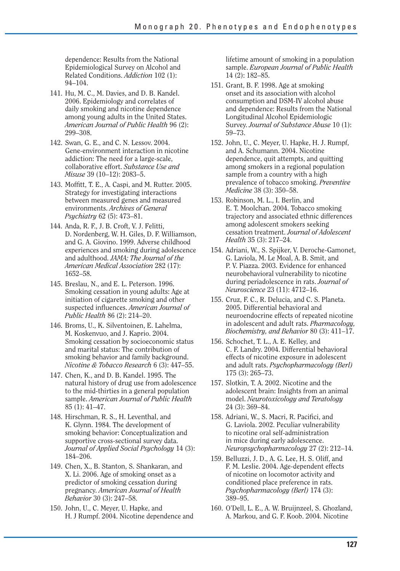dependence: Results from the National Epidemiological Survey on Alcohol and Related Conditions. *Addiction* 102 (1): 94–104.

- 141. Hu, M. C., M. Davies, and D. B. Kandel. 2006. Epidemiology and correlates of daily smoking and nicotine dependence among young adults in the United States. *American Journal of Public Health* 96 (2): 299–308.
- 142. Swan, G. E., and C. N. Lessov. 2004. Gene-environment interaction in nicotine addiction: The need for a large-scale, collaborative effort. *Substance Use and Misuse* 39 (10–12): 2083–5.
- 143. Moffitt, T. E., A. Caspi, and M. Rutter. 2005. Strategy for investigating interactions between measured genes and measured environments. *Archives of General Psychiatry* 62 (5): 473–81.
- 144. Anda, R. F., J. B. Croft, V. J. Felitti, D. Nordenberg, W. H. Giles, D. F. Williamson, and G. A. Giovino. 1999. Adverse childhood experiences and smoking during adolescence and adulthood. *JAMA: The Journal of the American Medical Association* 282 (17): 1652–58.
- 145. Breslau, N., and E. L. Peterson. 1996. Smoking cessation in young adults: Age at initiation of cigarette smoking and other suspected influences. *American Journal of Public Health* 86 (2): 214–20.
- 146. Broms, U., K. Silventoinen, E. Lahelma, M. Koskenvuo, and J. Kaprio. 2004. Smoking cessation by socioeconomic status and marital status: The contribution of smoking behavior and family background. *Nicotine & Tobacco Research* 6 (3): 447–55.
- 147. Chen, K., and D. B. Kandel. 1995. The natural history of drug use from adolescence to the mid-thirties in a general population sample. *American Journal of Public Health*  85 (1): 41–47.
- 148. Hirschman, R. S., H. Leventhal, and K. Glynn. 1984. The development of smoking behavior: Conceptualization and supportive cross-sectional survey data. *Journal of Applied Social Psychology* 14 (3): 184–206.
- 149. Chen, X., B. Stanton, S. Shankaran, and X. Li. 2006. Age of smoking onset as a predictor of smoking cessation during pregnancy. *American Journal of Health Behavior* 30 (3): 247–58.
- 150. John, U., C. Meyer, U. Hapke, and H. J Rumpf. 2004. Nicotine dependence and

lifetime amount of smoking in a population sample. *European Journal of Public Health*  14 (2): 182–85.

- 151. Grant, B. F. 1998. Age at smoking onset and its association with alcohol consumption and DSM-IV alcohol abuse and dependence: Results from the National Longitudinal Alcohol Epidemiologic Survey. *Journal of Substance Abuse* 10 (1): 59–73.
- 152. John, U., C. Meyer, U. Hapke, H. J. Rumpf, and A. Schumann. 2004. Nicotine dependence, quit attempts, and quitting among smokers in a regional population sample from a country with a high prevalence of tobacco smoking. *Preventive Medicine* 38 (3): 350–58.
- 153. Robinson, M. L., I. Berlin, and E. T. Moolchan. 2004. Tobacco smoking trajectory and associated ethnic differences among adolescent smokers seeking cessation treatment. *Journal of Adolescent Health* 35 (3): 217–24.
- 154. Adriani, W., S. Spijker, V. Deroche-Gamonet, G. Laviola, M. Le Moal, A. B. Smit, and P. V. Piazza. 2003. Evidence for enhanced neurobehavioral vulnerability to nicotine during periadolescence in rats. *Journal of Neuroscience* 23 (11): 4712–16.
- 155. Cruz, F. C., R. Delucia, and C. S. Planeta. 2005. Differential behavioral and neuroendocrine effects of repeated nicotine in adolescent and adult rats. *Pharmacology, Biochemistry, and Behavior* 80 (3): 411–17.
- 156. Schochet, T. L., A. E. Kelley, and C. F. Landry. 2004. Differential behavioral effects of nicotine exposure in adolescent and adult rats. *Psychopharmacology (Berl)*  175 (3): 265–73.
- 157. Slotkin, T. A. 2002. Nicotine and the adolescent brain: Insights from an animal model. *Neurotoxicology and Teratology*  24 (3): 369–84.
- 158. Adriani, W., S. Macri, R. Pacifici, and G. Laviola. 2002. Peculiar vulnerability to nicotine oral self-administration in mice during early adolescence. *Neuropsychopharmacology* 27 (2): 212–14.
- 159. Belluzzi, J. D., A. G. Lee, H. S. Oliff, and F. M. Leslie. 2004. Age-dependent effects of nicotine on locomotor activity and conditioned place preference in rats. *Psychopharmacology (Berl)* 174 (3): 389–95.
- 160. O'Dell, L. E., A. W. Bruijnzeel, S. Ghozland, A. Markou, and G. F. Koob. 2004. Nicotine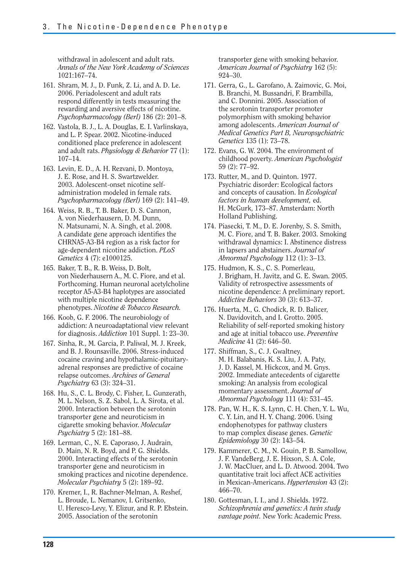withdrawal in adolescent and adult rats. *Annals of the New York Academy of Sciences*  1021:167–74.

- 161. Shram, M. J., D. Funk, Z. Li, and A. D. Le. 2006. Periadolescent and adult rats respond differently in tests measuring the rewarding and aversive effects of nicotine. *Psychopharmacology (Berl)* 186 (2): 201–8.
- 162. Vastola, B. J., L. A. Douglas, E. I. Varlinskaya, and L. P. Spear. 2002. Nicotine-induced conditioned place preference in adolescent and adult rats. *Physiology & Behavior* 77 (1): 107–14.
- 163. Levin, E. D., A. H. Rezvani, D. Montoya, J. E. Rose, and H. S. Swartzwelder. 2003. Adolescent-onset nicotine selfadministration modeled in female rats. *Psychopharmacology (Berl)* 169 (2): 141–49.
- 164. Weiss, R. B., T. B. Baker, D. S. Cannon, A. von Niederhausern, D. M. Dunn, N. Matsunami, N. A. Singh, et al. 2008. A candidate gene approach identifies the CHRNA5-A3-B4 region as a risk factor for age-dependent nicotine addiction. *PLoS Genetics* 4 (7): e1000125.
- 165. Baker, T. B., R. B. Weiss, D. Bolt, von Niederhausern A., M. C. Fiore, and et al. Forthcoming. Human neuronal acetylcholine receptor A5-A3-B4 haplotypes are associated with multiple nicotine dependence phenotypes. *Nicotine & Tobacco Research.*
- 166. Koob, G. F. 2006. The neurobiology of addiction: A neuroadaptational view relevant for diagnosis. *Addiction* 101 Suppl. 1: 23–30.
- 167. Sinha, R., M. Garcia, P. Paliwal, M. J. Kreek, and B. J. Rounsaville. 2006. Stress-induced cocaine craving and hypothalamic-pituitaryadrenal responses are predictive of cocaine relapse outcomes. *Archives of General Psychiatry* 63 (3): 324–31.
- 168. Hu, S., C. L. Brody, C. Fisher, L. Gunzerath, M. L. Nelson, S. Z. Sabol, L. A. Sirota, et al. 2000. Interaction between the serotonin transporter gene and neuroticism in cigarette smoking behavior. *Molecular Psychiatry* 5 (2): 181–88.
- 169. Lerman, C., N. E. Caporaso, J. Audrain, D. Main, N. R. Boyd, and P. G. Shields. 2000. Interacting effects of the serotonin transporter gene and neuroticism in smoking practices and nicotine dependence. *Molecular Psychiatry* 5 (2): 189–92.
- 170. Kremer, I., R. Bachner-Melman, A. Reshef, L. Broude, L. Nemanov, I. Gritsenko, U. Heresco-Levy, Y. Elizur, and R. P. Ebstein. 2005. Association of the serotonin

transporter gene with smoking behavior. *American Journal of Psychiatry* 162 (5): 924–30.

- 171. Gerra, G., L. Garofano, A. Zaimovic, G. Moi, B. Branchi, M. Bussandri, F. Brambilla, and C. Donnini. 2005. Association of the serotonin transporter promoter polymorphism with smoking behavior among adolescents. *American Journal of Medical Genetics Part B, Neuropsychiatric Genetics* 135 (1): 73–78.
- 172. Evans, G. W. 2004. The environment of childhood poverty. *American Psychologist*  59 (2): 77–92.
- 173. Rutter, M., and D. Quinton. 1977. Psychiatric disorder: Ecological factors and concepts of causation. In *Ecological factors in human development,* ed. H. McGurk, 173–87. Amsterdam: North Holland Publishing.
- 174. Piasecki, T. M., D. E. Jorenby, S. S. Smith, M. C. Fiore, and T. B. Baker. 2003. Smoking withdrawal dynamics: I. Abstinence distress in lapsers and abstainers. *Journal of Abnormal Psychology* 112 (1): 3–13.
- 175. Hudmon, K. S., C. S. Pomerleau, J. Brigham, H. Javitz, and G. E. Swan. 2005. Validity of retrospective assessments of nicotine dependence: A preliminary report. *Addictive Behaviors* 30 (3): 613–37.
- 176. Huerta, M., G. Chodick, R. D. Balicer, N. Davidovitch, and I. Grotto. 2005. Reliability of self-reported smoking history and age at initial tobacco use. *Preventive Medicine* 41 (2): 646–50.
- 177. Shiffman, S., C. J. Gwaltney, M. H. Balabanis, K. S. Liu, J. A. Paty, J. D. Kassel, M. Hickcox, and M. Gnys. 2002. Immediate antecedents of cigarette smoking: An analysis from ecological momentary assessment. *Journal of Abnormal Psychology* 111 (4): 531–45.
- 178. Pan, W. H., K. S. Lynn, C. H. Chen, Y. L. Wu, C. Y. Lin, and H. Y. Chang. 2006. Using endophenotypes for pathway clusters to map complex disease genes. *Genetic Epidemiology* 30 (2): 143–54.
- 179. Kammerer, C. M., N. Gouin, P. B. Samollow, J. F. VandeBerg, J. E. Hixson, S. A. Cole, J. W. MacCluer, and L. D. Atwood. 2004. Two quantitative trait loci affect ACE activities in Mexican-Americans. *Hypertension* 43 (2): 466–70.
- 180. Gottesman, I. I., and J. Shields. 1972. *Schizophrenia and genetics: A twin study vantage point.* New York: Academic Press.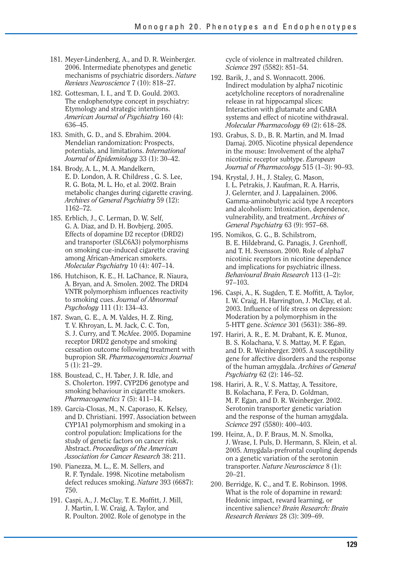- 181. Meyer-Lindenberg, A., and D. R. Weinberger. 2006. Intermediate phenotypes and genetic mechanisms of psychiatric disorders. *Nature Reviews Neuroscience* 7 (10): 818–27.
- 182. Gottesman, I. I., and T. D. Gould. 2003. The endophenotype concept in psychiatry: Etymology and strategic intentions. *American Journal of Psychiatry* 160 (4): 636–45.
- 183. Smith, G. D., and S. Ebrahim. 2004. Mendelian randomization: Prospects, potentials, and limitations. *International Journal of Epidemiology* 33 (1): 30–42.
- 184. Brody, A. L., M. A. Mandelkern, E. D. London, A. R. Childress , G. S. Lee, R. G. Bota, M. L. Ho, et al. 2002. Brain metabolic changes during cigarette craving. *Archives of General Psychiatry* 59 (12): 1162–72.
- 185. Erblich, J., C. Lerman, D. W. Self, G. A. Diaz, and D. H. Bovbjerg. 2005. Effects of dopamine D2 receptor (DRD2) and transporter (SLC6A3) polymorphisms on smoking cue-induced cigarette craving among African-American smokers. *Molecular Psychiatry* 10 (4): 407–14.
- 186. Hutchison, K. E., H. LaChance, R. Niaura, A. Bryan, and A. Smolen. 2002. The DRD4 VNTR polymorphism influences reactivity to smoking cues. *Journal of Abnormal Psychology* 111 (1): 134–43.
- 187. Swan, G. E., A. M. Valdes, H. Z. Ring, T. V. Khroyan, L. M. Jack, C. C. Ton, S. J. Curry, and T. McAfee. 2005. Dopamine receptor DRD2 genotype and smoking cessation outcome following treatment with bupropion SR. *Pharmacogenomics Journal*  5 (1): 21–29.
- 188. Boustead, C., H. Taber, J. R. Idle, and S. Cholerton. 1997. CYP2D6 genotype and smoking behaviour in cigarette smokers. *Pharmacogenetics* 7 (5): 411–14.
- 189. Garcia-Closas, M., N. Caporaso, K. Kelsey, and D. Christiani. 1997. Association between CYP1A1 polymorphism and smoking in a control population: Implications for the study of genetic factors on cancer risk. Abstract. *Proceedings of the American Association for Cancer Research* 38: 211.
- 190. Pianezza, M. L., E. M. Sellers, and R. F. Tyndale. 1998. Nicotine metabolism defect reduces smoking. *Nature* 393 (6687): 750.
- 191. Caspi, A., J. McClay, T. E. Moffitt, J. Mill, J. Martin, I. W. Craig, A. Taylor, and R. Poulton. 2002. Role of genotype in the

cycle of violence in maltreated children. *Science* 297 (5582): 851–54.

- 192. Barik, J., and S. Wonnacott. 2006. Indirect modulation by alpha7 nicotinic acetylcholine receptors of noradrenaline release in rat hippocampal slices: Interaction with glutamate and GABA systems and effect of nicotine withdrawal. *Molecular Pharmacology* 69 (2): 618–28.
- 193. Grabus, S. D., B. R. Martin, and M. Imad Damaj. 2005. Nicotine physical dependence in the mouse: Involvement of the alpha7 nicotinic receptor subtype. *European Journal of Pharmacology* 515 (1–3): 90–93.
- 194. Krystal, J. H., J. Staley, G. Mason, I. L. Petrakis, J. Kaufman, R. A. Harris, J. Gelernter, and J. Lappalainen. 2006. Gamma-aminobutyric acid type A receptors and alcoholism: Intoxication, dependence, vulnerability, and treatment. *Archives of General Psychiatry* 63 (9): 957–68.
- 195. Nomikos, G. G., B. Schilstrom, B. E. Hildebrand, G. Panagis, J. Grenhoff, and T. H. Svensson. 2000. Role of alpha7 nicotinic receptors in nicotine dependence and implications for psychiatric illness. *Behavioural Brain Research* 113 (1–2): 97–103.
- 196. Caspi, A., K. Sugden, T. E. Moffitt, A. Taylor, I. W. Craig, H. Harrington, J. McClay, et al. 2003. Influence of life stress on depression: Moderation by a polymorphism in the 5-HTT gene. *Science* 301 (5631): 386–89.
- 197. Hariri, A. R., E. M. Drabant, K. E. Munoz, B. S. Kolachana, V. S. Mattay, M. F. Egan, and D. R. Weinberger. 2005. A susceptibility gene for affective disorders and the response of the human amygdala. *Archives of General Psychiatry* 62 (2): 146–52.
- 198. Hariri, A. R., V. S. Mattay, A. Tessitore, B. Kolachana, F. Fera, D. Goldman, M. F. Egan, and D. R. Weinberger. 2002. Serotonin transporter genetic variation and the response of the human amygdala. *Science* 297 (5580): 400–403.
- 199. Heinz, A., D. F. Braus, M. N. Smolka, J. Wrase, I. Puls, D. Hermann, S. Klein, et al. 2005. Amygdala-prefrontal coupling depends on a genetic variation of the serotonin transporter. *Nature Neuroscience* 8 (1): 20–21.
- 200. Berridge, K. C., and T. E. Robinson. 1998. What is the role of dopamine in reward: Hedonic impact, reward learning, or incentive salience? *Brain Research: Brain Research Reviews* 28 (3): 309–69.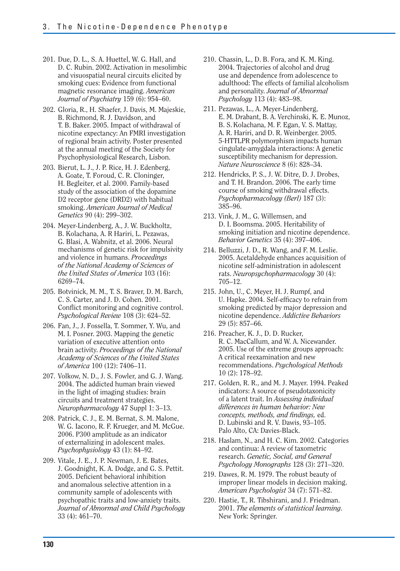- 201. Due, D. L., S. A. Huettel, W. G. Hall, and D. C. Rubin. 2002. Activation in mesolimbic and visuospatial neural circuits elicited by smoking cues: Evidence from functional magnetic resonance imaging. *American Journal of Psychiatry* 159 (6): 954–60.
- 202. Gloria, R., H. Shaefer, J. Davis, M. Majeskie, B. Richmond, R. J. Davidson, and T. B. Baker. 2005. Impact of withdrawal of nicotine expectancy: An FMRI investigation of regional brain activity. Poster presented at the annual meeting of the Society for Psychophysiological Research, Lisbon.
- 203. Bierut, L. J., J. P. Rice, H. J. Edenberg, A. Goate, T. Foroud, C. R. Cloninger, H. Begleiter, et al. 2000. Family-based study of the association of the dopamine D2 receptor gene (DRD2) with habitual smoking. *American Journal of Medical Genetics* 90 (4): 299–302.
- 204. Meyer-Lindenberg, A., J. W. Buckholtz, B. Kolachana, A. R Hariri, L. Pezawas, G. Blasi, A. Wabnitz, et al. 2006. Neural mechanisms of genetic risk for impulsivity and violence in humans. *Proceedings of the National Academy of Sciences of the United States of America* 103 (16): 6269–74.
- 205. Botvinick, M. M., T. S. Braver, D. M. Barch, C. S. Carter, and J. D. Cohen. 2001. Conflict monitoring and cognitive control. *Psychological Review* 108 (3): 624–52.
- 206. Fan, J., J. Fossella, T. Sommer, Y. Wu, and M. I. Posner. 2003. Mapping the genetic variation of executive attention onto brain activity. *Proceedings of the National Academy of Sciences of the United States of America* 100 (12): 7406–11.
- 207. Volkow, N. D., J. S. Fowler, and G. J. Wang. 2004. The addicted human brain viewed in the light of imaging studies: brain circuits and treatment strategies. *Neuropharmacology* 47 Suppl 1: 3–13.
- 208. Patrick, C. J., E. M. Bernat, S. M. Malone, W. G. Iacono, R. F. Krueger, and M. McGue. 2006. P300 amplitude as an indicator of externalizing in adolescent males. *Psychophysiology* 43 (1): 84–92.
- 209. Vitale, J. E., J. P. Newman, J. E. Bates, J. Goodnight, K. A. Dodge, and G. S. Pettit. 2005. Deficient behavioral inhibition and anomalous selective attention in a community sample of adolescents with psychopathic traits and low-anxiety traits. *Journal of Abnormal and Child Psychology*  33 (4): 461–70.
- 210. Chassin, L., D. B. Fora, and K. M. King. 2004. Trajectories of alcohol and drug use and dependence from adolescence to adulthood: The effects of familial alcoholism and personality. *Journal of Abnormal Psychology* 113 (4): 483–98.
- 211. Pezawas, L., A. Meyer-Lindenberg, E. M. Drabant, B. A. Verchinski, K. E. Munoz, B. S. Kolachana, M. F. Egan, V. S. Mattay, A. R. Hariri, and D. R. Weinberger. 2005. 5-HTTLPR polymorphism impacts human cingulate-amygdala interactions: A genetic susceptibility mechanism for depression. *Nature Neuroscience* 8 (6): 828–34.
- 212. Hendricks, P. S., J. W. Ditre, D. J. Drobes, and T. H. Brandon. 2006. The early time course of smoking withdrawal effects. *Psychopharmacology (Berl)* 187 (3): 385–96.
- 213. Vink, J. M., G. Willemsen, and D. I. Boomsma. 2005. Heritability of smoking initiation and nicotine dependence. *Behavior Genetics* 35 (4): 397–406.
- 214. Belluzzi, J. D., R. Wang, and F. M. Leslie. 2005. Acetaldehyde enhances acquisition of nicotine self-administration in adolescent rats. *Neuropsychopharmacology* 30 (4): 705–12.
- 215. John, U., C. Meyer, H. J. Rumpf, and U. Hapke. 2004. Self-efficacy to refrain from smoking predicted by major depression and nicotine dependence. *Addictive Behaviors*  29 (5): 857–66.
- 216. Preacher, K. J., D. D. Rucker, R. C. MacCallum, and W. A. Nicewander. 2005. Use of the extreme groups approach: A critical reexamination and new recommendations. *Psychological Methods*  10 (2): 178–92.
- 217. Golden, R. R., and M. J. Mayer. 1994. Peaked indicators: A source of pseudotaxonicity of a latent trait. In *Assessing individual differences in human behavior: New concepts, methods, and findings, ed.* D. Lubinski and R. V. Dawis, 93–105. Palo Alto, CA: Davies-Black.
- 218. Haslam, N., and H. C. Kim. 2002. Categories and continua: A review of taxometric research. *Genetic, Social, and General Psychology Monographs* 128 (3): 271–320.
- 219. Dawes, R. M. 1979. The robust beauty of improper linear models in decision making. *American Psychologist* 34 (7): 571–82.
- 220. Hastie, T., R. Tibshirani, and J. Friedman. 2001. *The elements of statistical learning.*  New York: Springer.